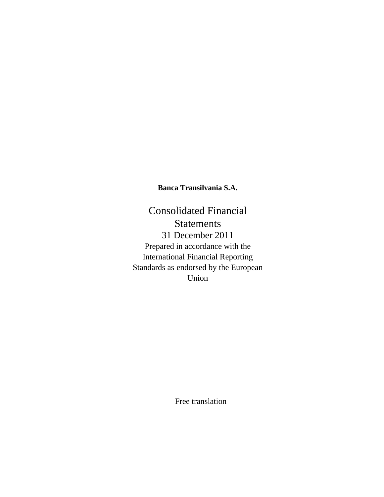Consolidated Financial Statements 31 December 2011 Prepared in accordance with the International Financial Reporting Standards as endorsed by the European Union

Free translation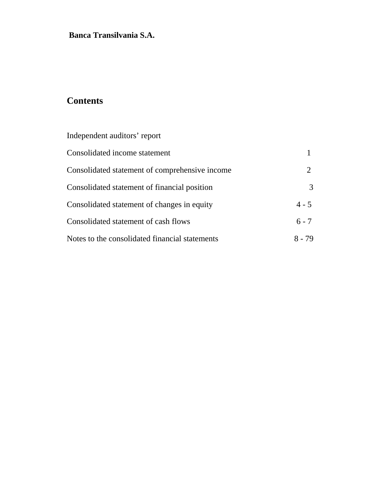# **Contents**

| Independent auditors' report                   |               |
|------------------------------------------------|---------------|
| Consolidated income statement                  |               |
| Consolidated statement of comprehensive income |               |
| Consolidated statement of financial position   | $\mathcal{R}$ |
| Consolidated statement of changes in equity    | $4 - 5$       |
| Consolidated statement of cash flows           | $6 - 7$       |
| Notes to the consolidated financial statements | 8 - 79        |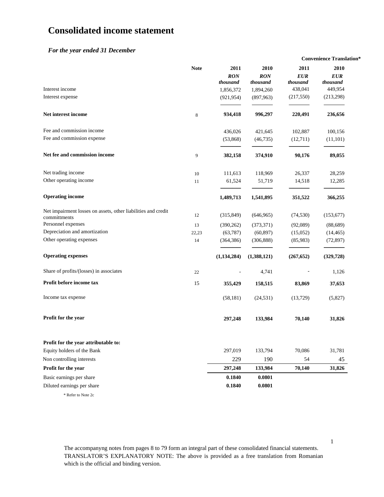# **Consolidated income statement**

#### *For the year ended 31 December*

|                                                                               |             |                                             |                                             |                                           | <b>Convenience Translation*</b>           |
|-------------------------------------------------------------------------------|-------------|---------------------------------------------|---------------------------------------------|-------------------------------------------|-------------------------------------------|
| Interest income                                                               | <b>Note</b> | 2011<br><b>RON</b><br>thousand<br>1,856,372 | 2010<br><b>RON</b><br>thousand<br>1,894,260 | 2011<br><b>EUR</b><br>thousand<br>438,041 | 2010<br><b>EUR</b><br>thousand<br>449,954 |
| Interest expense                                                              |             | (921, 954)                                  | (897,963)                                   | (217,550)                                 | (213, 298)                                |
| Net interest income                                                           | $\,8\,$     | 934,418                                     | 996,297                                     | 220,491                                   | 236,656                                   |
| Fee and commission income                                                     |             | 436,026                                     | 421,645                                     | 102,887                                   | 100,156                                   |
| Fee and commission expense                                                    |             | (53,868)                                    | (46, 735)                                   | (12,711)                                  | (11,101)                                  |
| Net fee and commission income                                                 | 9           | 382,158                                     | 374,910                                     | 90,176                                    | 89,055                                    |
| Net trading income                                                            | 10          | 111,613                                     | 118,969                                     | 26,337                                    | 28,259                                    |
| Other operating income                                                        | 11          | 61,524                                      | 51,719                                      | 14,518                                    | 12,285                                    |
| <b>Operating income</b>                                                       |             | 1,489,713                                   | 1,541,895                                   | 351,522                                   | 366,255                                   |
| Net impairment losses on assets, other liabilities and credit<br>committments | 12          | (315, 849)                                  | (646, 965)                                  | (74, 530)                                 | (153, 677)                                |
| Personnel expenses                                                            | 13          | (390, 262)                                  | (373, 371)                                  | (92,089)                                  | (88, 689)                                 |
| Depreciation and amortization                                                 | 22,23       | (63, 787)                                   | (60, 897)                                   | (15,052)                                  | (14, 465)                                 |
| Other operating expenses                                                      | 14          | (364, 386)                                  | (306, 888)                                  | (85,983)                                  | (72, 897)                                 |
| <b>Operating expenses</b>                                                     |             | (1, 134, 284)                               | (1,388,121)                                 | (267, 652)                                | (329, 728)                                |
| Share of profits/(losses) in associates                                       | 22          |                                             | 4,741                                       |                                           | 1,126                                     |
| Profit before income tax                                                      | 15          | 355,429                                     | 158,515                                     | 83,869                                    | 37,653                                    |
| Income tax expense                                                            |             | (58, 181)                                   | (24, 531)                                   | (13,729)                                  | (5,827)                                   |
| Profit for the year                                                           |             | 297,248                                     | 133,984                                     | 70,140                                    | 31,826                                    |
| Profit for the year attributable to:                                          |             |                                             |                                             |                                           |                                           |
| Equity holders of the Bank                                                    |             | 297,019                                     | 133,794                                     | 70,086                                    | 31,781                                    |
| Non controlling interests                                                     |             | 229                                         | 190                                         | 54                                        | 45                                        |
| Profit for the year                                                           |             | 297,248                                     | 133,984                                     | 70,140                                    | 31,826                                    |
| Basic earnings per share                                                      |             | 0.1840                                      | 0.0801                                      |                                           |                                           |
| Diluted earnings per share                                                    |             | 0.1840                                      | 0.0801                                      |                                           |                                           |
| * Refer to Note 2c                                                            |             |                                             |                                             |                                           |                                           |

The accompanyng notes from pages 8 to 79 form an integral part of these consolidated financial statements. TRANSLATOR'S EXPLANATORY NOTE: The above is provided as a free translation from Romanian which is the official and binding version.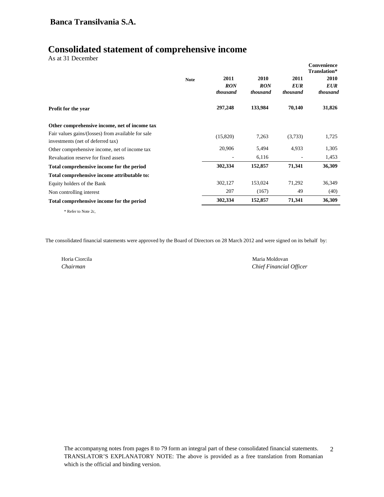# **Consolidated statement of comprehensive income**

As at 31 December

|                                                    | <b>Note</b> | 2011<br><b>RON</b><br>thousand | 2010<br><b>RON</b><br>thousand | 2011<br><b>EUR</b><br>thousand | Convenience<br>Translation*<br><b>2010</b><br><b>EUR</b><br>thousand |
|----------------------------------------------------|-------------|--------------------------------|--------------------------------|--------------------------------|----------------------------------------------------------------------|
| <b>Profit for the year</b>                         |             | 297,248                        | 133,984                        | 70,140                         | 31,826                                                               |
| Other comprehensive income, net of income tax      |             |                                |                                |                                |                                                                      |
| Fair values gains/(losses) from available for sale |             | (15,820)                       | 7,263                          | (3,733)                        | 1,725                                                                |
| investments (net of deferred tax)                  |             |                                |                                |                                |                                                                      |
| Other comprehensive income, net of income tax      |             | 20,906                         | 5,494                          | 4,933                          | 1,305                                                                |
| Revaluation reserve for fixed assets               |             |                                | 6,116                          |                                | 1,453                                                                |
| Total comprehensive income for the period          |             | 302,334                        | 152,857                        | 71,341                         | 36,309                                                               |
| Total comprehensive income attributable to:        |             |                                |                                |                                |                                                                      |
| Equity holders of the Bank                         |             | 302,127                        | 153,024                        | 71,292                         | 36,349                                                               |
| Non controlling interest                           |             | 207                            | (167)                          | 49                             | (40)                                                                 |
| Total comprehensive income for the period          |             | 302,334                        | 152,857                        | 71,341                         | 36,309                                                               |

\* Refer to Note 2c,

The consolidated financial statements were approved by the Board of Directors on 28 March 2012 and were signed on its behalf by:

Horia Ciorcila Maria Moldovan

*Chairman Chief Financial Officer*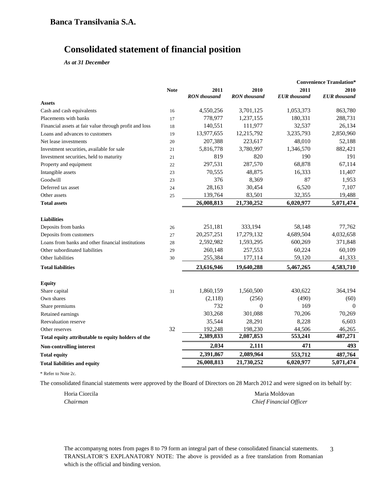# **Consolidated statement of financial position**

*As at 31 December* 

|                                                        |             |                     |                     |                     | <b>Convenience Translation*</b> |
|--------------------------------------------------------|-------------|---------------------|---------------------|---------------------|---------------------------------|
|                                                        | <b>Note</b> | 2011                | 2010                | 2011                | 2010                            |
|                                                        |             | <b>RON</b> thousand | <b>RON</b> thousand | <b>EUR</b> thousand | <b>EUR</b> thousand             |
| <b>Assets</b>                                          |             |                     |                     |                     |                                 |
| Cash and cash equivalents                              | 16          | 4,550,256           | 3,701,125           | 1,053,373           | 863,780                         |
| Placements with banks                                  | 17          | 778,977             | 1,237,155           | 180,331             | 288,731                         |
| Financial assets at fair value through profit and loss | 18          | 140,551             | 111,977             | 32,537              | 26,134                          |
| Loans and advances to customers                        | 19          | 13,977,655          | 12,215,792          | 3,235,793           | 2,850,960                       |
| Net lease investments                                  | 20          | 207,388             | 223,617             | 48,010              | 52,188                          |
| Investment securities, available for sale              | 21          | 5,816,778           | 3,780,997           | 1,346,570           | 882,421                         |
| Investment securities, held to maturity                | 21          | 819                 | 820                 | 190                 | 191                             |
| Property and equipment                                 | 22          | 297,531             | 287,570             | 68,878              | 67,114                          |
| Intangible assets                                      | 23          | 70,555              | 48,875              | 16,333              | 11,407                          |
| Goodwill                                               | 23          | 376                 | 8,369               | 87                  | 1,953                           |
| Deferred tax asset                                     | 24          | 28,163              | 30,454              | 6,520               | 7,107                           |
| Other assets                                           | 25          | 139,764             | 83,501              | 32,355              | 19,488                          |
| <b>Total assets</b>                                    |             | 26,008,813          | 21,730,252          | 6,020,977           | 5,071,474                       |
| <b>Liabilities</b>                                     |             |                     |                     |                     |                                 |
| Deposits from banks                                    | 26          | 251,181             | 333,194             | 58,148              | 77,762                          |
| Deposits from customers                                | 27          | 20,257,251          | 17,279,132          | 4,689,504           | 4,032,658                       |
| Loans from banks and other financial institutions      | 28          | 2,592,982           | 1,593,295           | 600,269             | 371,848                         |
| Other subordinated liabilities                         | 29          | 260,148             | 257,553             | 60,224              | 60,109                          |
| Other liabilities                                      | 30          | 255,384             | 177,114             | 59,120              | 41,333                          |
| <b>Total liabilities</b>                               |             | 23,616,946          | 19,640,288          | 5,467,265           | 4,583,710                       |
| <b>Equity</b>                                          |             |                     |                     |                     |                                 |
| Share capital                                          | 31          | 1,860,159           | 1,560,500           | 430,622             | 364,194                         |
| Own shares                                             |             | (2,118)             | (256)               | (490)               | (60)                            |
| Share premiums                                         |             | 732                 | $\Omega$            | 169                 | $\Omega$                        |
| Retained earnings                                      |             | 303,268             | 301,088             | 70,206              | 70,269                          |
| Reevaluation reserve                                   |             | 35,544              | 28,291              | 8,228               | 6,603                           |
| Other reserves                                         | 32          | 192,248             | 198,230             | 44,506              | 46,265                          |
| Total equity attributable to equity holders of the     |             | 2,389,833           | 2,087,853           | 553,241             | 487,271                         |
| Non-controlling interest                               |             | 2,034               | 2,111               | 471                 | 493                             |
| <b>Total equity</b>                                    |             | 2,391,867           | 2,089,964           | 553,712             | 487,764                         |
| <b>Total liabilities and equity</b>                    |             | 26,008,813          | 21,730,252          | 6,020,977           | 5,071,474                       |

\* Refer to Note 2c.

The consolidated financial statements were approved by the Board of Directors on 28 March 2012 and were signed on its behalf by:

Horia Ciorcila **Maria Moldovan** *Chairman Chief Financial Officer*

The accompanyng notes from pages 8 to 79 form an integral part of these consolidated financial statements. TRANSLATOR'S EXPLANATORY NOTE: The above is provided as a free translation from Romanian which is the official and binding version. 3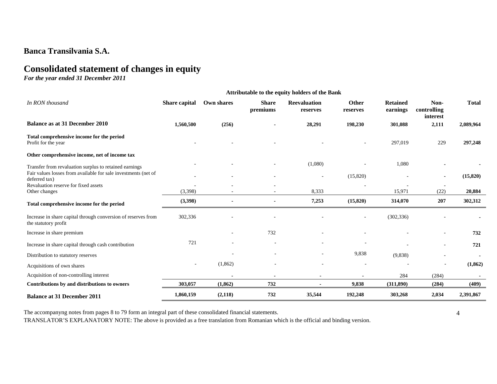# **Consolidated statement of changes in equity**

*For the year ended 31 December 2011* 

|                                                                                       | <b>Attributable to the equity holders of the Bank</b> |            |                          |                                 |                          |                             |                                 |              |
|---------------------------------------------------------------------------------------|-------------------------------------------------------|------------|--------------------------|---------------------------------|--------------------------|-----------------------------|---------------------------------|--------------|
| In RON thousand                                                                       | Share capital                                         | Own shares | <b>Share</b><br>premiums | <b>Reevaluation</b><br>reserves | <b>Other</b><br>reserves | <b>Retained</b><br>earnings | Non-<br>controlling<br>interest | <b>Total</b> |
| <b>Balance as at 31 December 2010</b>                                                 | 1,560,500                                             | (256)      |                          | 28,291                          | 198,230                  | 301,088                     | 2,111                           | 2,089,964    |
| Total comprehensive income for the period<br>Profit for the year                      |                                                       |            |                          |                                 |                          | 297,019                     | 229                             | 297,248      |
| Other comprehensive income, net of income tax                                         |                                                       |            |                          |                                 |                          |                             |                                 |              |
| Transfer from revaluation surplus to retained earnings                                |                                                       |            |                          | (1,080)                         |                          | 1,080                       |                                 |              |
| Fair values losses from available for sale investments (net of<br>deferred tax)       |                                                       |            |                          | $\sim$                          | (15,820)                 |                             | $\overline{\phantom{a}}$        | (15,820)     |
| Revaluation reserve for fixed assets<br>Other changes                                 | (3,398)                                               |            |                          | 8,333                           |                          | 15,971                      | $\overline{a}$<br>(22)          | 20,884       |
| Total comprehensive income for the period                                             | (3,398)                                               |            |                          | 7,253                           | (15,820)                 | 314,070                     | 207                             | 302,312      |
| Increase in share capital through conversion of reserves from<br>the statutory profit | 302,336                                               |            |                          |                                 |                          | (302, 336)                  |                                 |              |
| Increase in share premium                                                             |                                                       |            | 732                      |                                 |                          |                             |                                 | 732          |
| Increase in share capital through cash contribution                                   | 721                                                   |            |                          |                                 |                          |                             |                                 | 721          |
| Distribution to statutory reserves                                                    |                                                       |            |                          | $\sim$                          | 9,838                    | (9,838)                     | ۰                               |              |
| Acquisitions of own shares                                                            | $\sim$                                                | (1,862)    |                          | $\sim$                          | $\sim$                   |                             | ٠                               | (1, 862)     |
| Acquisition of non-controlling interest                                               |                                                       |            |                          | $\blacksquare$                  |                          | 284                         | (284)                           |              |
| Contributions by and distributions to owners                                          | 303,057                                               | (1, 862)   | 732                      |                                 | 9,838                    | (311,890)                   | (284)                           | (409)        |
| <b>Balance at 31 December 2011</b>                                                    | 1,860,159                                             | (2,118)    | 732                      | 35,544                          | 192,248                  | 303,268                     | 2,034                           | 2,391,867    |

The accompanyng notes from pages 8 to 79 form an integral part of these consolidated financial statements.

4

TRANSLATOR'S EXPLANATORY NOTE: The above is provided as a free translation from Romanian which is the official and binding version.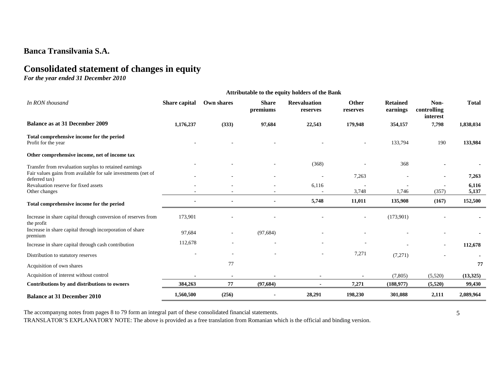# **Consolidated statement of changes in equity**

*For the year ended 31 December 2010* 

|                                                                                | Attributable to the equity holders of the Bank |            |                          |                                 |                   |                             |                                 |                |
|--------------------------------------------------------------------------------|------------------------------------------------|------------|--------------------------|---------------------------------|-------------------|-----------------------------|---------------------------------|----------------|
| In RON thousand                                                                | Share capital                                  | Own shares | <b>Share</b><br>premiums | <b>Reevaluation</b><br>reserves | Other<br>reserves | <b>Retained</b><br>earnings | Non-<br>controlling<br>interest | <b>Total</b>   |
| <b>Balance as at 31 December 2009</b>                                          | 1,176,237                                      | (333)      | 97,684                   | 22,543                          | 179,948           | 354,157                     | 7,798                           | 1,838,034      |
| Total comprehensive income for the period<br>Profit for the year               |                                                |            |                          |                                 | ÷                 | 133,794                     | 190                             | 133,984        |
| Other comprehensive income, net of income tax                                  |                                                |            |                          |                                 |                   |                             |                                 |                |
| Transfer from revaluation surplus to retained earnings                         |                                                |            |                          | (368)                           |                   | 368                         |                                 |                |
| Fair values gains from available for sale investments (net of<br>deferred tax) |                                                |            |                          | $\sim$                          | 7,263             |                             | $\blacksquare$                  | 7,263          |
| Revaluation reserve for fixed assets<br>Other changes                          |                                                |            |                          | 6,116                           | 3,748             | 1,746                       | $\sim$<br>(357)                 | 6,116<br>5,137 |
| Total comprehensive income for the period                                      |                                                |            |                          | 5,748                           | 11,011            | 135,908                     | (167)                           | 152,500        |
| Increase in share capital through conversion of reserves from<br>the profit    | 173,901                                        |            |                          |                                 |                   | (173,901)                   |                                 |                |
| Increase in share capital through incorporation of share<br>premium            | 97,684                                         |            | (97, 684)                |                                 |                   |                             |                                 |                |
| Increase in share capital through cash contribution                            | 112,678                                        |            |                          |                                 |                   |                             |                                 | 112,678        |
| Distribution to statutory reserves                                             |                                                |            |                          |                                 | 7,271             | (7,271)                     |                                 |                |
| Acquisition of own shares                                                      |                                                | 77         |                          |                                 |                   |                             |                                 | 77             |
| Acquisition of interest without control                                        |                                                |            |                          |                                 |                   | (7, 805)                    | (5,520)                         | (13,325)       |
| Contributions by and distributions to owners                                   | 384,263                                        | 77         | (97, 684)                |                                 | 7,271             | (188, 977)                  | (5,520)                         | 99,430         |
| <b>Balance at 31 December 2010</b>                                             | 1,560,500                                      | (256)      |                          | 28,291                          | 198,230           | 301,088                     | 2,111                           | 2,089,964      |

The accompanyng notes from pages 8 to 79 form an integral part of these consolidated financial statements.

5

TRANSLATOR'S EXPLANATORY NOTE: The above is provided as a free translation from Romanian which is the official and binding version.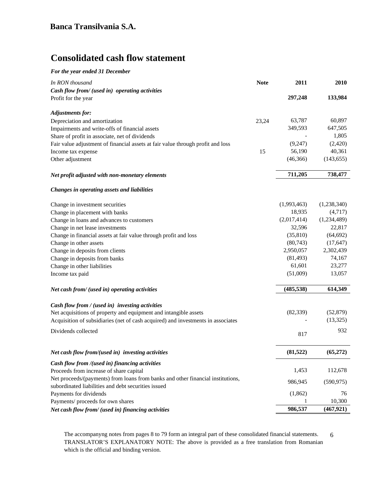# **Consolidated cash flow statement**

|  |  |  | For the year ended 31 December |
|--|--|--|--------------------------------|
|--|--|--|--------------------------------|

| In RON thousand                                                                  | <b>Note</b> | 2011        | 2010        |
|----------------------------------------------------------------------------------|-------------|-------------|-------------|
| Cash flow from/ (used in) operating activities                                   |             |             |             |
| Profit for the year                                                              |             | 297,248     | 133,984     |
|                                                                                  |             |             |             |
| <b>Adjustments for:</b>                                                          |             |             |             |
| Depreciation and amortization                                                    | 23,24       | 63,787      | 60,897      |
| Impairments and write-offs of financial assets                                   |             | 349,593     | 647,505     |
| Share of profit in associate, net of dividends                                   |             |             | 1,805       |
| Fair value adjustment of financial assets at fair value through profit and loss  |             | (9,247)     | (2,420)     |
| Income tax expense                                                               | 15          | 56,190      | 40,361      |
| Other adjustment                                                                 |             | (46, 366)   | (143, 655)  |
| Net profit adjusted with non-monetary elements                                   |             | 711,205     | 738,477     |
| Changes in operating assets and liabilities                                      |             |             |             |
| Change in investment securities                                                  |             | (1,993,463) | (1,238,340) |
| Change in placement with banks                                                   |             | 18,935      | (4,717)     |
| Change in loans and advances to customers                                        |             | (2,017,414) | (1,234,489) |
| Change in net lease investments                                                  |             | 32,596      | 22,817      |
| Change in financial assets at fair value through profit and loss                 |             | (35, 810)   | (64, 692)   |
| Change in other assets                                                           |             | (80, 743)   | (17, 647)   |
| Change in deposits from clients                                                  |             | 2,950,057   | 2,302,439   |
| Change in deposits from banks                                                    |             | (81, 493)   | 74,167      |
| Change in other liabilities                                                      |             | 61,601      | 23,277      |
| Income tax paid                                                                  |             | (51,009)    | 13,057      |
|                                                                                  |             |             |             |
| Net cash from/ (used in) operating activities                                    |             | (485, 538)  | 614,349     |
| Cash flow from / (used in) investing activities                                  |             |             |             |
| Net acquisitions of property and equipment and intangible assets                 |             | (82, 339)   | (52, 879)   |
| Acquisition of subsidiaries (net of cash acquired) and investments in associates |             |             | (13,325)    |
| Dividends collected                                                              |             | 817         | 932         |
|                                                                                  |             |             |             |
| Net cash flow from/(used in) investing activities                                |             | (81, 522)   | (65,272)    |
| Cash flow from /(used in) financing activities                                   |             |             |             |
| Proceeds from increase of share capital                                          |             | 1,453       | 112,678     |
| Net proceeds/(payments) from loans from banks and other financial institutions,  |             | 986,945     | (590, 975)  |
| subordinated liabilities and debt securities issued                              |             |             |             |
| Payments for dividends                                                           |             | (1,862)     | 76          |
| Payments/ proceeds for own shares                                                |             | 1           | 10,300      |
| Net cash flow from/ (used in) financing activities                               |             | 986,537     | (467, 921)  |

The accompanyng notes from pages 8 to 79 form an integral part of these consolidated financial statements. TRANSLATOR'S EXPLANATORY NOTE: The above is provided as a free translation from Romanian which is the official and binding version. 6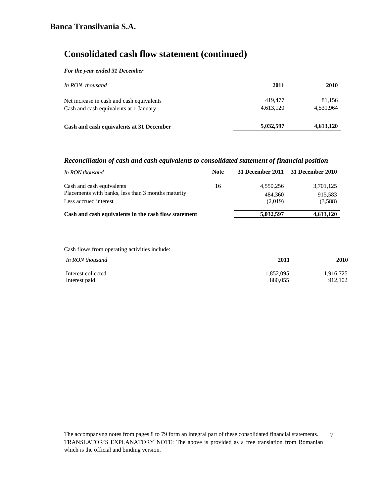# **Consolidated cash flow statement (continued)**

#### *For the year ended 31 December*

| In RON thousand                           | 2011      | <b>2010</b> |
|-------------------------------------------|-----------|-------------|
| Net increase in cash and cash equivalents | 419,477   | 81,156      |
| Cash and cash equivalents at 1 January    | 4,613,120 | 4.531.964   |
| Cash and cash equivalents at 31 December  | 5,032,597 | 4,613,120   |

## *Reconciliation of cash and cash equivalents to consolidated statement of financial position*

| In RON thousand                                      | <b>Note</b> |           | 31 December 2011 31 December 2010 |
|------------------------------------------------------|-------------|-----------|-----------------------------------|
| Cash and cash equivalents                            | 16          | 4,550,256 | 3,701,125                         |
| Placements with banks, less than 3 months maturity   |             | 484,360   | 915,583                           |
| Less accrued interest                                |             | (2.019)   | (3,588)                           |
| Cash and cash equivalents in the cash flow statement |             | 5,032,597 | 4,613,120                         |
|                                                      |             |           |                                   |

Cash flows from operating activities include:

| In RON thousand    | 2011      | 2010      |
|--------------------|-----------|-----------|
| Interest collected | 1,852,095 | 1,916,725 |
| Interest paid      | 880.055   | 912.102   |

The accompanyng notes from pages 8 to 79 form an integral part of these consolidated financial statements. TRANSLATOR'S EXPLANATORY NOTE: The above is provided as a free translation from Romanian which is the official and binding version. 7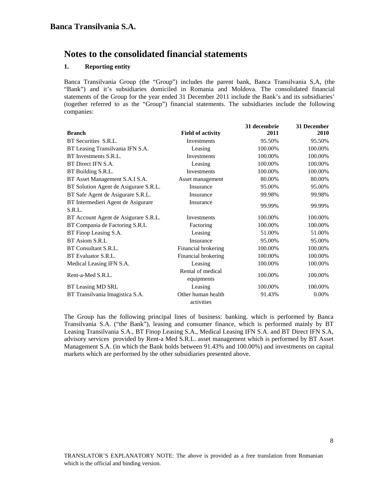### **1. Reporting entity**

Banca Transilvania Group (the "Group") includes the parent bank, Banca Transilvania S,A, (the "Bank") and it's subsidiaries domiciled in Romania and Moldova. The consolidated financial statements of the Group for the year ended 31 December 2011 include the Bank's and its subsidiaries' (together referred to as the "Group") financial statements. The subsidiaries include the following companies:

|                                       |                                  | 31 decembrie | 31 December |
|---------------------------------------|----------------------------------|--------------|-------------|
| <b>Branch</b>                         | <b>Field of activity</b>         | 2011         | <b>2010</b> |
| BT Securities S.R.L.                  | Investments                      | 95.50%       | 95.50%      |
| BT Leasing Transilvania IFN S.A.      | Leasing                          | 100.00%      | 100.00%     |
| BT Investments S.R.L.                 | <b>Investments</b>               | 100.00%      | 100.00%     |
| BT Direct IFN S.A.                    | Leasing                          | 100.00%      | 100.00%     |
| BT Building S.R.L.                    | <b>Investments</b>               | 100.00%      | 100.00%     |
| BT Asset Management S.A.I S.A.        | Asset management                 | 80.00%       | 80.00%      |
| BT Solution Agent de Asigurare S.R.L. | Insurance                        | 95.00%       | 95.00%      |
| BT Safe Agent de Asigurare S.R.L.     | Insurance                        | 99.98%       | 99.98%      |
| BT Intermedieri Agent de Asigurare    | Insurance                        | 99.99%       | 99.99%      |
| S.R.L.                                |                                  |              |             |
| BT Account Agent de Asigurare S.R.L.  | <b>Investments</b>               | 100.00%      | 100.00%     |
| BT Compania de Factoring S.R.L        | Factoring                        | 100.00%      | 100.00%     |
| BT Finop Leasing S.A.                 | Leasing                          | 51.00%       | 51.00%      |
| BT Asiom S.R.L                        | Insurance                        | 95.00%       | 95.00%      |
| BT Consultant S.R.L.                  | Financial brokering              | 100.00%      | 100.00%     |
| BT Evaluator S.R.L.                   | Financial brokering              | 100.00%      | 100.00%     |
| Medical Leasing IFN S.A.              | Leasing                          | 100.00%      | 100.00%     |
| Rent-a-Med S.R.L.                     | Rental of medical<br>equipments  | 100.00%      | 100.00%     |
| BT Leasing MD SRL                     | Leasing                          | 100.00%      | 100.00%     |
| BT Transilvania Imagistica S.A.       | Other human health<br>activities | 91.43%       | 0.00%       |

The Group has the following principal lines of business: banking. which is performed by Banca Transilvania S.A. ("the Bank"), leasing and consumer finance, which is performed mainly by BT Leasing Transilvania S.A., BT Finop Leasing S.A., Medical Leasing IFN S.A. and BT Direct IFN S.A, advisory services provided by Rent-a Med S.R.L. asset management which is performed by BT Asset Management S.A. (in which the Bank holds between 91.43% and 100.00%) and investments on capital markets which are performed by the other subsidiaries presented above.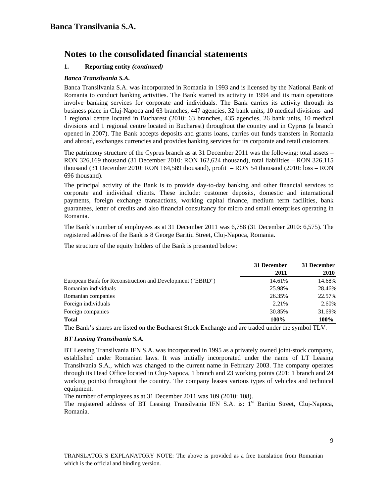# **1. Reporting entity** *(continued)*

## *Banca Transilvania S.A.*

Banca Transilvania S.A. was incorporated in Romania in 1993 and is licensed by the National Bank of Romania to conduct banking activities. The Bank started its activity in 1994 and its main operations involve banking services for corporate and individuals. The Bank carries its activity through its business place in Cluj-Napoca and 63 branches, 447 agencies, 32 bank units, 10 medical divisions and 1 regional centre located in Bucharest (2010: 63 branches, 435 agencies, 26 bank units, 10 medical divisions and 1 regional centre located in Bucharest) throughout the country and in Cyprus (a branch opened in 2007). The Bank accepts deposits and grants loans, carries out funds transfers in Romania and abroad, exchanges currencies and provides banking services for its corporate and retail customers.

The patrimony structure of the Cyprus branch as at 31 December 2011 was the following: total assets – RON 326,169 thousand (31 December 2010: RON 162,624 thousand), total liabilities – RON 326,115 thousand (31 December 2010: RON 164,589 thousand), profit – RON 54 thousand (2010: loss – RON 696 thousand).

The principal activity of the Bank is to provide day-to-day banking and other financial services to corporate and individual clients. These include: customer deposits, domestic and international payments, foreign exchange transactions, working capital finance, medium term facilities, bank guarantees, letter of credits and also financial consultancy for micro and small enterprises operating in Romania.

The Bank's number of employees as at 31 December 2011 was 6,788 (31 December 2010: 6,575). The registered address of the Bank is 8 George Baritiu Street, Cluj-Napoca, Romania.

The structure of the equity holders of the Bank is presented below:

|                                                           | 31 December | 31 December |
|-----------------------------------------------------------|-------------|-------------|
|                                                           | 2011        | 2010        |
| European Bank for Reconstruction and Development ("EBRD") | 14.61%      | 14.68%      |
| Romanian individuals                                      | 25.98%      | 28.46%      |
| Romanian companies                                        | 26.35%      | 22.57%      |
| Foreign individuals                                       | 2.21%       | 2.60%       |
| Foreign companies                                         | 30.85%      | 31.69%      |
| <b>Total</b>                                              | 100%        | 100%        |

The Bank's shares are listed on the Bucharest Stock Exchange and are traded under the symbol TLV.

## *BT Leasing Transilvania S.A.*

BT Leasing Transilvania IFN S.A. was incorporated in 1995 as a privately owned joint-stock company, established under Romanian laws. It was initially incorporated under the name of LT Leasing Transilvania S.A., which was changed to the current name in February 2003. The company operates through its Head Office located in Cluj-Napoca, 1 branch and 23 working points (201: 1 branch and 24 working points) throughout the country. The company leases various types of vehicles and technical equipment.

The number of employees as at 31 December 2011 was 109 (2010: 108).

The registered address of BT Leasing Transilvania IFN S.A. is: 1<sup>st</sup> Baritiu Street, Cluj-Napoca, Romania.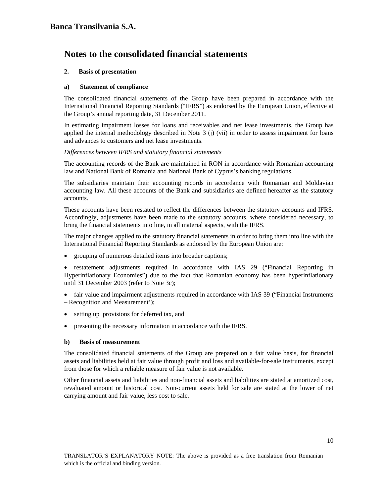### **2. Basis of presentation**

#### **a) Statement of compliance**

The consolidated financial statements of the Group have been prepared in accordance with the International Financial Reporting Standards ("IFRS") as endorsed by the European Union, effective at the Group's annual reporting date, 31 December 2011.

In estimating impairment losses for loans and receivables and net lease investments, the Group has applied the internal methodology described in Note 3 (j) (vii) in order to assess impairment for loans and advances to customers and net lease investments.

#### *Differences between IFRS and statutory financial statements*

The accounting records of the Bank are maintained in RON in accordance with Romanian accounting law and National Bank of Romania and National Bank of Cyprus's banking regulations.

The subsidiaries maintain their accounting records in accordance with Romanian and Moldavian accounting law. All these accounts of the Bank and subsidiaries are defined hereafter as the statutory accounts.

These accounts have been restated to reflect the differences between the statutory accounts and IFRS. Accordingly, adjustments have been made to the statutory accounts, where considered necessary, to bring the financial statements into line, in all material aspects, with the IFRS.

The major changes applied to the statutory financial statements in order to bring them into line with the International Financial Reporting Standards as endorsed by the European Union are:

• grouping of numerous detailed items into broader captions;

• restatement adjustments required in accordance with IAS 29 ("Financial Reporting in Hyperinflationary Economies") due to the fact that Romanian economy has been hyperinflationary until 31 December 2003 (refer to Note 3c);

- fair value and impairment adjustments required in accordance with IAS 39 ("Financial Instruments") – Recognition and Measurement');
- setting up provisions for deferred tax, and
- presenting the necessary information in accordance with the IFRS.

#### **b) Basis of measurement**

The consolidated financial statements of the Group are prepared on a fair value basis, for financial assets and liabilities held at fair value through profit and loss and available-for-sale instruments, except from those for which a reliable measure of fair value is not available.

Other financial assets and liabilities and non-financial assets and liabilities are stated at amortized cost, revaluated amount or historical cost. Non-current assets held for sale are stated at the lower of net carrying amount and fair value, less cost to sale.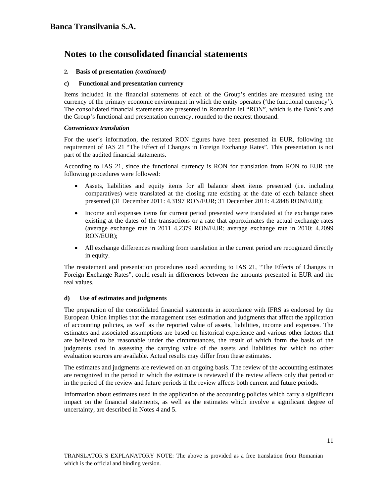### **2. Basis of presentation** *(continued)*

#### **c) Functional and presentation currency**

Items included in the financial statements of each of the Group's entities are measured using the currency of the primary economic environment in which the entity operates ('the functional currency'). The consolidated financial statements are presented in Romanian lei "RON", which is the Bank's and the Group's functional and presentation currency, rounded to the nearest thousand.

#### *Convenience translation*

For the user's information, the restated RON figures have been presented in EUR, following the requirement of IAS 21 "The Effect of Changes in Foreign Exchange Rates". This presentation is not part of the audited financial statements.

According to IAS 21, since the functional currency is RON for translation from RON to EUR the following procedures were followed:

- Assets, liabilities and equity items for all balance sheet items presented (i.e. including comparatives) were translated at the closing rate existing at the date of each balance sheet presented (31 December 2011: 4.3197 RON/EUR; 31 December 2011: 4.2848 RON/EUR);
- Income and expenses items for current period presented were translated at the exchange rates existing at the dates of the transactions or a rate that approximates the actual exchange rates (average exchange rate in 2011 4,2379 RON/EUR; average exchange rate in 2010: 4.2099 RON/EUR);
- All exchange differences resulting from translation in the current period are recognized directly in equity.

The restatement and presentation procedures used according to IAS 21, "The Effects of Changes in Foreign Exchange Rates", could result in differences between the amounts presented in EUR and the real values.

#### **d) Use of estimates and judgments**

The preparation of the consolidated financial statements in accordance with IFRS as endorsed by the European Union implies that the management uses estimation and judgments that affect the application of accounting policies, as well as the reported value of assets, liabilities, income and expenses. The estimates and associated assumptions are based on historical experience and various other factors that are believed to be reasonable under the circumstances, the result of which form the basis of the judgments used in assessing the carrying value of the assets and liabilities for which no other evaluation sources are available. Actual results may differ from these estimates.

The estimates and judgments are reviewed on an ongoing basis. The review of the accounting estimates are recognized in the period in which the estimate is reviewed if the review affects only that period or in the period of the review and future periods if the review affects both current and future periods.

Information about estimates used in the application of the accounting policies which carry a significant impact on the financial statements, as well as the estimates which involve a significant degree of uncertainty, are described in Notes 4 and 5.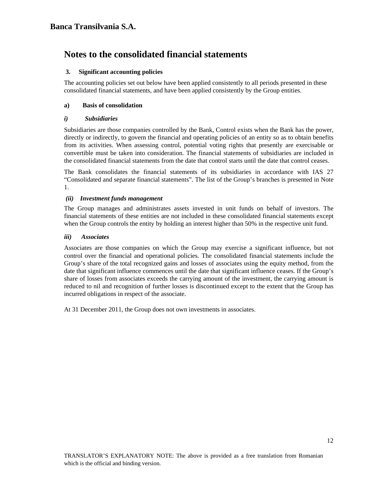### **3. Significant accounting policies**

The accounting policies set out below have been applied consistently to all periods presented in these consolidated financial statements, and have been applied consistently by the Group entities.

## **a) Basis of consolidation**

#### *i) Subsidiaries*

Subsidiaries are those companies controlled by the Bank, Control exists when the Bank has the power, directly or indirectly, to govern the financial and operating policies of an entity so as to obtain benefits from its activities. When assessing control, potential voting rights that presently are exercisable or convertible must be taken into consideration. The financial statements of subsidiaries are included in the consolidated financial statements from the date that control starts until the date that control ceases.

The Bank consolidates the financial statements of its subsidiaries in accordance with IAS 27 "Consolidated and separate financial statements". The list of the Group's branches is presented in Note 1.

#### *(ii) Investment funds management*

The Group manages and administrates assets invested in unit funds on behalf of investors. The financial statements of these entities are not included in these consolidated financial statements except when the Group controls the entity by holding an interest higher than 50% in the respective unit fund.

#### *iii) Associates*

Associates are those companies on which the Group may exercise a significant influence, but not control over the financial and operational policies. The consolidated financial statements include the Group's share of the total recognized gains and losses of associates using the equity method, from the date that significant influence commences until the date that significant influence ceases. If the Group's share of losses from associates exceeds the carrying amount of the investment, the carrying amount is reduced to nil and recognition of further losses is discontinued except to the extent that the Group has incurred obligations in respect of the associate.

At 31 December 2011, the Group does not own investments in associates.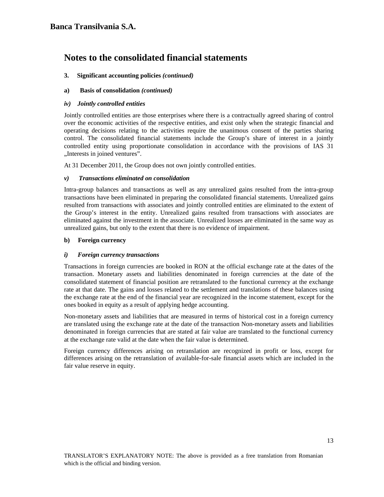## **3. Significant accounting policies** *(continued)*

## **a) Basis of consolidation** *(continued)*

### *iv) Jointly controlled entities*

Jointly controlled entities are those enterprises where there is a contractually agreed sharing of control over the economic activities of the respective entities, and exist only when the strategic financial and operating decisions relating to the activities require the unanimous consent of the parties sharing control. The consolidated financial statements include the Group's share of interest in a jointly controlled entity using proportionate consolidation in accordance with the provisions of IAS 31 "Interests in joined ventures".

At 31 December 2011, the Group does not own jointly controlled entities.

## *v) Transactions eliminated on consolidation*

Intra-group balances and transactions as well as any unrealized gains resulted from the intra-group transactions have been eliminated in preparing the consolidated financial statements. Unrealized gains resulted from transactions with associates and jointly controlled entities are eliminated to the extent of the Group's interest in the entity. Unrealized gains resulted from transactions with associates are eliminated against the investment in the associate. Unrealized losses are eliminated in the same way as unrealized gains, but only to the extent that there is no evidence of impairment.

#### **b) Foreign currency**

## *i) Foreign currency transactions*

Transactions in foreign currencies are booked in RON at the official exchange rate at the dates of the transaction. Monetary assets and liabilities denominated in foreign currencies at the date of the consolidated statement of financial position are retranslated to the functional currency at the exchange rate at that date. The gains and losses related to the settlement and translations of these balances using the exchange rate at the end of the financial year are recognized in the income statement, except for the ones booked in equity as a result of applying hedge accounting.

Non-monetary assets and liabilities that are measured in terms of historical cost in a foreign currency are translated using the exchange rate at the date of the transaction Non-monetary assets and liabilities denominated in foreign currencies that are stated at fair value are translated to the functional currency at the exchange rate valid at the date when the fair value is determined.

Foreign currency differences arising on retranslation are recognized in profit or loss, except for differences arising on the retranslation of available-for-sale financial assets which are included in the fair value reserve in equity.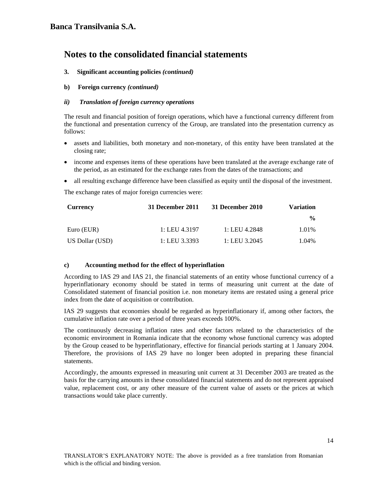### **3. Significant accounting policies** *(continued)*

### **b) Foreign currency** *(continued)*

### *ii) Translation of foreign currency operations*

The result and financial position of foreign operations, which have a functional currency different from the functional and presentation currency of the Group, are translated into the presentation currency as follows:

- assets and liabilities, both monetary and non-monetary, of this entity have been translated at the closing rate;
- income and expenses items of these operations have been translated at the average exchange rate of the period, as an estimated for the exchange rates from the dates of the transactions; and
- all resulting exchange difference have been classified as equity until the disposal of the investment.

The exchange rates of major foreign currencies were:

| <b>Currency</b> | 31 December 2011 | 31 December 2010 | <b>Variation</b> |
|-----------------|------------------|------------------|------------------|
|                 |                  |                  | $\frac{0}{0}$    |
| Euro (EUR)      | 1: LEU 4.3197    | 1: LEU 4.2848    | 1.01%            |
| US Dollar (USD) | 1: LEU 3.3393    | 1: LEU 3.2045    | 1.04%            |

#### **c) Accounting method for the effect of hyperinflation**

According to IAS 29 and IAS 21, the financial statements of an entity whose functional currency of a hyperinflationary economy should be stated in terms of measuring unit current at the date of Consolidated statement of financial position i.e. non monetary items are restated using a general price index from the date of acquisition or contribution.

IAS 29 suggests that economies should be regarded as hyperinflationary if, among other factors, the cumulative inflation rate over a period of three years exceeds 100%.

The continuously decreasing inflation rates and other factors related to the characteristics of the economic environment in Romania indicate that the economy whose functional currency was adopted by the Group ceased to be hyperinflationary, effective for financial periods starting at 1 January 2004. Therefore, the provisions of IAS 29 have no longer been adopted in preparing these financial statements.

Accordingly, the amounts expressed in measuring unit current at 31 December 2003 are treated as the basis for the carrying amounts in these consolidated financial statements and do not represent appraised value, replacement cost, or any other measure of the current value of assets or the prices at which transactions would take place currently.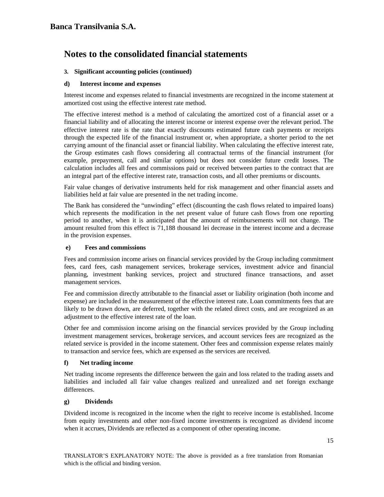## **3. Significant accounting policies (continued)**

#### **d) Interest income and expenses**

Interest income and expenses related to financial investments are recognized in the income statement at amortized cost using the effective interest rate method.

The effective interest method is a method of calculating the amortized cost of a financial asset or a financial liability and of allocating the interest income or interest expense over the relevant period. The effective interest rate is the rate that exactly discounts estimated future cash payments or receipts through the expected life of the financial instrument or, when appropriate, a shorter period to the net carrying amount of the financial asset or financial liability. When calculating the effective interest rate, the Group estimates cash flows considering all contractual terms of the financial instrument (for example, prepayment, call and similar options) but does not consider future credit losses. The calculation includes all fees and commissions paid or received between parties to the contract that are an integral part of the effective interest rate, transaction costs, and all other premiums or discounts.

Fair value changes of derivative instruments held for risk management and other financial assets and liabilities held at fair value are presented in the net trading income.

The Bank has considered the "unwinding" effect (discounting the cash flows related to impaired loans) which represents the modification in the net present value of future cash flows from one reporting period to another, when it is anticipated that the amount of reimbursements will not change. The amount resulted from this effect is 71,188 thousand lei decrease in the interest income and a decrease in the provision expenses.

#### **e) Fees and commissions**

Fees and commission income arises on financial services provided by the Group including commitment fees, card fees, cash management services, brokerage services, investment advice and financial planning, investment banking services, project and structured finance transactions, and asset management services.

Fee and commission directly attributable to the financial asset or liability origination (both income and expense) are included in the measurement of the effective interest rate. Loan commitments fees that are likely to be drawn down, are deferred, together with the related direct costs, and are recognized as an adjustment to the effective interest rate of the loan.

Other fee and commission income arising on the financial services provided by the Group including investment management services, brokerage services, and account services fees are recognized as the related service is provided in the income statement. Other fees and commission expense relates mainly to transaction and service fees, which are expensed as the services are received.

#### **f) Net trading income**

Net trading income represents the difference between the gain and loss related to the trading assets and liabilities and included all fair value changes realized and unrealized and net foreign exchange differences.

#### **g) Dividends**

Dividend income is recognized in the income when the right to receive income is established. Income from equity investments and other non-fixed income investments is recognized as dividend income when it accrues, Dividends are reflected as a component of other operating income.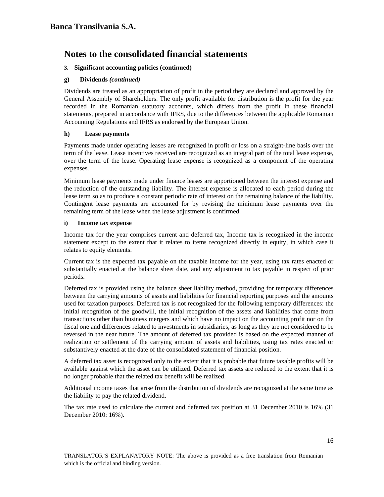## **3. Significant accounting policies (continued)**

## **g) Dividends** *(continued)*

Dividends are treated as an appropriation of profit in the period they are declared and approved by the General Assembly of Shareholders. The only profit available for distribution is the profit for the year recorded in the Romanian statutory accounts, which differs from the profit in these financial statements, prepared in accordance with IFRS, due to the differences between the applicable Romanian Accounting Regulations and IFRS as endorsed by the European Union.

#### **h) Lease payments**

Payments made under operating leases are recognized in profit or loss on a straight-line basis over the term of the lease. Lease incentives received are recognized as an integral part of the total lease expense, over the term of the lease. Operating lease expense is recognized as a component of the operating expenses.

Minimum lease payments made under finance leases are apportioned between the interest expense and the reduction of the outstanding liability. The interest expense is allocated to each period during the lease term so as to produce a constant periodic rate of interest on the remaining balance of the liability. Contingent lease payments are accounted for by revising the minimum lease payments over the remaining term of the lease when the lease adjustment is confirmed.

#### **i) Income tax expense**

Income tax for the year comprises current and deferred tax, Income tax is recognized in the income statement except to the extent that it relates to items recognized directly in equity, in which case it relates to equity elements.

Current tax is the expected tax payable on the taxable income for the year, using tax rates enacted or substantially enacted at the balance sheet date, and any adjustment to tax payable in respect of prior periods.

Deferred tax is provided using the balance sheet liability method, providing for temporary differences between the carrying amounts of assets and liabilities for financial reporting purposes and the amounts used for taxation purposes. Deferred tax is not recognized for the following temporary differences: the initial recognition of the goodwill, the initial recognition of the assets and liabilities that come from transactions other than business mergers and which have no impact on the accounting profit nor on the fiscal one and differences related to investments in subsidiaries, as long as they are not considered to be reversed in the near future. The amount of deferred tax provided is based on the expected manner of realization or settlement of the carrying amount of assets and liabilities, using tax rates enacted or substantively enacted at the date of the consolidated statement of financial position.

A deferred tax asset is recognized only to the extent that it is probable that future taxable profits will be available against which the asset can be utilized. Deferred tax assets are reduced to the extent that it is no longer probable that the related tax benefit will be realized.

Additional income taxes that arise from the distribution of dividends are recognized at the same time as the liability to pay the related dividend.

The tax rate used to calculate the current and deferred tax position at 31 December 2010 is 16% (31 December 2010: 16%).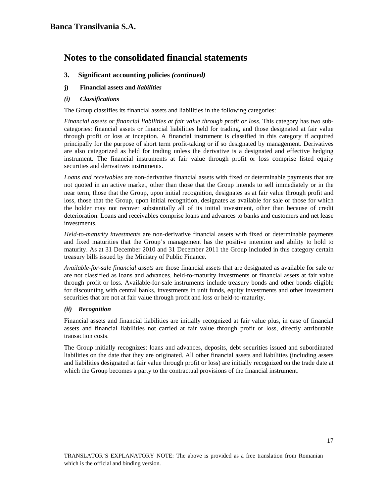# **3. Significant accounting policies** *(continued)*

- **j) Financial assets and** *liabilities*
- *(i) Classifications*

The Group classifies its financial assets and liabilities in the following categories:

*Financial assets or financial liabilities at fair value through profit or loss*. This category has two subcategories: financial assets or financial liabilities held for trading, and those designated at fair value through profit or loss at inception. A financial instrument is classified in this category if acquired principally for the purpose of short term profit-taking or if so designated by management. Derivatives are also categorized as held for trading unless the derivative is a designated and effective hedging instrument. The financial instruments at fair value through profit or loss comprise listed equity securities and derivatives instruments.

*Loans and receivables* are non-derivative financial assets with fixed or determinable payments that are not quoted in an active market, other than those that the Group intends to sell immediately or in the near term, those that the Group, upon initial recognition, designates as at fair value through profit and loss, those that the Group, upon initial recognition, designates as available for sale or those for which the holder may not recover substantially all of its initial investment, other than because of credit deterioration. Loans and receivables comprise loans and advances to banks and customers and net lease investments.

*Held-to-maturity investments* are non-derivative financial assets with fixed or determinable payments and fixed maturities that the Group's management has the positive intention and ability to hold to maturity. As at 31 December 2010 and 31 December 2011 the Group included in this category certain treasury bills issued by the Ministry of Public Finance.

*Available-for-sale financial assets* are those financial assets that are designated as available for sale or are not classified as loans and advances, held-to-maturity investments or financial assets at fair value through profit or loss. Available-for-sale instruments include treasury bonds and other bonds eligible for discounting with central banks, investments in unit funds, equity investments and other investment securities that are not at fair value through profit and loss or held-to-maturity.

## *(ii) Recognition*

Financial assets and financial liabilities are initially recognized at fair value plus, in case of financial assets and financial liabilities not carried at fair value through profit or loss, directly attributable transaction costs.

The Group initially recognizes: loans and advances, deposits, debt securities issued and subordinated liabilities on the date that they are originated. All other financial assets and liabilities (including assets and liabilities designated at fair value through profit or loss) are initially recognized on the trade date at which the Group becomes a party to the contractual provisions of the financial instrument.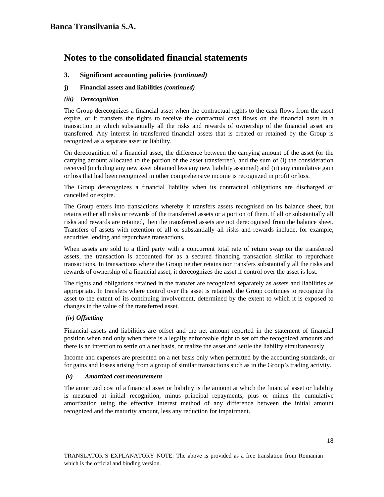# **3. Significant accounting policies** *(continued)*

### **j) Financial assets and liabilities** *(continued)*

#### *(iii) Derecognition*

The Group derecognizes a financial asset when the contractual rights to the cash flows from the asset expire, or it transfers the rights to receive the contractual cash flows on the financial asset in a transaction in which substantially all the risks and rewards of ownership of the financial asset are transferred. Any interest in transferred financial assets that is created or retained by the Group is recognized as a separate asset or liability.

On derecognition of a financial asset, the difference between the carrying amount of the asset (or the carrying amount allocated to the portion of the asset transferred), and the sum of (i) the consideration received (including any new asset obtained less any new liability assumed) and (ii) any cumulative gain or loss that had been recognized in other comprehensive income is recognized in profit or loss.

The Group derecognizes a financial liability when its contractual obligations are discharged or cancelled or expire.

The Group enters into transactions whereby it transfers assets recognised on its balance sheet, but retains either all risks or rewards of the transferred assets or a portion of them. If all or substantially all risks and rewards are retained, then the transferred assets are not derecognised from the balance sheet. Transfers of assets with retention of all or substantially all risks and rewards include, for example, securities lending and repurchase transactions.

When assets are sold to a third party with a concurrent total rate of return swap on the transferred assets, the transaction is accounted for as a secured financing transaction similar to repurchase transactions. In transactions where the Group neither retains nor transfers substantially all the risks and rewards of ownership of a financial asset, it derecognizes the asset if control over the asset is lost.

The rights and obligations retained in the transfer are recognized separately as assets and liabilities as appropriate. In transfers where control over the asset is retained, the Group continues to recognize the asset to the extent of its continuing involvement, determined by the extent to which it is exposed to changes in the value of the transferred asset.

#### *(iv) Offsetting*

Financial assets and liabilities are offset and the net amount reported in the statement of financial position when and only when there is a legally enforceable right to set off the recognized amounts and there is an intention to settle on a net basis, or realize the asset and settle the liability simultaneously.

Income and expenses are presented on a net basis only when permitted by the accounting standards, or for gains and losses arising from a group of similar transactions such as in the Group's trading activity.

#### *(v) Amortized cost measurement*

The amortized cost of a financial asset or liability is the amount at which the financial asset or liability is measured at initial recognition, minus principal repayments, plus or minus the cumulative amortization using the effective interest method of any difference between the initial amount recognized and the maturity amount, less any reduction for impairment.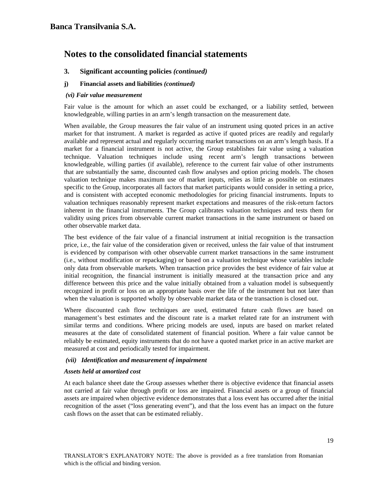# **3. Significant accounting policies** *(continued)*

### **j) Financial assets and liabilities** *(continued)*

#### *(vi) Fair value measurement*

Fair value is the amount for which an asset could be exchanged, or a liability settled, between knowledgeable, willing parties in an arm's length transaction on the measurement date.

When available, the Group measures the fair value of an instrument using quoted prices in an active market for that instrument. A market is regarded as active if quoted prices are readily and regularly available and represent actual and regularly occurring market transactions on an arm's length basis. If a market for a financial instrument is not active, the Group establishes fair value using a valuation technique. Valuation techniques include using recent arm's length transactions between knowledgeable, willing parties (if available), reference to the current fair value of other instruments that are substantially the same, discounted cash flow analyses and option pricing models. The chosen valuation technique makes maximum use of market inputs, relies as little as possible on estimates specific to the Group, incorporates all factors that market participants would consider in setting a price, and is consistent with accepted economic methodologies for pricing financial instruments. Inputs to valuation techniques reasonably represent market expectations and measures of the risk-return factors inherent in the financial instruments. The Group calibrates valuation techniques and tests them for validity using prices from observable current market transactions in the same instrument or based on other observable market data.

The best evidence of the fair value of a financial instrument at initial recognition is the transaction price, i.e., the fair value of the consideration given or received, unless the fair value of that instrument is evidenced by comparison with other observable current market transactions in the same instrument (i.e., without modification or repackaging) or based on a valuation technique whose variables include only data from observable markets. When transaction price provides the best evidence of fair value at initial recognition, the financial instrument is initially measured at the transaction price and any difference between this price and the value initially obtained from a valuation model is subsequently recognized in profit or loss on an appropriate basis over the life of the instrument but not later than when the valuation is supported wholly by observable market data or the transaction is closed out.

Where discounted cash flow techniques are used, estimated future cash flows are based on management's best estimates and the discount rate is a market related rate for an instrument with similar terms and conditions. Where pricing models are used, inputs are based on market related measures at the date of consolidated statement of financial position. Where a fair value cannot be reliably be estimated, equity instruments that do not have a quoted market price in an active market are measured at cost and periodically tested for impairment.

#### *(vii) Identification and measurement of impairment*

#### *Assets held at amortized cost*

At each balance sheet date the Group assesses whether there is objective evidence that financial assets not carried at fair value through profit or loss are impaired. Financial assets or a group of financial assets are impaired when objective evidence demonstrates that a loss event has occurred after the initial recognition of the asset ("loss generating event"), and that the loss event has an impact on the future cash flows on the asset that can be estimated reliably.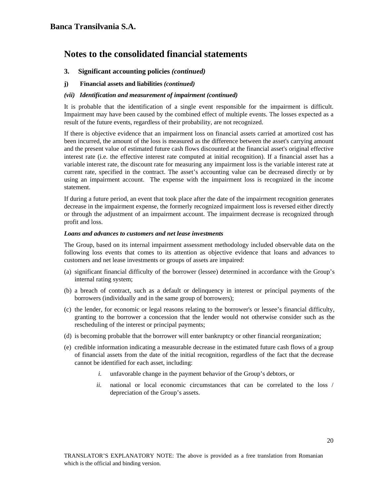## **3. Significant accounting policies** *(continued)*

**j) Financial assets and liabilities** *(continued)* 

#### *(vii) Identification and measurement of impairment (continued)*

It is probable that the identification of a single event responsible for the impairment is difficult. Impairment may have been caused by the combined effect of multiple events. The losses expected as a result of the future events, regardless of their probability, are not recognized.

If there is objective evidence that an impairment loss on financial assets carried at amortized cost has been incurred, the amount of the loss is measured as the difference between the asset's carrying amount and the present value of estimated future cash flows discounted at the financial asset's original effective interest rate (i.e. the effective interest rate computed at initial recognition). If a financial asset has a variable interest rate, the discount rate for measuring any impairment loss is the variable interest rate at current rate, specified in the contract. The asset's accounting value can be decreased directly or by using an impairment account. The expense with the impairment loss is recognized in the income statement.

If during a future period, an event that took place after the date of the impairment recognition generates decrease in the impairment expense, the formerly recognized impairment loss is reversed either directly or through the adjustment of an impairment account. The impairment decrease is recognized through profit and loss.

#### *Loans and advances to customers and net lease investments*

The Group, based on its internal impairment assessment methodology included observable data on the following loss events that comes to its attention as objective evidence that loans and advances to customers and net lease investments or groups of assets are impaired:

- (a) significant financial difficulty of the borrower (lessee) determined in accordance with the Group's internal rating system;
- (b) a breach of contract, such as a default or delinquency in interest or principal payments of the borrowers (individually and in the same group of borrowers);
- (c) the lender, for economic or legal reasons relating to the borrower's or lessee's financial difficulty, granting to the borrower a concession that the lender would not otherwise consider such as the rescheduling of the interest or principal payments;
- (d) is becoming probable that the borrower will enter bankruptcy or other financial reorganization;
- (e) credible information indicating a measurable decrease in the estimated future cash flows of a group of financial assets from the date of the initial recognition, regardless of the fact that the decrease cannot be identified for each asset, including:
	- *i.* unfavorable change in the payment behavior of the Group's debtors, or
	- *ii.* national or local economic circumstances that can be correlated to the loss / depreciation of the Group's assets.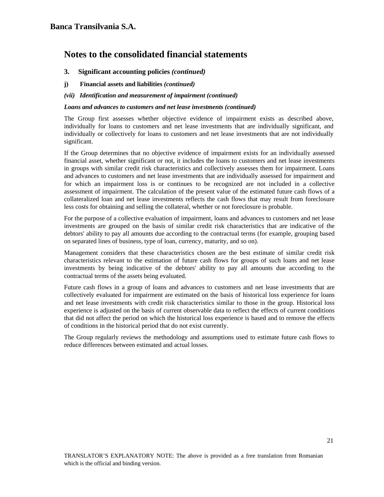## **3. Significant accounting policies** *(continued)*

- **j) Financial assets and liabilities** *(continued)*
- *(vii) Identification and measurement of impairment (continued)*

#### *Loans and advances to customers and net lease investments (continued)*

The Group first assesses whether objective evidence of impairment exists as described above, individually for loans to customers and net lease investments that are individually significant, and individually or collectively for loans to customers and net lease investments that are not individually significant.

If the Group determines that no objective evidence of impairment exists for an individually assessed financial asset, whether significant or not, it includes the loans to customers and net lease investments in groups with similar credit risk characteristics and collectively assesses them for impairment. Loans and advances to customers and net lease investments that are individually assessed for impairment and for which an impairment loss is or continues to be recognized are not included in a collective assessment of impairment. The calculation of the present value of the estimated future cash flows of a collateralized loan and net lease investments reflects the cash flows that may result from foreclosure less costs for obtaining and selling the collateral, whether or not foreclosure is probable.

For the purpose of a collective evaluation of impairment, loans and advances to customers and net lease investments are grouped on the basis of similar credit risk characteristics that are indicative of the debtors' ability to pay all amounts due according to the contractual terms (for example, grouping based on separated lines of business, type of loan, currency, maturity, and so on).

Management considers that these characteristics chosen are the best estimate of similar credit risk characteristics relevant to the estimation of future cash flows for groups of such loans and net lease investments by being indicative of the debtors' ability to pay all amounts due according to the contractual terms of the assets being evaluated.

Future cash flows in a group of loans and advances to customers and net lease investments that are collectively evaluated for impairment are estimated on the basis of historical loss experience for loans and net lease investments with credit risk characteristics similar to those in the group. Historical loss experience is adjusted on the basis of current observable data to reflect the effects of current conditions that did not affect the period on which the historical loss experience is based and to remove the effects of conditions in the historical period that do not exist currently.

The Group regularly reviews the methodology and assumptions used to estimate future cash flows to reduce differences between estimated and actual losses.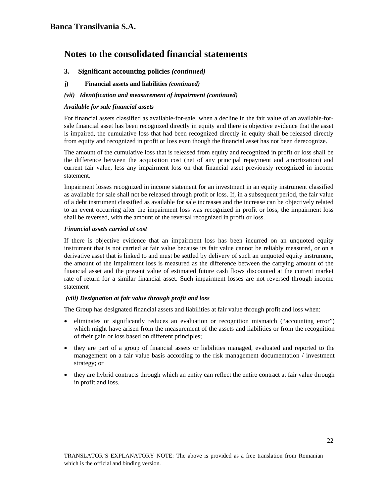# **3.****Significant accounting policies** *(continued)*

**j) Financial assets and liabilities** *(continued)* 

## *(vii) Identification and measurement of impairment (continued)*

### *Available for sale financial assets*

For financial assets classified as available-for-sale, when a decline in the fair value of an available-forsale financial asset has been recognized directly in equity and there is objective evidence that the asset is impaired, the cumulative loss that had been recognized directly in equity shall be released directly from equity and recognized in profit or loss even though the financial asset has not been derecognize.

The amount of the cumulative loss that is released from equity and recognized in profit or loss shall be the difference between the acquisition cost (net of any principal repayment and amortization) and current fair value, less any impairment loss on that financial asset previously recognized in income statement.

Impairment losses recognized in income statement for an investment in an equity instrument classified as available for sale shall not be released through profit or loss. If, in a subsequent period, the fair value of a debt instrument classified as available for sale increases and the increase can be objectively related to an event occurring after the impairment loss was recognized in profit or loss, the impairment loss shall be reversed, with the amount of the reversal recognized in profit or loss.

#### *Financial assets carried at cost*

If there is objective evidence that an impairment loss has been incurred on an unquoted equity instrument that is not carried at fair value because its fair value cannot be reliably measured, or on a derivative asset that is linked to and must be settled by delivery of such an unquoted equity instrument, the amount of the impairment loss is measured as the difference between the carrying amount of the financial asset and the present value of estimated future cash flows discounted at the current market rate of return for a similar financial asset. Such impairment losses are not reversed through income statement

## *(viii) Designation at fair value through profit and loss*

The Group has designated financial assets and liabilities at fair value through profit and loss when:

- eliminates or significantly reduces an evaluation or recognition mismatch ("accounting error") which might have arisen from the measurement of the assets and liabilities or from the recognition of their gain or loss based on different principles;
- they are part of a group of financial assets or liabilities managed, evaluated and reported to the management on a fair value basis according to the risk management documentation / investment strategy; or
- they are hybrid contracts through which an entity can reflect the entire contract at fair value through in profit and loss.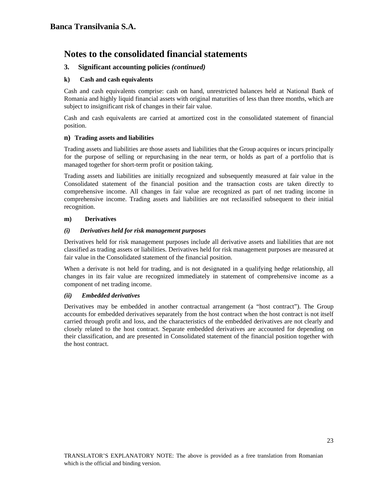# **3. Significant accounting policies** *(continued)*

## **k) Cash and cash equivalents**

Cash and cash equivalents comprise: cash on hand, unrestricted balances held at National Bank of Romania and highly liquid financial assets with original maturities of less than three months, which are subject to insignificant risk of changes in their fair value.

Cash and cash equivalents are carried at amortized cost in the consolidated statement of financial position.

#### **n) Trading assets and liabilities**

Trading assets and liabilities are those assets and liabilities that the Group acquires or incurs principally for the purpose of selling or repurchasing in the near term, or holds as part of a portfolio that is managed together for short-term profit or position taking.

Trading assets and liabilities are initially recognized and subsequently measured at fair value in the Consolidated statement of the financial position and the transaction costs are taken directly to comprehensive income. All changes in fair value are recognized as part of net trading income in comprehensive income. Trading assets and liabilities are not reclassified subsequent to their initial recognition.

#### **m) Derivatives**

#### *(i) Derivatives held for risk management purposes*

Derivatives held for risk management purposes include all derivative assets and liabilities that are not classified as trading assets or liabilities. Derivatives held for risk management purposes are measured at fair value in the Consolidated statement of the financial position.

When a derivate is not held for trading, and is not designated in a qualifying hedge relationship, all changes in its fair value are recognized immediately in statement of comprehensive income as a component of net trading income.

#### *(ii) Embedded derivatives*

Derivatives may be embedded in another contractual arrangement (a "host contract"). The Group accounts for embedded derivatives separately from the host contract when the host contract is not itself carried through profit and loss, and the characteristics of the embedded derivatives are not clearly and closely related to the host contract. Separate embedded derivatives are accounted for depending on their classification, and are presented in Consolidated statement of the financial position together with the host contract.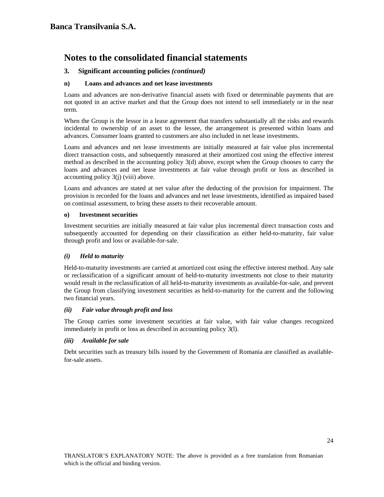# **3. Significant accounting policies** *(continued)*

# **n) Loans and advances and net lease investments**

Loans and advances are non-derivative financial assets with fixed or determinable payments that are not quoted in an active market and that the Group does not intend to sell immediately or in the near term.

When the Group is the lessor in a lease agreement that transfers substantially all the risks and rewards incidental to ownership of an asset to the lessee, the arrangement is presented within loans and advances. Consumer loans granted to customers are also included in net lease investments.

Loans and advances and net lease investments are initially measured at fair value plus incremental direct transaction costs, and subsequently measured at their amortized cost using the effective interest method as described in the accounting policy 3(d) above, except when the Group chooses to carry the loans and advances and net lease investments at fair value through profit or loss as described in accounting policy 3(j) (viii) above.

Loans and advances are stated at net value after the deducting of the provision for impairment. The provision is recorded for the loans and advances and net lease investments, identified as impaired based on continual assessment, to bring these assets to their recoverable amount.

## **o) Investment securities**

Investment securities are initially measured at fair value plus incremental direct transaction costs and subsequently accounted for depending on their classification as either held-to-maturity, fair value through profit and loss or available-for-sale.

## *(i) Held to maturity*

Held-to-maturity investments are carried at amortized cost using the effective interest method. Any sale or reclassification of a significant amount of held-to-maturity investments not close to their maturity would result in the reclassification of all held-to-maturity investments as available-for-sale, and prevent the Group from classifying investment securities as held-to-maturity for the current and the following two financial years.

## *(ii) Fair value through profit and loss*

The Group carries some investment securities at fair value, with fair value changes recognized immediately in profit or loss as described in accounting policy 3(l).

## *(iii) Available for sale*

Debt securities such as treasury bills issued by the Government of Romania are classified as availablefor-sale assets.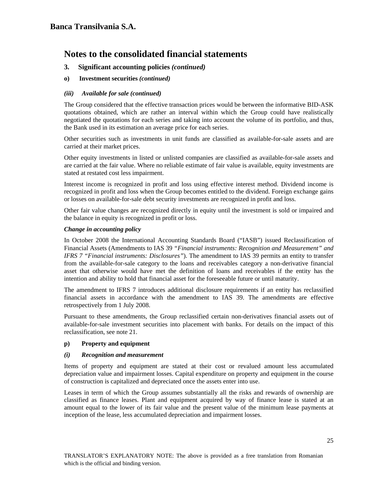- **3. Significant accounting policies** *(continued)*
- **o) Investment securities** *(continued)*

## *(iii) Available for sale (continued)*

The Group considered that the effective transaction prices would be between the informative BID-ASK quotations obtained, which are rather an interval within which the Group could have realistically negotiated the quotations for each series and taking into account the volume of its portfolio, and thus, the Bank used in its estimation an average price for each series.

Other securities such as investments in unit funds are classified as available-for-sale assets and are carried at their market prices.

Other equity investments in listed or unlisted companies are classified as available-for-sale assets and are carried at the fair value. Where no reliable estimate of fair value is available, equity investments are stated at restated cost less impairment.

Interest income is recognized in profit and loss using effective interest method. Dividend income is recognized in profit and loss when the Group becomes entitled to the dividend. Foreign exchange gains or losses on available-for-sale debt security investments are recognized in profit and loss.

Other fair value changes are recognized directly in equity until the investment is sold or impaired and the balance in equity is recognized in profit or loss.

#### *Change in accounting policy*

In October 2008 the International Accounting Standards Board ("IASB") issued Reclassification of Financial Assets (Amendments to IAS 39 *"Financial instruments: Recognition and Measurement" and IFRS 7 "Financial instruments: Disclosures"*). The amendment to IAS 39 permits an entity to transfer from the available-for-sale category to the loans and receivables category a non-derivative financial asset that otherwise would have met the definition of loans and receivables if the entity has the intention and ability to hold that financial asset for the foreseeable future or until maturity.

The amendment to IFRS 7 introduces additional disclosure requirements if an entity has reclassified financial assets in accordance with the amendment to IAS 39. The amendments are effective retrospectively from 1 July 2008.

Pursuant to these amendments, the Group reclassified certain non-derivatives financial assets out of available-for-sale investment securities into placement with banks. For details on the impact of this reclassification, see note 21.

## **p) Property and equipment**

#### *(i) Recognition and measurement*

Items of property and equipment are stated at their cost or revalued amount less accumulated depreciation value and impairment losses. Capital expenditure on property and equipment in the course of construction is capitalized and depreciated once the assets enter into use.

Leases in term of which the Group assumes substantially all the risks and rewards of ownership are classified as finance leases. Plant and equipment acquired by way of finance lease is stated at an amount equal to the lower of its fair value and the present value of the minimum lease payments at inception of the lease, less accumulated depreciation and impairment losses.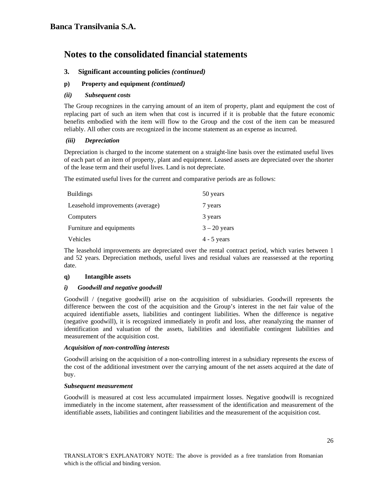# **3. Significant accounting policies** *(continued)*

## **p) Property and equipment** *(continued)*

## *(ii) Subsequent costs*

The Group recognizes in the carrying amount of an item of property, plant and equipment the cost of replacing part of such an item when that cost is incurred if it is probable that the future economic benefits embodied with the item will flow to the Group and the cost of the item can be measured reliably. All other costs are recognized in the income statement as an expense as incurred.

#### *(iii) Depreciation*

Depreciation is charged to the income statement on a straight-line basis over the estimated useful lives of each part of an item of property, plant and equipment. Leased assets are depreciated over the shorter of the lease term and their useful lives. Land is not depreciate.

The estimated useful lives for the current and comparative periods are as follows:

| <b>Buildings</b>                 | 50 years       |
|----------------------------------|----------------|
| Leasehold improvements (average) | 7 years        |
| Computers                        | 3 years        |
| Furniture and equipments         | $3 - 20$ years |
| Vehicles                         | $4 - 5$ years  |

The leasehold improvements are depreciated over the rental contract period, which varies between 1 and 52 years. Depreciation methods, useful lives and residual values are reassessed at the reporting date.

## **q) Intangible assets**

#### *i) Goodwill and negative goodwill*

Goodwill / (negative goodwill) arise on the acquisition of subsidiaries. Goodwill represents the difference between the cost of the acquisition and the Group's interest in the net fair value of the acquired identifiable assets, liabilities and contingent liabilities. When the difference is negative (negative goodwill), it is recognized immediately in profit and loss, after reanalyzing the manner of identification and valuation of the assets, liabilities and identifiable contingent liabilities and measurement of the acquisition cost.

#### *Acquisition of non-controlling interests*

Goodwill arising on the acquisition of a non-controlling interest in a subsidiary represents the excess of the cost of the additional investment over the carrying amount of the net assets acquired at the date of buy.

#### *Subsequent measurement*

Goodwill is measured at cost less accumulated impairment losses. Negative goodwill is recognized immediately in the income statement, after reassessment of the identification and measurement of the identifiable assets, liabilities and contingent liabilities and the measurement of the acquisition cost.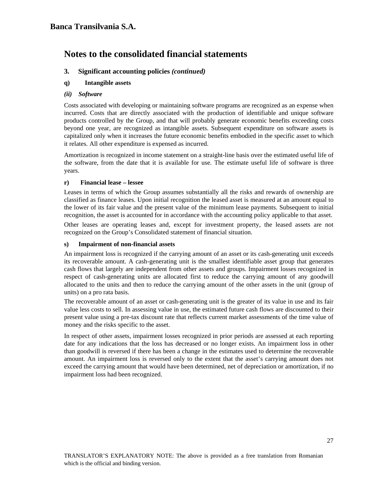# **3. Significant accounting policies** *(continued)*

## **q) Intangible assets**

#### *(ii) Software*

Costs associated with developing or maintaining software programs are recognized as an expense when incurred. Costs that are directly associated with the production of identifiable and unique software products controlled by the Group, and that will probably generate economic benefits exceeding costs beyond one year, are recognized as intangible assets. Subsequent expenditure on software assets is capitalized only when it increases the future economic benefits embodied in the specific asset to which it relates. All other expenditure is expensed as incurred.

Amortization is recognized in income statement on a straight-line basis over the estimated useful life of the software, from the date that it is available for use. The estimate useful life of software is three years.

#### **r) Financial lease – lessee**

Leases in terms of which the Group assumes substantially all the risks and rewards of ownership are classified as finance leases. Upon initial recognition the leased asset is measured at an amount equal to the lower of its fair value and the present value of the minimum lease payments. Subsequent to initial recognition, the asset is accounted for in accordance with the accounting policy applicable to that asset.

Other leases are operating leases and, except for investment property, the leased assets are not recognized on the Group's Consolidated statement of financial situation.

#### **s) Impairment of non-financial assets**

An impairment loss is recognized if the carrying amount of an asset or its cash-generating unit exceeds its recoverable amount. A cash-generating unit is the smallest identifiable asset group that generates cash flows that largely are independent from other assets and groups. Impairment losses recognized in respect of cash-generating units are allocated first to reduce the carrying amount of any goodwill allocated to the units and then to reduce the carrying amount of the other assets in the unit (group of units) on a pro rata basis.

The recoverable amount of an asset or cash-generating unit is the greater of its value in use and its fair value less costs to sell. In assessing value in use, the estimated future cash flows are discounted to their present value using a pre-tax discount rate that reflects current market assessments of the time value of money and the risks specific to the asset.

In respect of other assets, impairment losses recognized in prior periods are assessed at each reporting date for any indications that the loss has decreased or no longer exists. An impairment loss in other than goodwill is reversed if there has been a change in the estimates used to determine the recoverable amount. An impairment loss is reversed only to the extent that the asset's carrying amount does not exceed the carrying amount that would have been determined, net of depreciation or amortization, if no impairment loss had been recognized.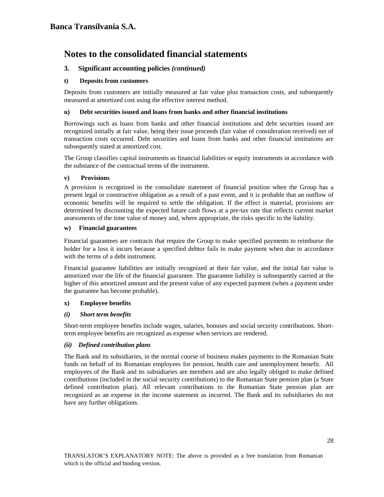# **3. Significant accounting policies** *(continued)*

### **t) Deposits from customers**

Deposits from customers are initially measured at fair value plus transaction costs, and subsequently measured at amortized cost using the effective interest method.

### **u) Debt securities issued and loans from banks and other financial institutions**

Borrowings such as loans from banks and other financial institutions and debt securities issued are recognized initially at fair value, being their issue proceeds (fair value of consideration received) net of transaction costs occurred. Debt securities and loans from banks and other financial institutions are subsequently stated at amortized cost.

The Group classifies capital instruments as financial liabilities or equity instruments in accordance with the substance of the contractual terms of the instrument.

#### **v) Provisions**

A provision is recognized in the consolidate statement of financial position when the Group has a present legal or constructive obligation as a result of a past event, and it is probable that an outflow of economic benefits will be required to settle the obligation. If the effect is material, provisions are determined by discounting the expected future cash flows at a pre-tax rate that reflects current market assessments of the time value of money and, where appropriate, the risks specific to the liability.

#### **w) Financial guarantees**

Financial guarantees are contracts that require the Group to make specified payments to reimburse the holder for a loss it incurs because a specified debtor fails to make payment when due in accordance with the terms of a debt instrument.

Financial guarantee liabilities are initially recognized at their fair value, and the initial fair value is amortized over the life of the financial guarantee. The guarantee liability is subsequently carried at the higher of this amortized amount and the present value of any expected payment (when a payment under the guarantee has become probable).

## **x) Employee benefits**

## *(i) Short term benefits*

Short-term employee benefits include wages, salaries, bonuses and social security contributions. Shortterm employee benefits are recognized as expense when services are rendered.

#### *(ii) Defined contribution plans*

The Bank and its subsidiaries, in the normal course of business makes payments to the Romanian State funds on behalf of its Romanian employees for pension, health care and unemployment benefit. All employees of the Bank and its subsidiaries are members and are also legally obliged to make defined contributions (included in the social security contributions) to the Romanian State pension plan (a State defined contribution plan). All relevant contributions to the Romanian State pension plan are recognized as an expense in the income statement as incurred. The Bank and its subsidiaries do not have any further obligations.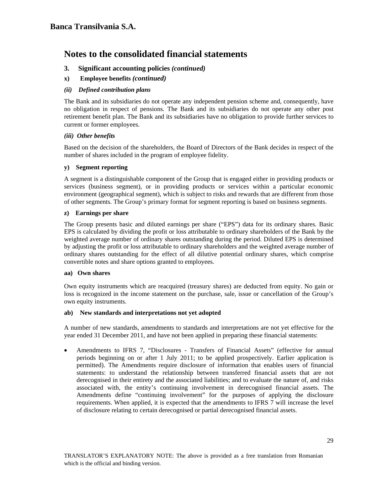# **3. Significant accounting policies** *(continued)*

**x) Employee benefits** *(continued)*

## *(ii) Defined contribution plans*

The Bank and its subsidiaries do not operate any independent pension scheme and, consequently, have no obligation in respect of pensions. The Bank and its subsidiaries do not operate any other post retirement benefit plan. The Bank and its subsidiaries have no obligation to provide further services to current or former employees.

#### *(iii) Other benefits*

Based on the decision of the shareholders, the Board of Directors of the Bank decides in respect of the number of shares included in the program of employee fidelity.

#### **y) Segment reporting**

A segment is a distinguishable component of the Group that is engaged either in providing products or services (business segment), or in providing products or services within a particular economic environment (geographical segment), which is subject to risks and rewards that are different from those of other segments. The Group's primary format for segment reporting is based on business segments.

#### **z) Earnings per share**

The Group presents basic and diluted earnings per share ("EPS") data for its ordinary shares. Basic EPS is calculated by dividing the profit or loss attributable to ordinary shareholders of the Bank by the weighted average number of ordinary shares outstanding during the period. Diluted EPS is determined by adjusting the profit or loss attributable to ordinary shareholders and the weighted average number of ordinary shares outstanding for the effect of all dilutive potential ordinary shares, which comprise convertible notes and share options granted to employees.

#### **aa) Own shares**

Own equity instruments which are reacquired (treasury shares) are deducted from equity. No gain or loss is recognized in the income statement on the purchase, sale, issue or cancellation of the Group's own equity instruments.

#### **ab) New standards and interpretations not yet adopted**

A number of new standards, amendments to standards and interpretations are not yet effective for the year ended 31 December 2011, and have not been applied in preparing these financial statements:

• Amendments to IFRS 7, "Disclosures - Transfers of Financial Assets" (effective for annual periods beginning on or after 1 July 2011; to be applied prospectively. Earlier application is permitted). The Amendments require disclosure of information that enables users of financial statements: to understand the relationship between transferred financial assets that are not derecognised in their entirety and the associated liabilities; and to evaluate the nature of, and risks associated with, the entity's continuing involvement in derecognised financial assets. The Amendments define "continuing involvement" for the purposes of applying the disclosure requirements. When applied, it is expected that the amendments to IFRS 7 will increase the level of disclosure relating to certain derecognised or partial derecognised financial assets.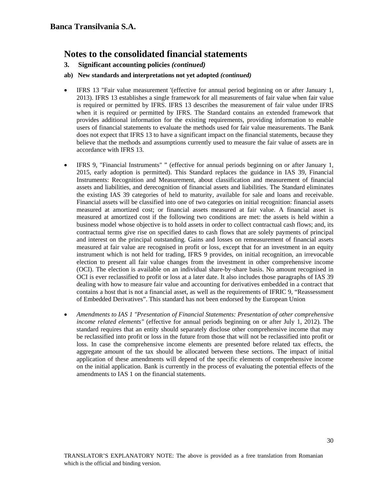**3. Significant accounting policies** *(continued)* 

## **ab) New standards and interpretations not yet adopted** *(continued)*

- IFRS 13 "Fair value measurement '(effective for annual period beginning on or after January 1, 2013). IFRS 13 establishes a single framework for all measurements of fair value when fair value is required or permitted by IFRS. IFRS 13 describes the measurement of fair value under IFRS when it is required or permitted by IFRS. The Standard contains an extended framework that provides additional information for the existing requirements, providing information to enable users of financial statements to evaluate the methods used for fair value measurements. The Bank does not expect that IFRS 13 to have a significant impact on the financial statements, because they believe that the methods and assumptions currently used to measure the fair value of assets are in accordance with IFRS 13.
- IFRS 9, "Financial Instruments" " (effective for annual periods beginning on or after January 1, 2015, early adoption is permitted). This Standard replaces the guidance in IAS 39, Financial Instruments: Recognition and Measurement, about classification and measurement of financial assets and liabilities, and derecognition of financial assets and liabilities. The Standard eliminates the existing IAS 39 categories of held to maturity, available for sale and loans and receivable. Financial assets will be classified into one of two categories on initial recognition: financial assets measured at amortized cost; or financial assets measured at fair value. A financial asset is measured at amortized cost if the following two conditions are met: the assets is held within a business model whose objective is to hold assets in order to collect contractual cash flows; and, its contractual terms give rise on specified dates to cash flows that are solely payments of principal and interest on the principal outstanding. Gains and losses on remeasurement of financial assets measured at fair value are recognised in profit or loss, except that for an investment in an equity instrument which is not held for trading, IFRS 9 provides, on initial recognition, an irrevocable election to present all fair value changes from the investment in other comprehensive income (OCI). The election is available on an individual share-by-share basis. No amount recognised in OCI is ever reclassified to profit or loss at a later date. It also includes those paragraphs of IAS 39 dealing with how to measure fair value and accounting for derivatives embedded in a contract that contains a host that is not a financial asset, as well as the requirements of IFRIC 9, "Reassessment of Embedded Derivatives". This standard has not been endorsed by the European Union
- *Amendments to IAS 1 "Presentation of Financial Statements: Presentation of other comprehensive income related elements"* (effective for annual periods beginning on or after July 1, 2012). The standard requires that an entity should separately disclose other comprehensive income that may be reclassified into profit or loss in the future from those that will not be reclassified into profit or loss. In case the comprehensive income elements are presented before related tax effects, the aggregate amount of the tax should be allocated between these sections. The impact of initial application of these amendments will depend of the specific elements of comprehensive income on the initial application. Bank is currently in the process of evaluating the potential effects of the amendments to IAS 1 on the financial statements.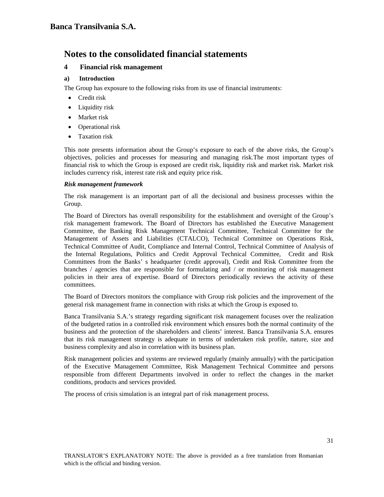# **4 Financial risk management**

## **a) Introduction**

The Group has exposure to the following risks from its use of financial instruments:

- Credit risk
- Liquidity risk
- Market risk
- Operational risk
- Taxation risk

This note presents information about the Group's exposure to each of the above risks, the Group's objectives, policies and processes for measuring and managing risk.The most important types of financial risk to which the Group is exposed are credit risk, liquidity risk and market risk. Market risk includes currency risk, interest rate risk and equity price risk.

#### *Risk management framework*

The risk management is an important part of all the decisional and business processes within the Group.

The Board of Directors has overall responsibility for the establishment and oversight of the Group's risk management framework. The Board of Directors has established the Executive Management Committee, the Banking Risk Management Technical Committee, Technical Committee for the Management of Assets and Liabilities (CTALCO), Technical Committee on Operations Risk, Technical Committee of Audit, Compliance and Internal Control, Technical Committee of Analysis of the Internal Regulations, Politics and Credit Approval Technical Committee, Credit and Risk Committees from the Banks' s headquarter (credit approval), Credit and Risk Committee from the branches / agencies that are responsible for formulating and / or monitoring of risk management policies in their area of expertise. Board of Directors periodically reviews the activity of these committees.

The Board of Directors monitors the compliance with Group risk policies and the improvement of the general risk management frame in connection with risks at which the Group is exposed to.

Banca Transilvania S.A.'s strategy regarding significant risk management focuses over the realization of the budgeted ratios in a controlled risk environment which ensures both the normal continuity of the business and the protection of the shareholders and clients' interest. Banca Transilvania S.A. ensures that its risk management strategy is adequate in terms of undertaken risk profile, nature, size and business complexity and also in correlation with its business plan.

Risk management policies and systems are reviewed regularly (mainly annually) with the participation of the Executive Management Committee, Risk Management Technical Committee and persons responsible from different Departments involved in order to reflect the changes in the market conditions, products and services provided.

The process of crisis simulation is an integral part of risk management process.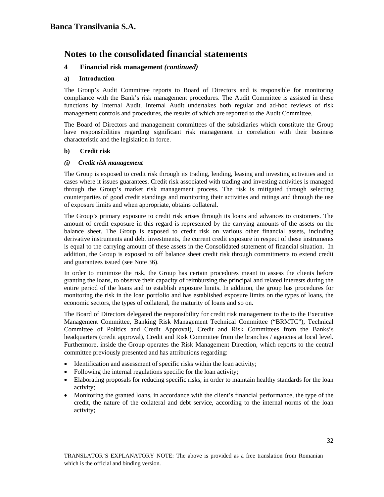# **4 Financial risk management** *(continued)*

### **a) Introduction**

The Group's Audit Committee reports to Board of Directors and is responsible for monitoring compliance with the Bank's risk management procedures. The Audit Committee is assisted in these functions by Internal Audit. Internal Audit undertakes both regular and ad-hoc reviews of risk management controls and procedures, the results of which are reported to the Audit Committee.

The Board of Directors and management committees of the subsidiaries which constitute the Group have responsibilities regarding significant risk management in correlation with their business characteristic and the legislation in force.

#### **b) Credit risk**

#### *(i) Credit risk management*

The Group is exposed to credit risk through its trading, lending, leasing and investing activities and in cases where it issues guarantees. Credit risk associated with trading and investing activities is managed through the Group's market risk management process. The risk is mitigated through selecting counterparties of good credit standings and monitoring their activities and ratings and through the use of exposure limits and when appropriate, obtains collateral.

The Group's primary exposure to credit risk arises through its loans and advances to customers. The amount of credit exposure in this regard is represented by the carrying amounts of the assets on the balance sheet. The Group is exposed to credit risk on various other financial assets, including derivative instruments and debt investments, the current credit exposure in respect of these instruments is equal to the carrying amount of these assets in the Consolidated statement of financial situation. In addition, the Group is exposed to off balance sheet credit risk through commitments to extend credit and guarantees issued (see Note 36).

In order to minimize the risk, the Group has certain procedures meant to assess the clients before granting the loans, to observe their capacity of reimbursing the principal and related interests during the entire period of the loans and to establish exposure limits. In addition, the group has procedures for monitoring the risk in the loan portfolio and has established exposure limits on the types of loans, the economic sectors, the types of collateral, the maturity of loans and so on.

The Board of Directors delegated the responsibility for credit risk management to the to the Executive Management Committee, Banking Risk Management Technical Committee ("BRMTC"), Technical Committee of Politics and Credit Approval), Credit and Risk Committees from the Banks's headquarters (credit approval), Credit and Risk Committee from the branches / agencies at local level. Furthermore, inside the Group operates the Risk Management Direction, which reports to the central committee previously presented and has attributions regarding:

- Identification and assessment of specific risks within the loan activity;
- Following the internal regulations specific for the loan activity;
- Elaborating proposals for reducing specific risks, in order to maintain healthy standards for the loan activity;
- Monitoring the granted loans, in accordance with the client's financial performance, the type of the credit, the nature of the collateral and debt service, according to the internal norms of the loan activity;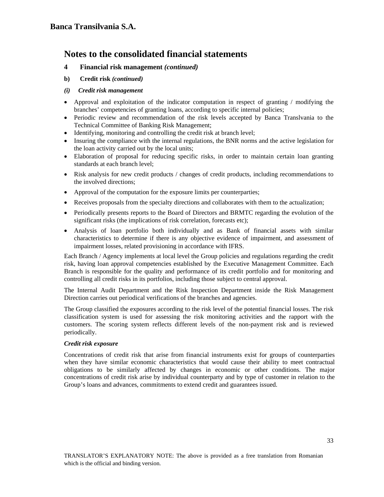# **4 Financial risk management** *(continued)*

**b) Credit risk** *(continued)*

## *(i) Credit risk management*

- Approval and exploitation of the indicator computation in respect of granting / modifying the branches' competencies of granting loans, according to specific internal policies;
- Periodic review and recommendation of the risk levels accepted by Banca Translvania to the Technical Committee of Banking Risk Management;
- Identifying, monitoring and controlling the credit risk at branch level;
- Insuring the compliance with the internal regulations, the BNR norms and the active legislation for the loan activity carried out by the local units;
- Elaboration of proposal for reducing specific risks, in order to maintain certain loan granting standards at each branch level;
- Risk analysis for new credit products / changes of credit products, including recommendations to the involved directions;
- Approval of the computation for the exposure limits per counterparties;
- Receives proposals from the specialty directions and collaborates with them to the actualization;
- Periodically presents reports to the Board of Directors and BRMTC regarding the evolution of the significant risks (the implications of risk correlation, forecasts etc);
- Analysis of loan portfolio both individually and as Bank of financial assets with similar characteristics to determine if there is any objective evidence of impairment, and assessment of impairment losses, related provisioning in accordance with IFRS.

Each Branch / Agency implements at local level the Group policies and regulations regarding the credit risk, having loan approval competencies established by the Executive Management Committee. Each Branch is responsible for the quality and performance of its credit portfolio and for monitoring and controlling all credit risks in its portfolios, including those subject to central approval.

The Internal Audit Department and the Risk Inspection Department inside the Risk Management Direction carries out periodical verifications of the branches and agencies.

The Group classified the exposures according to the risk level of the potential financial losses. The risk classification system is used for assessing the risk monitoring activities and the rapport with the customers. The scoring system reflects different levels of the non-payment risk and is reviewed periodically.

## *Credit risk exposure*

Concentrations of credit risk that arise from financial instruments exist for groups of counterparties when they have similar economic characteristics that would cause their ability to meet contractual obligations to be similarly affected by changes in economic or other conditions. The major concentrations of credit risk arise by individual counterparty and by type of customer in relation to the Group's loans and advances, commitments to extend credit and guarantees issued.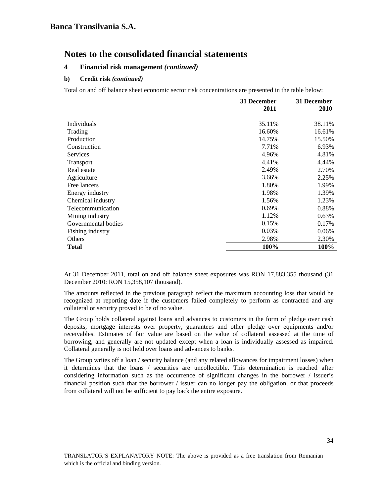# **4 Financial risk management** *(continued)*

## **b) Credit risk** *(continued)*

Total on and off balance sheet economic sector risk concentrations are presented in the table below:

|                     | 31 December | 31 December |
|---------------------|-------------|-------------|
|                     | 2011        | 2010        |
| Individuals         | 35.11%      | 38.11%      |
| Trading             | 16.60%      | 16.61%      |
| Production          | 14.75%      | 15.50%      |
| Construction        | 7.71%       | 6.93%       |
| Services            | 4.96%       | 4.81%       |
| Transport           | 4.41%       | 4.44%       |
| Real estate         | 2.49%       | 2.70%       |
| Agriculture         | 3.66%       | 2.25%       |
| Free lancers        | 1.80%       | 1.99%       |
| Energy industry     | 1.98%       | 1.39%       |
| Chemical industry   | 1.56%       | 1.23%       |
| Telecommunication   | 0.69%       | 0.88%       |
| Mining industry     | 1.12%       | 0.63%       |
| Governmental bodies | 0.15%       | 0.17%       |
| Fishing industry    | 0.03%       | 0.06%       |
| Others              | 2.98%       | 2.30%       |
| <b>Total</b>        | 100%        | 100%        |

At 31 December 2011, total on and off balance sheet exposures was RON 17,883,355 thousand (31 December 2010: RON 15,358,107 thousand).

The amounts reflected in the previous paragraph reflect the maximum accounting loss that would be recognized at reporting date if the customers failed completely to perform as contracted and any collateral or security proved to be of no value.

The Group holds collateral against loans and advances to customers in the form of pledge over cash deposits, mortgage interests over property, guarantees and other pledge over equipments and/or receivables. Estimates of fair value are based on the value of collateral assessed at the time of borrowing, and generally are not updated except when a loan is individually assessed as impaired. Collateral generally is not held over loans and advances to banks.

The Group writes off a loan / security balance (and any related allowances for impairment losses) when it determines that the loans / securities are uncollectible. This determination is reached after considering information such as the occurrence of significant changes in the borrower / issuer's financial position such that the borrower / issuer can no longer pay the obligation, or that proceeds from collateral will not be sufficient to pay back the entire exposure.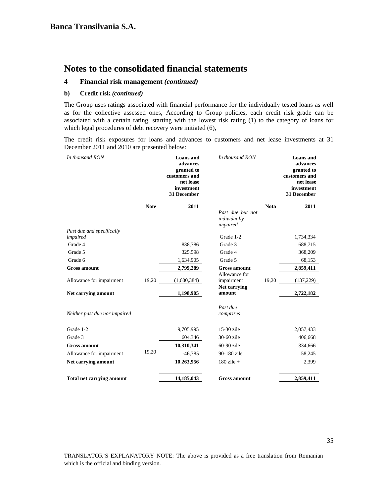#### **4 Financial risk management** *(continued)*

#### **b) Credit risk** *(continued)*

The Group uses ratings associated with financial performance for the individually tested loans as well as for the collective assessed ones, According to Group policies, each credit risk grade can be associated with a certain rating, starting with the lowest risk rating (1) to the category of loans for which legal procedures of debt recovery were initiated (6),

The credit risk exposures for loans and advances to customers and net lease investments at 31 December 2011 and 2010 are presented below:

| In thousand RON                  |             | <b>Loans</b> and<br>advances<br>granted to<br>customers and<br>net lease<br>investment<br><b>31 December</b> | In thousand RON                              |             | <b>Loans</b> and<br>advances<br>granted to<br>customers and<br>net lease<br>investment<br>31 December |
|----------------------------------|-------------|--------------------------------------------------------------------------------------------------------------|----------------------------------------------|-------------|-------------------------------------------------------------------------------------------------------|
|                                  | <b>Note</b> | 2011                                                                                                         |                                              | <b>Nota</b> | 2011                                                                                                  |
|                                  |             |                                                                                                              | Past due but not<br>individually<br>impaired |             |                                                                                                       |
| Past due and specifically        |             |                                                                                                              |                                              |             |                                                                                                       |
| impaired                         |             |                                                                                                              | Grade 1-2                                    |             | 1,734,334                                                                                             |
| Grade 4                          |             | 838,786                                                                                                      | Grade 3                                      |             | 688,715                                                                                               |
| Grade 5                          |             | 325,598                                                                                                      | Grade 4                                      |             | 368,209                                                                                               |
| Grade 6                          |             | 1,634,905                                                                                                    | Grade 5                                      |             | 68,153                                                                                                |
| <b>Gross amount</b>              |             | 2,799,289                                                                                                    | <b>Gross amount</b>                          |             | 2,859,411                                                                                             |
| Allowance for impairment         | 19,20       | (1,600,384)                                                                                                  | Allowance for<br>impairment                  | 19,20       | (137, 229)                                                                                            |
| Net carrying amount              |             | 1,198,905                                                                                                    | Net carrying<br>amount                       |             | 2,722,182                                                                                             |
| Neither past due nor impaired    |             |                                                                                                              | Past due<br>comprises                        |             |                                                                                                       |
| Grade 1-2                        |             | 9,705,995                                                                                                    | 15-30 zile                                   |             | 2,057,433                                                                                             |
| Grade 3                          |             | 604,346                                                                                                      | 30-60 zile                                   |             | 406,668                                                                                               |
| <b>Gross amount</b>              |             | 10,310,341                                                                                                   | $60-90$ zile                                 |             | 334,666                                                                                               |
| Allowance for impairment         | 19,20       | $-46,385$                                                                                                    | 90-180 zile                                  |             | 58,245                                                                                                |
| Net carrying amount              |             | 10,263,956                                                                                                   | $180$ zile +                                 |             | 2,399                                                                                                 |
| <b>Total net carrying amount</b> |             | 14,185,043                                                                                                   | <b>Gross amount</b>                          |             | 2,859,411                                                                                             |

TRANSLATOR'S EXPLANATORY NOTE: The above is provided as a free translation from Romanian which is the official and binding version.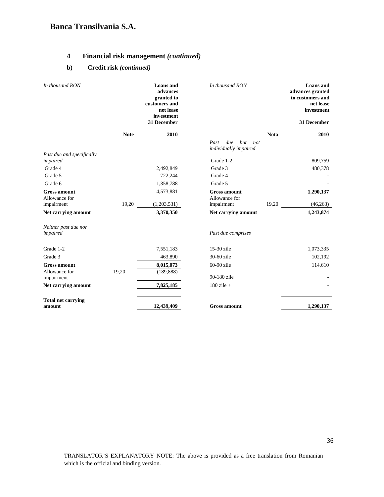## **4 Financial risk management** *(continued)*

## **b) Credit risk** *(continued)*

| In thousand RON                      |             | <b>Loans</b> and<br>advances<br>granted to<br>customers and<br>net lease<br>investment<br>31 December | In thousand RON                                    |             | <b>Loans</b> and<br>advances granted<br>to customers and<br>net lease<br>investment<br>31 December |
|--------------------------------------|-------------|-------------------------------------------------------------------------------------------------------|----------------------------------------------------|-------------|----------------------------------------------------------------------------------------------------|
|                                      | <b>Note</b> | 2010                                                                                                  |                                                    | <b>Nota</b> | 2010                                                                                               |
|                                      |             |                                                                                                       | due<br>Past<br>but<br>not<br>individually impaired |             |                                                                                                    |
| Past due and specifically            |             |                                                                                                       |                                                    |             |                                                                                                    |
| impaired                             |             |                                                                                                       | Grade 1-2                                          |             | 809,759                                                                                            |
| Grade 4                              |             | 2,492,849                                                                                             | Grade 3                                            |             | 480,378                                                                                            |
| Grade 5                              |             | 722,244                                                                                               | Grade 4                                            |             |                                                                                                    |
| Grade 6                              |             | 1,358,788                                                                                             | Grade 5                                            |             |                                                                                                    |
| <b>Gross amount</b><br>Allowance for |             | 4,573,881                                                                                             | <b>Gross amount</b><br>Allowance for               |             | 1,290,137                                                                                          |
| impairment                           | 19,20       | (1,203,531)                                                                                           | impairment                                         | 19,20       | (46, 263)                                                                                          |
| Net carrying amount                  |             | 3,370,350                                                                                             | Net carrying amount                                |             | 1,243,874                                                                                          |
| Neither past due nor<br>impaired     |             |                                                                                                       | Past due comprises                                 |             |                                                                                                    |
| Grade 1-2                            |             | 7,551,183                                                                                             | 15-30 zile                                         |             | 1,073,335                                                                                          |
| Grade 3                              |             | 463,890                                                                                               | 30-60 zile                                         |             | 102,192                                                                                            |
| <b>Gross amount</b><br>Allowance for | 19,20       | 8,015,073<br>(189, 888)                                                                               | 60-90 zile                                         |             | 114,610                                                                                            |
| impairment                           |             |                                                                                                       | 90-180 zile                                        |             |                                                                                                    |
| Net carrying amount                  |             | 7,825,185                                                                                             | $180$ zile +                                       |             |                                                                                                    |
| <b>Total net carrying</b><br>amount  |             | 12,439,409                                                                                            | <b>Gross amount</b>                                |             | 1,290,137                                                                                          |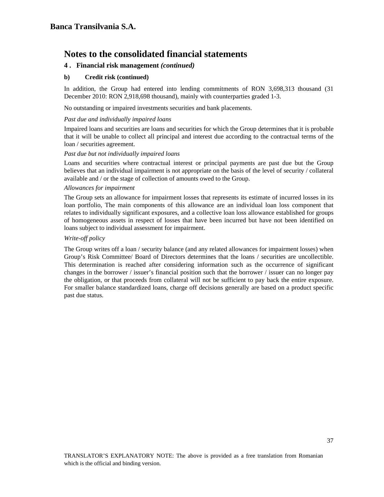### **4 .****Financial risk management** *(continued)*

#### **b) Credit risk (continued)**

In addition, the Group had entered into lending commitments of RON 3,698,313 thousand (31 December 2010: RON 2,918,698 thousand), mainly with counterparties graded 1-3.

No outstanding or impaired investments securities and bank placements.

#### *Past due and individually impaired loans*

Impaired loans and securities are loans and securities for which the Group determines that it is probable that it will be unable to collect all principal and interest due according to the contractual terms of the loan / securities agreement.

#### *Past due but not individually impaired loans*

Loans and securities where contractual interest or principal payments are past due but the Group believes that an individual impairment is not appropriate on the basis of the level of security / collateral available and / or the stage of collection of amounts owed to the Group.

#### *Allowances for impairment*

The Group sets an allowance for impairment losses that represents its estimate of incurred losses in its loan portfolio, The main components of this allowance are an individual loan loss component that relates to individually significant exposures, and a collective loan loss allowance established for groups of homogeneous assets in respect of losses that have been incurred but have not been identified on loans subject to individual assessment for impairment.

#### *Write-off policy*

The Group writes off a loan / security balance (and any related allowances for impairment losses) when Group's Risk Committee/ Board of Directors determines that the loans / securities are uncollectible. This determination is reached after considering information such as the occurrence of significant changes in the borrower / issuer's financial position such that the borrower / issuer can no longer pay the obligation, or that proceeds from collateral will not be sufficient to pay back the entire exposure. For smaller balance standardized loans, charge off decisions generally are based on a product specific past due status.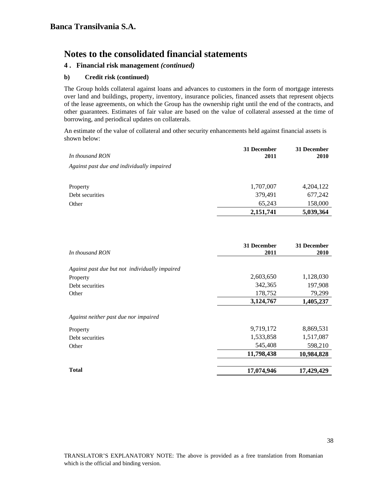### **4 .****Financial risk management** *(continued)*

### **b) Credit risk (continued)**

The Group holds collateral against loans and advances to customers in the form of mortgage interests over land and buildings, property, inventory, insurance policies, financed assets that represent objects of the lease agreements, on which the Group has the ownership right until the end of the contracts, and other guarantees. Estimates of fair value are based on the value of collateral assessed at the time of borrowing, and periodical updates on collaterals.

An estimate of the value of collateral and other security enhancements held against financial assets is shown below:

| 4,204,122 |
|-----------|
| 677,242   |
| 158,000   |
| 5,039,364 |
|           |

|                                                | 31 December | 31 December |
|------------------------------------------------|-------------|-------------|
| In thousand RON                                | 2011        | <b>2010</b> |
| Against past due but not individually impaired |             |             |
| Property                                       | 2,603,650   | 1,128,030   |
| Debt securities                                | 342,365     | 197,908     |
| Other                                          | 178,752     | 79,299      |
|                                                | 3,124,767   | 1,405,237   |
| Against neither past due nor impaired          |             |             |
| Property                                       | 9,719,172   | 8,869,531   |
| Debt securities                                | 1,533,858   | 1,517,087   |
| Other                                          | 545,408     | 598,210     |
|                                                | 11,798,438  | 10,984,828  |
| <b>Total</b>                                   | 17,074,946  | 17,429,429  |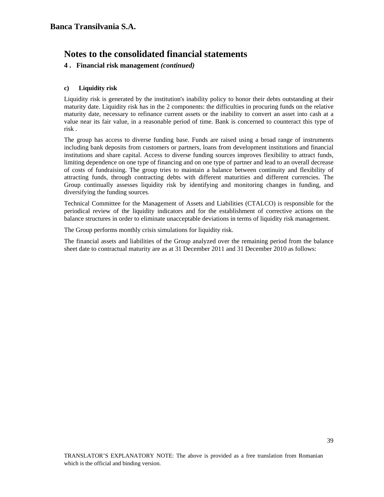### **4 .****Financial risk management** *(continued)*

### **c) Liquidity risk**

Liquidity risk is generated by the institution's inability policy to honor their debts outstanding at their maturity date. Liquidity risk has in the 2 components: the difficulties in procuring funds on the relative maturity date, necessary to refinance current assets or the inability to convert an asset into cash at a value near its fair value, in a reasonable period of time. Bank is concerned to counteract this type of risk .

The group has access to diverse funding base. Funds are raised using a broad range of instruments including bank deposits from customers or partners, loans from development institutions and financial institutions and share capital. Access to diverse funding sources improves flexibility to attract funds, limiting dependence on one type of financing and on one type of partner and lead to an overall decrease of costs of fundraising. The group tries to maintain a balance between continuity and flexibility of attracting funds, through contracting debts with different maturities and different currencies. The Group continually assesses liquidity risk by identifying and monitoring changes in funding, and diversifying the funding sources.

Technical Committee for the Management of Assets and Liabilities (CTALCO) is responsible for the periodical review of the liquidity indicators and for the establishment of corrective actions on the balance structures in order to eliminate unacceptable deviations in terms of liquidity risk management.

The Group performs monthly crisis simulations for liquidity risk.

The financial assets and liabilities of the Group analyzed over the remaining period from the balance sheet date to contractual maturity are as at 31 December 2011 and 31 December 2010 as follows: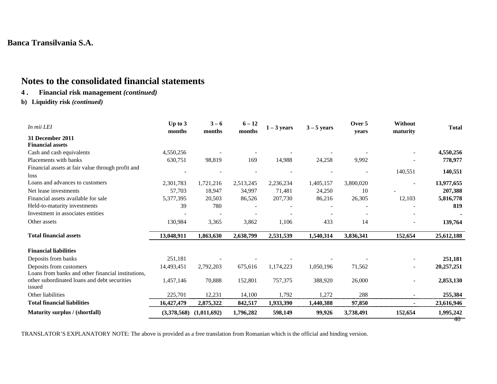# **Notes to the consolidated financial statements**

## **4 . Financial risk management** *(continued)*

**b) Liquidity risk** *(continued)* 

| In mii LEI                                             | Up to $3$   | $3 - 6$     | $6 - 12$  | $1 - 3$ years | $3 - 5$ years | Over 5    | Without                  | <b>Total</b> |
|--------------------------------------------------------|-------------|-------------|-----------|---------------|---------------|-----------|--------------------------|--------------|
| 31 December 2011                                       | months      | months      | months    |               |               | years     | maturity                 |              |
| <b>Financial assets</b>                                |             |             |           |               |               |           |                          |              |
| Cash and cash equivalents                              | 4,550,256   |             |           |               |               |           |                          | 4,550,256    |
| Placements with banks                                  | 630,751     | 98,819      | 169       | 14,988        | 24,258        | 9,992     |                          | 778,977      |
| Financial assets at fair value through profit and      |             |             |           |               |               |           |                          |              |
| loss                                                   |             |             |           |               |               |           | 140,551                  | 140,551      |
| Loans and advances to customers                        | 2,301,783   | 1,721,216   | 2,513,245 | 2,236,234     | 1,405,157     | 3,800,020 |                          | 13,977,655   |
| Net lease investments                                  | 57,703      | 18,947      | 34,997    | 71,481        | 24,250        | 10        |                          | 207,388      |
| Financial assets available for sale                    | 5,377,395   | 20,503      | 86,526    | 207,730       | 86,216        | 26,305    | 12,103                   | 5,816,778    |
| Held-to-maturity investments                           | 39          | 780         |           |               |               |           |                          | 819          |
| Investment in associates entities                      |             |             |           |               |               |           |                          |              |
| Other assets                                           | 130,984     | 3,365       | 3,862     | 1,106         | 433           | 14        |                          | 139,764      |
| <b>Total financial assets</b>                          | 13,048,911  | 1,863,630   | 2,638,799 | 2,531,539     | 1,540,314     | 3,836,341 | 152,654                  | 25,612,188   |
| <b>Financial liabilities</b>                           |             |             |           |               |               |           |                          |              |
| Deposits from banks                                    | 251,181     |             |           |               |               |           |                          | 251,181      |
| Deposits from customers                                | 14,493,451  | 2,792,203   | 675,616   | 1,174,223     | 1,050,196     | 71,562    | $\overline{\phantom{a}}$ | 20,257,251   |
| Loans from banks and other financial institutions,     |             |             |           |               |               |           |                          |              |
| other subordinated loans and debt securities<br>issued | 1,457,146   | 70,888      | 152,801   | 757,375       | 388,920       | 26,000    |                          | 2,853,130    |
| Other liabilities                                      | 225,701     | 12,231      | 14,100    | 1,792         | 1,272         | 288       |                          | 255,384      |
| <b>Total financial liabilities</b>                     | 16,427,479  | 2,875,322   | 842,517   | 1,933,390     | 1,440,388     | 97,850    |                          | 23,616,946   |
| Maturity surplus / (shortfall)                         | (3,378,568) | (1,011,692) | 1,796,282 | 598,149       | 99,926        | 3,738,491 | 152,654                  | 1,995,242    |
|                                                        |             |             |           |               |               |           |                          | 40           |

TRANSLATOR'S EXPLANATORY NOTE: The above is provided as a free translation from Romanian which is the official and binding version.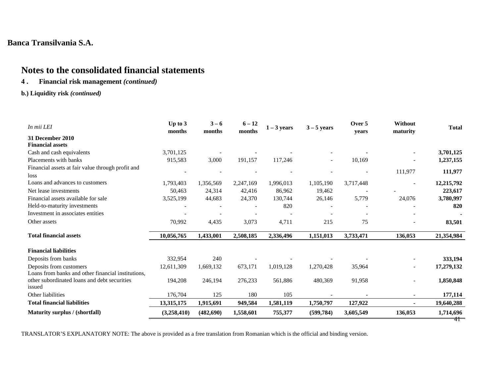# **Notes to the consolidated financial statements**

## **4 . Financial risk management** *(continued)*

### **b.) Liquidity risk** *(continued)*

| Up to 3<br>months                                  | $3 - 6$<br>months | $6 - 12$<br>months | $1 - 3$ years | $3 - 5$ years | Over 5<br>years | Without                  | <b>Total</b>        |
|----------------------------------------------------|-------------------|--------------------|---------------|---------------|-----------------|--------------------------|---------------------|
|                                                    |                   |                    |               |               |                 |                          |                     |
|                                                    |                   |                    |               |               |                 |                          |                     |
| 3,701,125                                          |                   |                    |               |               |                 |                          | 3,701,125           |
| 915,583                                            | 3,000             | 191,157            | 117,246       |               | 10,169          |                          | 1,237,155           |
|                                                    |                   |                    |               |               |                 |                          |                     |
|                                                    |                   |                    |               |               |                 |                          | 111,977             |
| 1,793,403                                          | 1,356,569         | 2,247,169          | 1,996,013     | 1,105,190     | 3,717,448       |                          | 12,215,792          |
| 50,463                                             | 24,314            | 42,416             | 86,962        | 19,462        |                 |                          | 223,617             |
| 3,525,199                                          | 44,683            | 24,370             | 130,744       | 26,146        | 5,779           | 24,076                   | 3,780,997           |
|                                                    |                   |                    | 820           |               |                 |                          | 820                 |
|                                                    |                   |                    |               |               |                 |                          |                     |
| 70,992                                             | 4,435             | 3,073              | 4,711         | 215           | 75              |                          | 83,501              |
| 10,056,765                                         | 1,433,001         | 2,508,185          | 2,336,496     | 1,151,013     | 3,733,471       | 136,053                  | 21,354,984          |
|                                                    |                   |                    |               |               |                 |                          |                     |
| 332,954                                            | 240               |                    |               |               |                 |                          | 333,194             |
| 12,611,309                                         | 1,669,132         | 673,171            | 1,019,128     | 1,270,428     | 35,964          |                          | 17,279,132          |
|                                                    |                   |                    |               |               |                 |                          |                     |
| 194,208                                            | 246,194           | 276,233            | 561,886       | 480,369       | 91,958          |                          | 1,850,848           |
| 176,704                                            | 125               | 180                | 105           |               |                 | $\overline{\phantom{a}}$ | 177,114             |
| 13,315,175                                         | 1,915,691         | 949,584            | 1,581,119     | 1,750,797     | 127,922         | $\blacksquare$           | 19,640,288          |
| (3,258,410)                                        | (482, 690)        | 1,558,601          | 755,377       | (599, 784)    | 3,605,549       | 136,053                  | 1,714,696<br>41     |
| Loans from banks and other financial institutions, |                   |                    |               |               |                 |                          | maturity<br>111,977 |

TRANSLATOR'S EXPLANATORY NOTE: The above is provided as a free translation from Romanian which is the official and binding version.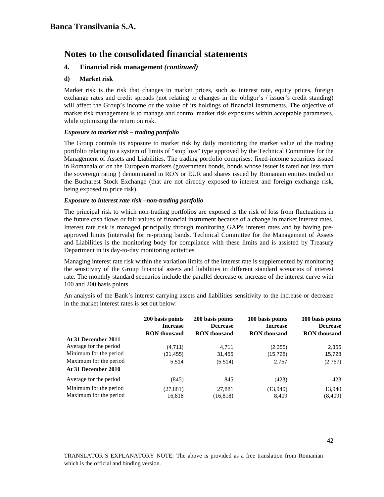### **4. Financial risk management** *(continued)*

#### **d) Market risk**

Market risk is the risk that changes in market prices, such as interest rate, equity prices, foreign exchange rates and credit spreads (not relating to changes in the obligor's / issuer's credit standing) will affect the Group's income or the value of its holdings of financial instruments. The objective of market risk management is to manage and control market risk exposures within acceptable parameters, while optimizing the return on risk.

#### *Exposure to market risk – trading portfolio*

The Group controls its exposure to market risk by daily monitoring the market value of the trading portfolio relating to a system of limits of "stop loss" type approved by the Technical Committee for the Management of Assets and Liabilities. The trading portfolio comprises: fixed-income securities issued in Romanaia or on the European markets (government bonds, bonds whose issuer is rated not less than the sovereign rating ) denominated in RON or EUR and shares issued by Romanian entities traded on the Bucharest Stock Exchange (that are not directly exposed to interest and foreign exchange risk, being exposed to price risk).

#### *Exposure to interest rate risk –non-trading portfolio*

The principal risk to which non-trading portfolios are exposed is the risk of loss from fluctuations in the future cash flows or fair values of financial instrument because of a change in market interest rates. Interest rate risk is managed principally through monitoring GAP's interest rates and by having preapproved limits (intervals) for re-pricing bands. Technical Committee for the Management of Assets and Liabilities is the monitoring body for compliance with these limits and is assisted by Treasury Department in its day-to-day monitoring activities

Managing interest rate risk within the variation limits of the interest rate is supplemented by monitoring the sensitivity of the Group financial assets and liabilities in different standard scenarios of interest rate. The monthly standard scenarios include the parallel decrease or increase of the interest curve with 100 and 200 basis points.

An analysis of the Bank's interest carrying assets and liabilities sensitivity to the increase or decrease in the market interest rates is set out below:

|                        | 200 basis points<br><b>Increase</b> | 200 basis points<br><b>Decrease</b> | 100 basis points<br><b>Increase</b> | 100 basis points<br><b>Decrease</b> |
|------------------------|-------------------------------------|-------------------------------------|-------------------------------------|-------------------------------------|
|                        | <b>RON</b> thousand                 | <b>RON</b> thousand                 | <b>RON</b> thousand                 | <b>RON</b> thousand                 |
| At 31 December 2011    |                                     |                                     |                                     |                                     |
| Average for the period | (4.711)                             | 4.711                               | (2,355)                             | 2.355                               |
| Minimum for the period | (31, 455)                           | 31,455                              | (15,728)                            | 15,728                              |
| Maximum for the period | 5,514                               | (5,514)                             | 2,757                               | (2,757)                             |
| At 31 December 2010    |                                     |                                     |                                     |                                     |
| Average for the period | (845)                               | 845                                 | (423)                               | 423                                 |
| Minimum for the period | (27, 881)                           | 27,881                              | (13,940)                            | 13,940                              |
| Maximum for the period | 16.818                              | (16, 818)                           | 8.409                               | (8, 409)                            |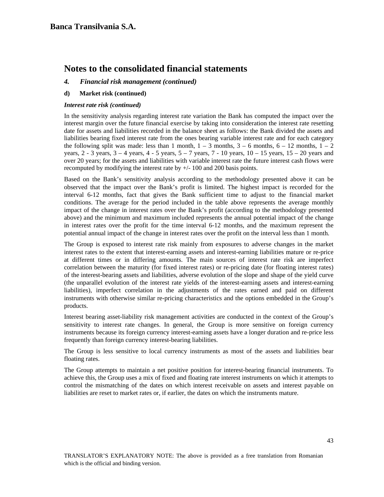#### *4. Financial risk management (continued)*

#### **d) Market risk (continued)**

#### *Interest rate risk (continued)*

In the sensitivity analysis regarding interest rate variation the Bank has computed the impact over the interest margin over the future financial exercise by taking into consideration the interest rate resetting date for assets and liabilities recorded in the balance sheet as follows: the Bank divided the assets and liabilities bearing fixed interest rate from the ones bearing variable interest rate and for each category the following split was made: less than 1 month,  $1 - 3$  months,  $3 - 6$  months,  $6 - 12$  months,  $1 - 2$ years,  $2 - 3$  years,  $3 - 4$  years,  $4 - 5$  years,  $5 - 7$  years,  $7 - 10$  years,  $10 - 15$  years,  $15 - 20$  years and over 20 years; for the assets and liabilities with variable interest rate the future interest cash flows were recomputed by modifying the interest rate by +/- 100 and 200 basis points.

Based on the Bank's sensitivity analysis according to the methodology presented above it can be observed that the impact over the Bank's profit is limited. The highest impact is recorded for the interval 6-12 months, fact that gives the Bank sufficient time to adjust to the financial market conditions. The average for the period included in the table above represents the average monthly impact of the change in interest rates over the Bank's profit (according to the methodology presented above) and the minimum and maximum included represents the annual potential impact of the change in interest rates over the profit for the time interval 6-12 months, and the maximum represent the potential annual impact of the change in interest rates over the profit on the interval less than 1 month.

The Group is exposed to interest rate risk mainly from exposures to adverse changes in the market interest rates to the extent that interest-earning assets and interest-earning liabilities mature or re-price at different times or in differing amounts. The main sources of interest rate risk are imperfect correlation between the maturity (for fixed interest rates) or re-pricing date (for floating interest rates) of the interest-bearing assets and liabilities, adverse evolution of the slope and shape of the yield curve (the unparallel evolution of the interest rate yields of the interest-earning assets and interest-earning liabilities), imperfect correlation in the adjustments of the rates earned and paid on different instruments with otherwise similar re-pricing characteristics and the options embedded in the Group's products.

Interest bearing asset-liability risk management activities are conducted in the context of the Group's sensitivity to interest rate changes. In general, the Group is more sensitive on foreign currency instruments because its foreign currency interest-earning assets have a longer duration and re-price less frequently than foreign currency interest-bearing liabilities.

The Group is less sensitive to local currency instruments as most of the assets and liabilities bear floating rates.

The Group attempts to maintain a net positive position for interest-bearing financial instruments. To achieve this, the Group uses a mix of fixed and floating rate interest instruments on which it attempts to control the mismatching of the dates on which interest receivable on assets and interest payable on liabilities are reset to market rates or, if earlier, the dates on which the instruments mature.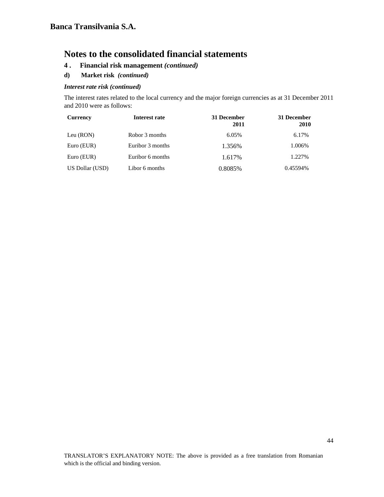- **4 . Financial risk management** *(continued)*
- **d) Market risk** *(continued)*

#### *Interest rate risk (continued)*

The interest rates related to the local currency and the major foreign currencies as at 31 December 2011 and 2010 were as follows:

| <b>Currency</b> | Interest rate    | 31 December<br>2011 | 31 December<br>2010 |
|-----------------|------------------|---------------------|---------------------|
| Leu (RON)       | Robor 3 months   | 6.05%               | 6.17%               |
| Euro (EUR)      | Euribor 3 months | 1.356%              | 1.006%              |
| Euro (EUR)      | Euribor 6 months | 1.617%              | 1.227%              |
| US Dollar (USD) | Libor 6 months   | 0.8085%             | 0.45594%            |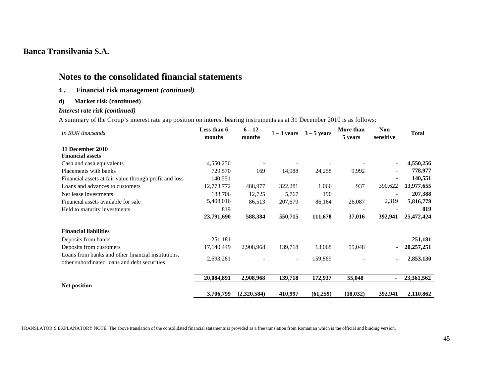# **Notes to the consolidated financial statements**

### **4 . Financial risk management** *(continued)*

#### **d) Market risk (continued)**

### *Interest rate risk (continued)*

A summary of the Group's interest rate gap position on interest bearing instruments as at 31 December 2010 is as follows:

| In RON thousands                                                                                   | Less than 6<br>months | $6 - 12$<br>months | $1 - 3$ years            | $3 - 5$ years | More than<br>5 years | <b>Non</b><br>sensitive  | <b>Total</b> |
|----------------------------------------------------------------------------------------------------|-----------------------|--------------------|--------------------------|---------------|----------------------|--------------------------|--------------|
| 31 December 2010                                                                                   |                       |                    |                          |               |                      |                          |              |
| <b>Financial assets</b>                                                                            |                       |                    |                          |               |                      |                          |              |
| Cash and cash equivalents                                                                          | 4,550,256             |                    |                          |               |                      | $\blacksquare$           | 4,550,256    |
| Placements with banks                                                                              | 729,570               | 169                | 14,988                   | 24,258        | 9,992                |                          | 778,977      |
| Financial assets at fair value through profit and loss                                             | 140,551               |                    |                          |               |                      |                          | 140,551      |
| Loans and advances to customers                                                                    | 12,773,772            | 488,977            | 322,281                  | 1,066         | 937                  | 390,622                  | 13,977,655   |
| Net lease investments                                                                              | 188,706               | 12,725             | 5,767                    | 190           |                      |                          | 207,388      |
| Financial assets available for sale                                                                | 5,408,016             | 86,513             | 207,679                  | 86,164        | 26,087               | 2,319                    | 5,816,778    |
| Held to maturity investments                                                                       | 819                   |                    |                          |               |                      |                          | 819          |
|                                                                                                    | 23,791,690            | 588,384            | 550,715                  | 111,678       | 37,016               | 392,941                  | 25,472,424   |
| <b>Financial liabilities</b>                                                                       |                       |                    |                          |               |                      |                          |              |
| Deposits from banks                                                                                | 251,181               |                    |                          |               |                      |                          | 251,181      |
| Deposits from customers                                                                            | 17,140,449            | 2,908,968          | 139,718                  | 13,068        | 55,048               |                          | 20,257,251   |
| Loans from banks and other financial institutions,<br>other subordinated loans and debt securities | 2,693,261             |                    | $\overline{\phantom{a}}$ | 159,869       |                      | $\overline{\phantom{a}}$ | 2,853,130    |
|                                                                                                    | 20,084,891            | 2,908,968          | 139,718                  | 172,937       | 55,048               |                          | 23,361,562   |
| Net position                                                                                       | 3,706,799             | (2,320,584)        | 410,997                  | (61,259)      | (18, 032)            | 392,941                  | 2,110,862    |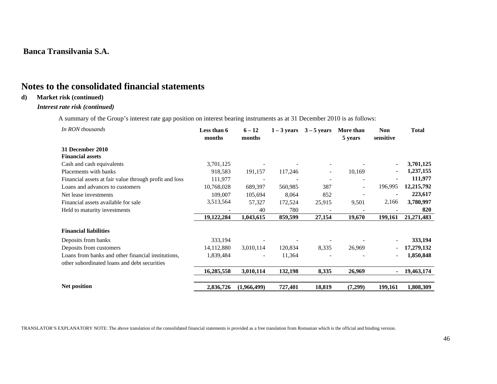# **Notes to the consolidated financial statements**

### **d) Market risk (continued)**

#### *Interest rate risk (continued)*

A summary of the Group's interest rate gap position on interest bearing instruments as at 31 December 2010 is as follows:

| In RON thousands                                       | Less than 6<br>months | $6 - 12$<br>months | $1 - 3$ years | $3 - 5$ years            | More than<br>5 years     | Non<br>sensitive | <b>Total</b> |
|--------------------------------------------------------|-----------------------|--------------------|---------------|--------------------------|--------------------------|------------------|--------------|
| <b>31 December 2010</b>                                |                       |                    |               |                          |                          |                  |              |
| <b>Financial assets</b>                                |                       |                    |               |                          |                          |                  |              |
| Cash and cash equivalents                              | 3,701,125             |                    |               |                          |                          |                  | 3,701,125    |
| Placements with banks                                  | 918,583               | 191,157            | 117,246       | $\overline{\phantom{a}}$ | 10,169                   | $\blacksquare$   | 1,237,155    |
| Financial assets at fair value through profit and loss | 111,977               |                    |               |                          |                          |                  | 111,977      |
| Loans and advances to customers                        | 10,768,028            | 689,397            | 560,985       | 387                      | $\overline{\phantom{a}}$ | 196,995          | 12,215,792   |
| Net lease investments                                  | 109,007               | 105,694            | 8,064         | 852                      |                          |                  | 223,617      |
| Financial assets available for sale                    | 3,513,564             | 57,327             | 172,524       | 25,915                   | 9,501                    | 2,166            | 3,780,997    |
| Held to maturity investments                           |                       | 40                 | 780           |                          |                          |                  | 820          |
|                                                        | 19,122,284            | 1,043,615          | 859,599       | 27,154                   | 19,670                   | 199,161          | 21, 271, 483 |
| <b>Financial liabilities</b>                           |                       |                    |               |                          |                          |                  |              |
| Deposits from banks                                    | 333,194               |                    |               |                          |                          |                  | 333,194      |
| Deposits from customers                                | 14, 112, 880          | 3,010,114          | 120,834       | 8,335                    | 26,969                   |                  | 17,279,132   |
| Loans from banks and other financial institutions,     | 1,839,484             |                    | 11,364        |                          |                          |                  | 1,850,848    |
| other subordinated loans and debt securities           |                       |                    |               |                          |                          |                  |              |
|                                                        | 16,285,558            | 3,010,114          | 132,198       | 8,335                    | 26,969                   |                  | 19,463,174   |
| Net position                                           | 2,836,726             | (1,966,499)        | 727,401       | 18,819                   | (7,299)                  | 199,161          | 1,808,309    |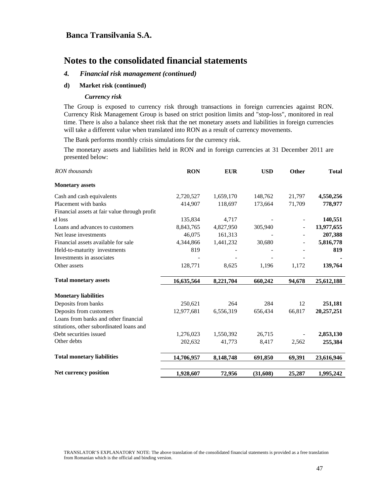# **Notes to the consolidated financial statements**

#### *4. Financial risk management (continued)*

#### **d) Market risk (continued)**

#### *Currency risk*

The Group is exposed to currency risk through transactions in foreign currencies against RON. Currency Risk Management Group is based on strict position limits and "stop-loss", monitored in real time. There is also a balance sheet risk that the net monetary assets and liabilities in foreign currencies will take a different value when translated into RON as a result of currency movements.

The Bank performs monthly crisis simulations for the currency risk.

The monetary assets and liabilities held in RON and in foreign currencies at 31 December 2011 are presented below:

| RON thousands                                 | <b>RON</b> | <b>EUR</b> | <b>USD</b> | Other  | <b>Total</b> |
|-----------------------------------------------|------------|------------|------------|--------|--------------|
| <b>Monetary assets</b>                        |            |            |            |        |              |
| Cash and cash equivalents                     | 2,720,527  | 1,659,170  | 148,762    | 21,797 | 4,550,256    |
| Placement with banks                          | 414,907    | 118,697    | 173,664    | 71,709 | 778,977      |
| Financial assets at fair value through profit |            |            |            |        |              |
| id loss                                       | 135,834    | 4,717      |            |        | 140,551      |
| Loans and advances to customers               | 8,843,765  | 4,827,950  | 305,940    |        | 13,977,655   |
| Net lease investments                         | 46,075     | 161,313    |            |        | 207,388      |
| Financial assets available for sale           | 4,344,866  | 1,441,232  | 30,680     |        | 5,816,778    |
| Held-to-maturity investments                  | 819        |            |            |        | 819          |
| Investments in associates                     |            |            |            |        |              |
| Other assets                                  | 128,771    | 8,625      | 1,196      | 1,172  | 139,764      |
| <b>Total monetary assets</b>                  | 16,635,564 | 8,221,704  | 660,242    | 94,678 | 25,612,188   |
| <b>Monetary liabilities</b>                   |            |            |            |        |              |
| Deposits from banks                           | 250,621    | 264        | 284        | 12     | 251,181      |
| Deposits from customers                       | 12,977,681 | 6,556,319  | 656,434    | 66,817 | 20,257,251   |
| Loans from banks and other financial          |            |            |            |        |              |
| stitutions, other subordinated loans and      |            |            |            |        |              |
| :Debt securities issued                       | 1,276,023  | 1,550,392  | 26,715     |        | 2,853,130    |
| Other debts                                   | 202,632    | 41,773     | 8,417      | 2,562  | 255,384      |
| <b>Total monetary liabilities</b>             | 14,706,957 | 8,148,748  | 691,850    | 69,391 | 23,616,946   |
|                                               |            |            |            |        |              |
| <b>Net currency position</b>                  | 1,928,607  | 72,956     | (31,608)   | 25,287 | 1,995,242    |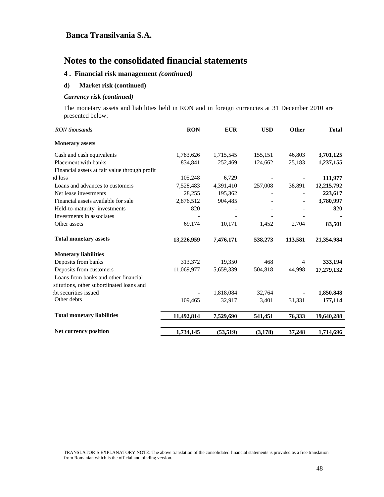### **4 . Financial risk management** *(continued)*

#### **d) Market risk (continued)**

#### *Currency risk (continued)*

The monetary assets and liabilities held in RON and in foreign currencies at 31 December 2010 are presented below:

| RON thousands                                 | <b>RON</b> | <b>EUR</b> | <b>USD</b> | Other                    | <b>Total</b> |
|-----------------------------------------------|------------|------------|------------|--------------------------|--------------|
| <b>Monetary assets</b>                        |            |            |            |                          |              |
| Cash and cash equivalents                     | 1,783,626  | 1,715,545  | 155,151    | 46,803                   | 3,701,125    |
| Placement with banks                          | 834,841    | 252,469    | 124,662    | 25,183                   | 1,237,155    |
| Financial assets at fair value through profit |            |            |            |                          |              |
| id loss                                       | 105,248    | 6,729      |            |                          | 111,977      |
| Loans and advances to customers               | 7,528,483  | 4,391,410  | 257,008    | 38,891                   | 12,215,792   |
| Net lease investments                         | 28,255     | 195,362    |            |                          | 223,617      |
| Financial assets available for sale           | 2,876,512  | 904,485    |            |                          | 3,780,997    |
| Held-to-maturity investments                  | 820        |            |            |                          | 820          |
| Investments in associates                     |            |            |            |                          |              |
| Other assets                                  | 69,174     | 10,171     | 1,452      | 2,704                    | 83,501       |
| <b>Total monetary assets</b>                  | 13,226,959 | 7,476,171  | 538,273    | 113,581                  | 21,354,984   |
| <b>Monetary liabilities</b>                   |            |            |            |                          |              |
| Deposits from banks                           | 313,372    | 19,350     | 468        | 4                        | 333,194      |
| Deposits from customers                       | 11,069,977 | 5,659,339  | 504,818    | 44,998                   | 17,279,132   |
| Loans from banks and other financial          |            |            |            |                          |              |
| stitutions, other subordinated loans and      |            |            |            |                          |              |
| the securities issued                         |            | 1,818,084  | 32,764     | $\overline{\phantom{a}}$ | 1,850,848    |
| Other debts                                   | 109,465    | 32,917     | 3,401      | 31,331                   | 177,114      |
| <b>Total monetary liabilities</b>             | 11,492,814 | 7,529,690  | 541,451    | 76,333                   | 19,640,288   |
| Net currency position                         | 1,734,145  | (53, 519)  | (3, 178)   | 37,248                   | 1,714,696    |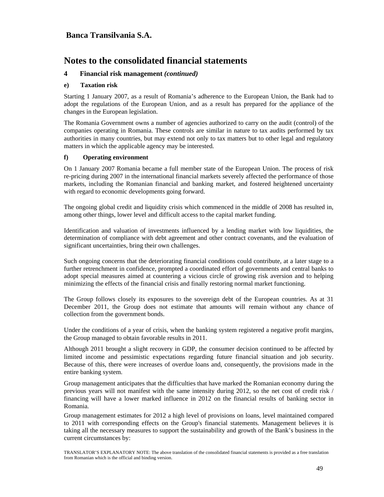# **Notes to the consolidated financial statements**

#### **4 Financial risk management** *(continued)*

#### **e) Taxation risk**

Starting 1 January 2007, as a result of Romania's adherence to the European Union, the Bank had to adopt the regulations of the European Union, and as a result has prepared for the appliance of the changes in the European legislation.

The Romania Government owns a number of agencies authorized to carry on the audit (control) of the companies operating in Romania. These controls are similar in nature to tax audits performed by tax authorities in many countries, but may extend not only to tax matters but to other legal and regulatory matters in which the applicable agency may be interested.

#### **f) Operating environment**

On 1 January 2007 Romania became a full member state of the European Union. The process of risk re-pricing during 2007 in the international financial markets severely affected the performance of those markets, including the Romanian financial and banking market, and fostered heightened uncertainty with regard to economic developments going forward.

The ongoing global credit and liquidity crisis which commenced in the middle of 2008 has resulted in, among other things, lower level and difficult access to the capital market funding.

Identification and valuation of investments influenced by a lending market with low liquidities, the determination of compliance with debt agreement and other contract covenants, and the evaluation of significant uncertainties, bring their own challenges.

Such ongoing concerns that the deteriorating financial conditions could contribute, at a later stage to a further retrenchment in confidence, prompted a coordinated effort of governments and central banks to adopt special measures aimed at countering a vicious circle of growing risk aversion and to helping minimizing the effects of the financial crisis and finally restoring normal market functioning.

The Group follows closely its exposures to the sovereign debt of the European countries. As at 31 December 2011, the Group does not estimate that amounts will remain without any chance of collection from the government bonds.

Under the conditions of a year of crisis, when the banking system registered a negative profit margins, the Group managed to obtain favorable results in 2011.

Although 2011 brought a slight recovery in GDP, the consumer decision continued to be affected by limited income and pessimistic expectations regarding future financial situation and job security. Because of this, there were increases of overdue loans and, consequently, the provisions made in the entire banking system.

Group management anticipates that the difficulties that have marked the Romanian economy during the previous years will not manifest with the same intensity during 2012, so the net cost of credit risk / financing will have a lower marked influence in 2012 on the financial results of banking sector in Romania.

Group management estimates for 2012 a high level of provisions on loans, level maintained compared to 2011 with corresponding effects on the Group's financial statements. Management believes it is taking all the necessary measures to support the sustainability and growth of the Bank's business in the current circumstances by: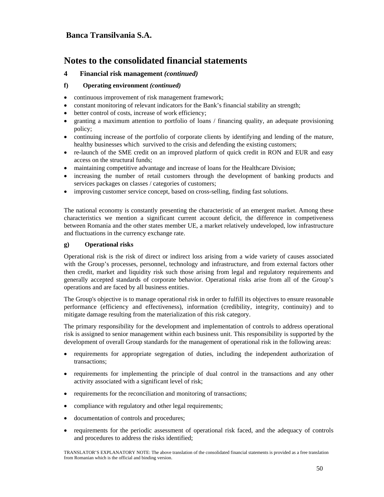# **Notes to the consolidated financial statements**

#### **4 Financial risk management** *(continued)*

#### **f) Operating environment** *(continued)*

- continuous improvement of risk management framework;
- constant monitoring of relevant indicators for the Bank's financial stability an strength;
- better control of costs, increase of work efficiency;
- granting a maximum attention to portfolio of loans / financing quality, an adequate provisioning policy;
- continuing increase of the portfolio of corporate clients by identifying and lending of the mature, healthy businesses which survived to the crisis and defending the existing customers;
- re-launch of the SME credit on an improved platform of quick credit in RON and EUR and easy access on the structural funds;
- maintaining competitive advantage and increase of loans for the Healthcare Division;
- increasing the number of retail customers through the development of banking products and services packages on classes / categories of customers;
- improving customer service concept, based on cross-selling, finding fast solutions.

The national economy is constantly presenting the characteristic of an emergent market. Among these characteristics we mention a significant current account deficit, the difference in competiveness between Romania and the other states member UE, a market relatively undeveloped, low infrastructure and fluctuations in the currency exchange rate.

#### **g) Operational risks**

Operational risk is the risk of direct or indirect loss arising from a wide variety of causes associated with the Group's processes, personnel, technology and infrastructure, and from external factors other then credit, market and liquidity risk such those arising from legal and regulatory requirements and generally accepted standards of corporate behavior. Operational risks arise from all of the Group's operations and are faced by all business entities.

The Group's objective is to manage operational risk in order to fulfill its objectives to ensure reasonable performance (efficiency and effectiveness), information (credibility, integrity, continuity) and to mitigate damage resulting from the materialization of this risk category.

The primary responsibility for the development and implementation of controls to address operational risk is assigned to senior management within each business unit. This responsibility is supported by the development of overall Group standards for the management of operational risk in the following areas:

- requirements for appropriate segregation of duties, including the independent authorization of transactions;
- requirements for implementing the principle of dual control in the transactions and any other activity associated with a significant level of risk;
- requirements for the reconciliation and monitoring of transactions;
- compliance with regulatory and other legal requirements;
- documentation of controls and procedures;
- requirements for the periodic assessment of operational risk faced, and the adequacy of controls and procedures to address the risks identified;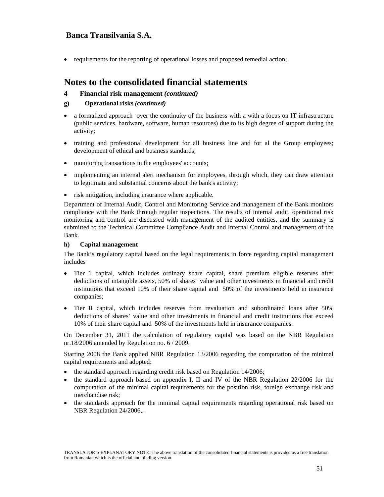• requirements for the reporting of operational losses and proposed remedial action;

# **Notes to the consolidated financial statements**

#### **4 Financial risk management** *(continued)*

#### **g) Operational risks** *(continued)*

- a formalized approach over the continuity of the business with a with a focus on IT infrastructure (public services, hardware, software, human resources) due to its high degree of support during the activity;
- training and professional development for all business line and for al the Group employees; development of ethical and business standards;
- monitoring transactions in the employees' accounts;
- implementing an internal alert mechanism for employees, through which, they can draw attention to legitimate and substantial concerns about the bank's activity;
- risk mitigation, including insurance where applicable.

Department of Internal Audit, Control and Monitoring Service and management of the Bank monitors compliance with the Bank through regular inspections. The results of internal audit, operational risk monitoring and control are discussed with management of the audited entities, and the summary is submitted to the Technical Committee Compliance Audit and Internal Control and management of the Bank.

#### **h) Capital management**

The Bank's regulatory capital based on the legal requirements in force regarding capital management includes

- Tier 1 capital, which includes ordinary share capital, share premium eligible reserves after deductions of intangible assets, 50% of shares' value and other investments in financial and credit institutions that exceed 10% of their share capital and 50% of the investments held in insurance companies;
- Tier II capital, which includes reserves from revaluation and subordinated loans after 50% deductions of shares' value and other investments in financial and credit institutions that exceed 10% of their share capital and 50% of the investments held in insurance companies.

On December 31, 2011 the calculation of regulatory capital was based on the NBR Regulation nr.18/2006 amended by Regulation no. 6 / 2009.

Starting 2008 the Bank applied NBR Regulation 13/2006 regarding the computation of the minimal capital requirements and adopted:

- the standard approach regarding credit risk based on Regulation 14/2006;
- the standard approach based on appendix I, II and IV of the NBR Regulation 22/2006 for the computation of the minimal capital requirements for the position risk, foreign exchange risk and merchandise risk;
- the standards approach for the minimal capital requirements regarding operational risk based on NBR Regulation 24/2006,.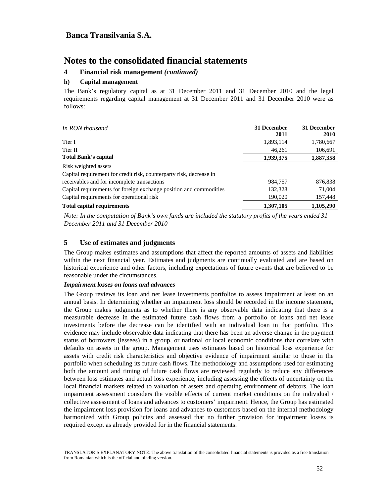#### **4 Financial risk management** *(continued)*

#### **h) Capital management**

The Bank's regulatory capital as at 31 December 2011 and 31 December 2010 and the legal requirements regarding capital management at 31 December 2011 and 31 December 2010 were as follows:

| In RON thousand                                                     | 31 December<br>2011 | 31 December<br><b>2010</b> |
|---------------------------------------------------------------------|---------------------|----------------------------|
| Tier I                                                              | 1,893,114           | 1,780,667                  |
| Tier II                                                             | 46,261              | 106,691                    |
| <b>Total Bank's capital</b>                                         | 1,939,375           | 1,887,358                  |
| Risk weighted assets                                                |                     |                            |
| Capital requirement for credit risk, counterparty risk, decrease in |                     |                            |
| receivables and for incomplete transactions                         | 984,757             | 876,838                    |
| Capital requirements for foreign exchange position and commodities  | 132,328             | 71,004                     |
| Capital requirements for operational risk                           | 190,020             | 157,448                    |
| <b>Total capital requirements</b>                                   | 1.307.105           | 1.105.290                  |

*Note: In the computation of Bank's own funds are included the statutory profits of the years ended 31 December 2011 and 31 December 2010* 

#### **5 Use of estimates and judgments**

The Group makes estimates and assumptions that affect the reported amounts of assets and liabilities within the next financial year. Estimates and judgments are continually evaluated and are based on historical experience and other factors, including expectations of future events that are believed to be reasonable under the circumstances.

#### *Impairment losses on loans and advances*

The Group reviews its loan and net lease investments portfolios to assess impairment at least on an annual basis. In determining whether an impairment loss should be recorded in the income statement, the Group makes judgments as to whether there is any observable data indicating that there is a measurable decrease in the estimated future cash flows from a portfolio of loans and net lease investments before the decrease can be identified with an individual loan in that portfolio. This evidence may include observable data indicating that there has been an adverse change in the payment status of borrowers (lessees) in a group, or national or local economic conditions that correlate with defaults on assets in the group. Management uses estimates based on historical loss experience for assets with credit risk characteristics and objective evidence of impairment similar to those in the portfolio when scheduling its future cash flows. The methodology and assumptions used for estimating both the amount and timing of future cash flows are reviewed regularly to reduce any differences between loss estimates and actual loss experience, including assessing the effects of uncertainty on the local financial markets related to valuation of assets and operating environment of debtors. The loan impairment assessment considers the visible effects of current market conditions on the individual / collective assessment of loans and advances to customers' impairment. Hence, the Group has estimated the impairment loss provision for loans and advances to customers based on the internal methodology harmonized with Group policies and assessed that no further provision for impairment losses is required except as already provided for in the financial statements.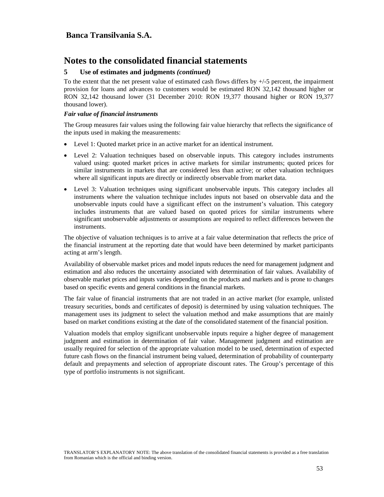#### **5 Use of estimates and judgments** *(continued)*

To the extent that the net present value of estimated cash flows differs by  $+/-5$  percent, the impairment provision for loans and advances to customers would be estimated RON 32,142 thousand higher or RON 32,142 thousand lower (31 December 2010: RON 19,377 thousand higher or RON 19,377 thousand lower).

#### *Fair value of financial instruments*

The Group measures fair values using the following fair value hierarchy that reflects the significance of the inputs used in making the measurements:

- Level 1: Quoted market price in an active market for an identical instrument.
- Level 2: Valuation techniques based on observable inputs. This category includes instruments valued using: quoted market prices in active markets for similar instruments; quoted prices for similar instruments in markets that are considered less than active; or other valuation techniques where all significant inputs are directly or indirectly observable from market data.
- Level 3: Valuation techniques using significant unobservable inputs. This category includes all instruments where the valuation technique includes inputs not based on observable data and the unobservable inputs could have a significant effect on the instrument's valuation. This category includes instruments that are valued based on quoted prices for similar instruments where significant unobservable adjustments or assumptions are required to reflect differences between the instruments.

The objective of valuation techniques is to arrive at a fair value determination that reflects the price of the financial instrument at the reporting date that would have been determined by market participants acting at arm's length.

Availability of observable market prices and model inputs reduces the need for management judgment and estimation and also reduces the uncertainty associated with determination of fair values. Availability of observable market prices and inputs varies depending on the products and markets and is prone to changes based on specific events and general conditions in the financial markets.

The fair value of financial instruments that are not traded in an active market (for example, unlisted treasury securities, bonds and certificates of deposit) is determined by using valuation techniques. The management uses its judgment to select the valuation method and make assumptions that are mainly based on market conditions existing at the date of the consolidated statement of the financial position.

Valuation models that employ significant unobservable inputs require a higher degree of management judgment and estimation in determination of fair value. Management judgment and estimation are usually required for selection of the appropriate valuation model to be used, determination of expected future cash flows on the financial instrument being valued, determination of probability of counterparty default and prepayments and selection of appropriate discount rates. The Group's percentage of this type of portfolio instruments is not significant.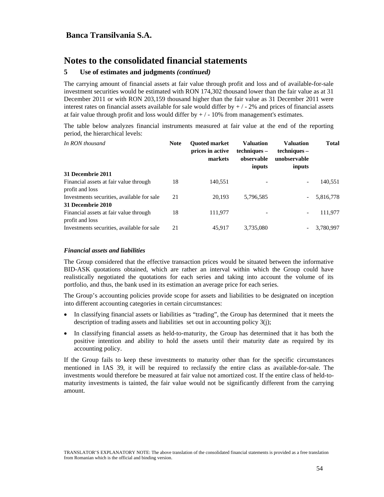#### **5 Use of estimates and judgments** *(continued)*

The carrying amount of financial assets at fair value through profit and loss and of available-for-sale investment securities would be estimated with RON 174,302 thousand lower than the fair value as at 31 December 2011 or with RON 203,159 thousand higher than the fair value as 31 December 2011 were interest rates on financial assets available for sale would differ by  $+/-2\%$  and prices of financial assets at fair value through profit and loss would differ by  $+/-10\%$  from management's estimates.

The table below analyzes financial instruments measured at fair value at the end of the reporting period, the hierarchical levels:

| In RON thousand                                           | <b>Note</b> | <b>Ouoted market</b><br>prices in active<br>markets | <b>Valuation</b><br>techniques –<br>observable<br>inputs | <b>Valuation</b><br>techniques –<br>unobservable<br>inputs | <b>Total</b> |
|-----------------------------------------------------------|-------------|-----------------------------------------------------|----------------------------------------------------------|------------------------------------------------------------|--------------|
| 31 Decembrie 2011                                         |             |                                                     |                                                          |                                                            |              |
| Financial assets at fair value through<br>profit and loss | 18          | 140,551                                             |                                                          | -                                                          | 140,551      |
| Investments securities, available for sale                | 21          | 20.193                                              | 5,796,585                                                |                                                            | 5,816,778    |
| 31 Decembrie 2010                                         |             |                                                     |                                                          |                                                            |              |
| Financial assets at fair value through<br>profit and loss | 18          | 111,977                                             |                                                          |                                                            | 111,977      |
| Investments securities, available for sale                | 21          | 45.917                                              | 3,735,080                                                |                                                            | 3,780,997    |

#### *Financial assets and liabilities*

The Group considered that the effective transaction prices would be situated between the informative BID-ASK quotations obtained, which are rather an interval within which the Group could have realistically negotiated the quotations for each series and taking into account the volume of its portfolio, and thus, the bank used in its estimation an average price for each series.

The Group's accounting policies provide scope for assets and liabilities to be designated on inception into different accounting categories in certain circumstances:

- In classifying financial assets or liabilities as "trading", the Group has determined that it meets the description of trading assets and liabilities set out in accounting policy 3(j);
- In classifying financial assets as held-to-maturity, the Group has determined that it has both the positive intention and ability to hold the assets until their maturity date as required by its accounting policy.

If the Group fails to keep these investments to maturity other than for the specific circumstances mentioned in IAS 39, it will be required to reclassify the entire class as available-for-sale. The investments would therefore be measured at fair value not amortized cost. If the entire class of held-tomaturity investments is tainted, the fair value would not be significantly different from the carrying amount.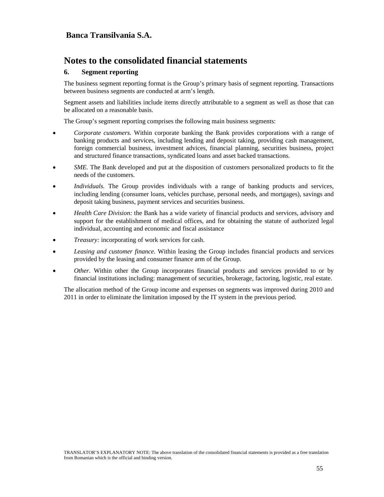### **6. Segment reporting**

The business segment reporting format is the Group's primary basis of segment reporting. Transactions between business segments are conducted at arm's length.

Segment assets and liabilities include items directly attributable to a segment as well as those that can be allocated on a reasonable basis.

The Group's segment reporting comprises the following main business segments:

- *Corporate customers.* Within corporate banking the Bank provides corporations with a range of banking products and services, including lending and deposit taking, providing cash management, foreign commercial business, investment advices, financial planning, securities business, project and structured finance transactions, syndicated loans and asset backed transactions.
- *SME*. The Bank developed and put at the disposition of customers personalized products to fit the needs of the customers.
- *Individuals.* The Group provides individuals with a range of banking products and services, including lending (consumer loans, vehicles purchase, personal needs, and mortgages), savings and deposit taking business, payment services and securities business.
- *Health Care Division:* the Bank has a wide variety of financial products and services, advisory and support for the establishment of medical offices, and for obtaining the statute of authorized legal individual, accounting and economic and fiscal assistance
- *Treasury:* incorporating of work services for cash.
- *Leasing and customer finance.* Within leasing the Group includes financial products and services provided by the leasing and consumer finance arm of the Group.
- *Other.* Within other the Group incorporates financial products and services provided to or by financial institutions including: management of securities, brokerage, factoring, logistic, real estate.

The allocation method of the Group income and expenses on segments was improved during 2010 and 2011 in order to eliminate the limitation imposed by the IT system in the previous period.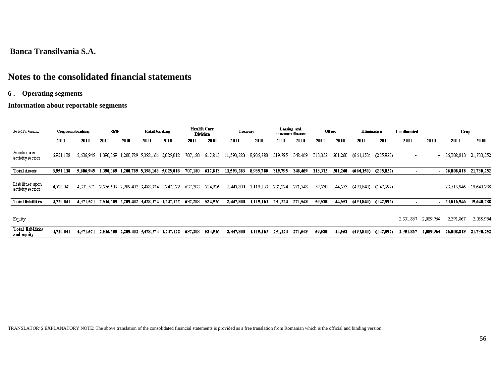# **Notes to the consolidated financial statements**

### **6 . Operating segments**

### **Information about reportable segments**

| In RONthwand                           | Corporate banking |           | SME       |           | <b>Retailbanking</b>          |                               |         | Health Care<br>Division | Treasury   |           |         | Leasing and<br>consumer finance |         | Others  |            | <b>E</b> limination | <b>Unallocated</b>       |                          | Gгчр       |            |
|----------------------------------------|-------------------|-----------|-----------|-----------|-------------------------------|-------------------------------|---------|-------------------------|------------|-----------|---------|---------------------------------|---------|---------|------------|---------------------|--------------------------|--------------------------|------------|------------|
|                                        | 2011              | 2010      | -2011     | 2010      | 2011                          | 2010                          | 2011    | 2010                    | 2011       | 2010      | 2011    | 2010                            | 2011    | 2010    | 2011       | 2010                | 2011                     | 2010                     | 2011       | 2010       |
| Assets upon<br>activity sectors        | 6,951,138         | 5,606,945 | 1,390,069 |           | 1,200,789 5,398,166 5,025,018 |                               | 707,180 | 617,813                 | 11,593,283 | 8,935,780 | 319,795 | 348,469                         | 313,332 | 201,260 | (664,150)  | (205, 822)          | $\overline{\phantom{a}}$ | $\overline{\phantom{a}}$ | 26,008,813 | 21,730,252 |
| <b>Total Assets</b>                    | 6,951,138         | 5,606,945 | 1,390,069 | 1,200,789 | $-5,398,166$ $-5,025,018$     |                               | 707,180 | 617,813                 | 11,593,283 | 8,935,780 | 319,795 | 348.469                         | 313.332 | 201.260 | (664, 150) | (205, 822)          |                          |                          | 26,008,813 | 21,730,252 |
| Liabilities upon<br>activity sectors   | 4,720,041         | 4,371,571 | 2,536,609 |           |                               | 2,209,402 3,478,374 1,247,122 | 637,208 | 524,926                 | 2,447,800  | 1,119,163 | 231,224 | 271,543                         | 59,530  | 44,553  | (493,840)  | (147,992)           |                          | $\sim$                   | 23,616,946 | 19,640,288 |
| <b>Total liabilities</b>               | 4,720,041         | 4,371,571 | 2,536,609 |           |                               | 2,209,402 3,478,374 1,247,122 | 637,208 | 524,926                 | 2,447,800  | 1,119,163 | 231,224 | 271,543                         | 59,530  | 44,553  | (493, 840) | (147,992)           |                          |                          | 23,616,946 | 19,640,288 |
| Equity                                 |                   |           |           |           |                               |                               |         |                         |            |           |         |                                 |         |         |            |                     | 2,391,867                | 2.089.964                | 2,391,867  | 2,089,964  |
| <b>Total liabilities</b><br>and equity | 4,720,041         | 4,371,571 | 2,536,609 |           |                               | 2,209,402 3,478,374 1,247,122 | 637,208 | 524,926                 | 2,447,800  | 1,119,163 | 231,224 | 271,543                         | 59,530  | 44,553  | (493,840)  | (147.992)           | 2,391,867                | 2,089,964                | 26,008,813 | 21,730,252 |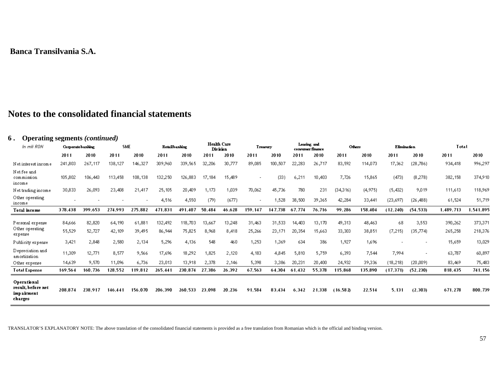# **Notes to the consolidated financial statements**

### **6 . Operating segments** *(continued)*

| $\sigma$ operating segments (commuta)<br>In mii RON         | Corporate banking        |         | SME     |                          |         | Retailbanking |        | Health Care<br><b>Division</b> |                          | <b>Treasury</b> |        | Leasing and<br>consumer finance | Others    |         | Elimination |           | Total     |           |
|-------------------------------------------------------------|--------------------------|---------|---------|--------------------------|---------|---------------|--------|--------------------------------|--------------------------|-----------------|--------|---------------------------------|-----------|---------|-------------|-----------|-----------|-----------|
|                                                             | 2011                     | 2010    | 2011    | 2010                     | 2011    | 2010          | 2011   | 2010                           | 2011                     | 2010            | 2011   | 2010                            | 2011      | 2010    | 2011        | 2010      | 2011      | 2010      |
| Net interest income                                         | 241,803                  | 267,117 | 138,127 | 146,327                  | 309,960 | 339,565       | 32,206 | 30,777                         | 89,085                   | 100,507         | 22,283 | 26,717                          | 83,592    | 114,073 | 17,362      | (28, 786) | 934,418   | 996,297   |
| Net fee and<br>commission<br>income                         | 105,802                  | 106,443 | 113,458 | 108,138                  | 132,250 | 126,883       | 17,184 | 15,489                         | $\overline{\phantom{a}}$ | (33)            | 6,211  | 10,403                          | 7,726     | 15,865  | (473)       | (8,278)   | 382,158   | 374,910   |
| Net trading income                                          | 30,833                   | 26,093  | 23,408  | 21,417                   | 25,105  | 20,409        | 1,173  | 1,039                          | 70,062                   | 45,736          | 780    | 231                             | (34,316)  | (4,975) | (5,432)     | 9,019     | 111,613   | 118,969   |
| Other operating<br>income                                   | $\overline{\phantom{0}}$ |         |         | $\overline{\phantom{a}}$ | 4,516   | 4,550         | (79)   | (677)                          | $\overline{\phantom{a}}$ | 1,528           | 38,500 | 39,365                          | 42,284    | 33,441  | (23, 697)   | (26, 488) | 61,524    | 51,719    |
| Total income                                                | 378,438                  | 399.653 | 274,993 | 275.882                  | 471.831 | 491.407       | 50,484 | 46.628                         | 159.147                  | 147.738         | 67.774 | 76.716                          | 99.286    | 158,404 | (12, 240)   | (54, 533) | 1,489,713 | 1,541,895 |
| Personal expense                                            | 84,666                   | 82,820  | 64,190  | 61,881                   | 132,492 | 118,703       | 13,667 | 13,248                         | 31,463                   | 31,533          | 14,403 | 13,170                          | 49,313    | 48,463  | 68          | 3,553     | 390,262   | 373,371   |
| Other operating<br>expense                                  | 55,529                   | 52,727  | 42,109  | 39,495                   | 86,944  | 75,825        | 8,968  | 8,418                          | 25,266                   | 23,171          | 20,354 | 15,663                          | 33,303    | 38,851  | (7, 215)    | (35,774)  | 265,258   | 218,376   |
| Publicity expense                                           | 3,421                    | 2,848   | 2,580   | 2,134                    | 5,296   | 4,136         | 548    | 460                            | 1,253                    | 1,369           | 634    | 386                             | 1,927     | 1,696   |             |           | 15,659    | 13,029    |
| Depreciation and<br>amortization                            | 11,309                   | 12,771  | 8,577   | 9,566                    | 17,696  | 18,292        | 1,825  | 2,120                          | 4,183                    | 4,845           | 5,810  | 5,759                           | 6,393     | 7,544   | 7,994       |           | 63,787    | 60,897    |
| Other expense                                               | 14,639                   | 9,570   | 11,096  | 6,736                    | 23,013  | 13,918        | 2,378  | 2,146                          | 5,398                    | 3,386           | 20,231 | 20,400                          | 24,932    | 39,336  | (18, 218)   | (20,009)  | 83,469    | 75,483    |
| <b>Total Expense</b>                                        | 169,564                  | 160,736 | 128,552 | 119,812                  | 265,441 | 230.874       | 27,386 | 26,392                         | 67,563                   | 64,304          | 61,432 | 55,378                          | 115,868   | 135.890 | (17,371)    | (52, 230) | 818,435   | 741,156   |
| Operational<br>result, before net<br>imp airment<br>charges | 208,874                  | 238.917 | 146.441 | 156.070                  | 206,390 | 260.533       | 23,098 | 20,236                         | 91.584                   | 83,434          | 6,342  | 21,338                          | (16, 582) | 22,514  | 5,131       | (2, 303)  | 671,278   | 800,739   |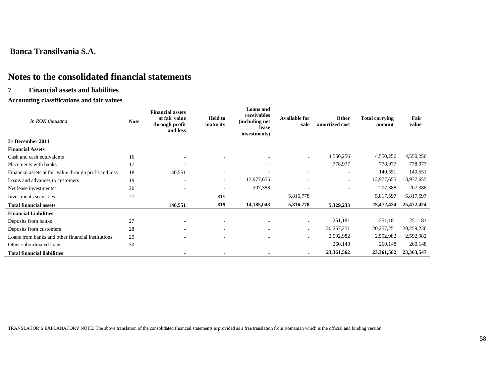# **Notes to the consolidated financial statements**

#### **7 Financial assets and liabilities**

#### **Accounting classifications and fair values**

| In RON thousand                                        | <b>Note</b> | <b>Financial assets</b><br>at fair value<br>through profit<br>and loss | <b>Held to</b><br>maturity | <b>Loans</b> and<br>receivables<br>(including net<br>lease<br>investments) | <b>Available for</b><br>sale | Other<br>amortized cost  | <b>Total carrying</b><br>amount | Fair<br>value |
|--------------------------------------------------------|-------------|------------------------------------------------------------------------|----------------------------|----------------------------------------------------------------------------|------------------------------|--------------------------|---------------------------------|---------------|
| 31 December 2011                                       |             |                                                                        |                            |                                                                            |                              |                          |                                 |               |
| <b>Financial Assets</b>                                |             |                                                                        |                            |                                                                            |                              |                          |                                 |               |
| Cash and cash equivalents                              | 16          |                                                                        |                            |                                                                            | $\sim$                       | 4,550,256                | 4,550,256                       | 4,550,256     |
| Placements with banks                                  | 17          |                                                                        | $\overline{a}$             | $\overline{a}$                                                             | $\overline{\phantom{a}}$     | 778,977                  | 778,977                         | 778,977       |
| Financial assets at fair value through profit and loss | 18          | 140,551                                                                | $\overline{\phantom{a}}$   | $\overline{\phantom{a}}$                                                   |                              | $\overline{\phantom{a}}$ | 140,551                         | 140,551       |
| Loans and advances to customers                        | 19          |                                                                        |                            | 13,977,655                                                                 |                              |                          | 13,977,655                      | 13,977,655    |
| Net lease investments <sup>1</sup>                     | 20          |                                                                        |                            | 207,388                                                                    |                              | $\overline{\phantom{0}}$ | 207,388                         | 207,388       |
| Investments securities                                 | 21          |                                                                        | 819                        | $\overline{\phantom{a}}$                                                   | 5,816,778                    |                          | 5,817,597                       | 5,817,597     |
| <b>Total financial assets</b>                          |             | 140,551                                                                | 819                        | 14,185,043                                                                 | 5,816,778                    | 5,329,233                | 25,472,424                      | 25,472,424    |
| <b>Financial Liabilities</b>                           |             |                                                                        |                            |                                                                            |                              |                          |                                 |               |
| Deposits from banks                                    | 27          |                                                                        |                            |                                                                            |                              | 251,181                  | 251,181                         | 251,181       |
| Deposits from customers                                | 28          |                                                                        |                            | $\overline{a}$                                                             | $\overline{a}$               | 20,257,251               | 20,257,251                      | 20,259,236    |
| Loans from banks and other financial institutions      | 29          |                                                                        |                            | $\overline{a}$                                                             |                              | 2,592,982                | 2,592,982                       | 2,592,982     |
| Other subordinated loans                               | 30          |                                                                        |                            | $\overline{a}$                                                             |                              | 260,148                  | 260,148                         | 260,148       |
| <b>Total financial liabilities</b>                     |             |                                                                        |                            |                                                                            |                              | 23,361,562               | 23,361,562                      | 23,363,547    |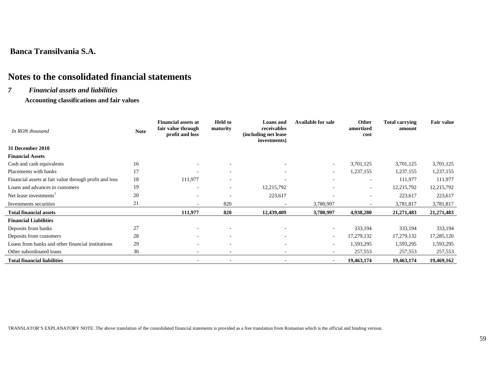# **Notes to the consolidated financial statements**

#### *7 Financial assets and liabilities*

 **Accounting classifications and fair values** 

| In RON thousand                                        | <b>Note</b> | <b>Financial assets at</b><br>fair value through<br>profit and loss | <b>Held to</b><br>maturity | <b>Loans</b> and<br>receivables<br>(including net lease)<br>investments) | <b>Available for sale</b> | Other<br>amortized<br>cost | <b>Total carrying</b><br>amount | <b>Fair value</b> |
|--------------------------------------------------------|-------------|---------------------------------------------------------------------|----------------------------|--------------------------------------------------------------------------|---------------------------|----------------------------|---------------------------------|-------------------|
| 31 December 2010                                       |             |                                                                     |                            |                                                                          |                           |                            |                                 |                   |
| <b>Financial Assets</b>                                |             |                                                                     |                            |                                                                          |                           |                            |                                 |                   |
| Cash and cash equivalents                              | 16          |                                                                     | ٠                          | $\overline{\phantom{a}}$                                                 | $\sim$                    | 3,701,125                  | 3,701,125                       | 3,701,125         |
| Placements with banks                                  | 17          |                                                                     | $\sim$                     | $\overline{\phantom{a}}$                                                 | $\sim$                    | 1,237,155                  | 1,237,155                       | 1,237,155         |
| Financial assets at fair value through profit and loss | 18          | 111,977                                                             | ٠                          |                                                                          | ٠                         | $\overline{\phantom{a}}$   | 111,977                         | 111,977           |
| Loans and advances to customers                        | 19          | $\overline{\phantom{a}}$                                            | $\overline{\phantom{a}}$   | 12,215,792                                                               | ۰                         | $\overline{\phantom{a}}$   | 12,215,792                      | 12,215,792        |
| Net lease investments <sup>1</sup>                     | 20          |                                                                     |                            | 223,617                                                                  |                           | $\overline{\phantom{a}}$   | 223,617                         | 223,617           |
| Investments securities                                 | 21          |                                                                     | 820                        |                                                                          | 3,780,997                 |                            | 3,781,817                       | 3,781,817         |
| <b>Total financial assets</b>                          |             | 111,977                                                             | 820                        | 12,439,409                                                               | 3,780,997                 | 4,938,280                  | 21,271,483                      | 21,271,483        |
| <b>Financial Liabilities</b>                           |             |                                                                     |                            |                                                                          |                           |                            |                                 |                   |
| Deposits from banks                                    | 27          |                                                                     | $\overline{\phantom{a}}$   | $\overline{\phantom{a}}$                                                 | $\sim$                    | 333,194                    | 333,194                         | 333,194           |
| Deposits from customers                                | 28          | $\sim$                                                              | $\overline{a}$             | $\overline{\phantom{a}}$                                                 | $\sim$                    | 17,279,132                 | 17,279,132                      | 17,285,120        |
| Loans from banks and other financial institutions      | 29          |                                                                     | ٠                          | $\overline{\phantom{a}}$                                                 | $\overline{\phantom{a}}$  | 1,593,295                  | 1,593,295                       | 1,593,295         |
| Other subordinated loans                               | 30          | $\sim$                                                              | $\sim$                     | $\overline{\phantom{a}}$                                                 | $\overline{\phantom{a}}$  | 257,553                    | 257,553                         | 257,553           |
| <b>Total financial liabilities</b>                     |             |                                                                     |                            |                                                                          | $\overline{\phantom{a}}$  | 19,463,174                 | 19,463,174                      | 19,469,162        |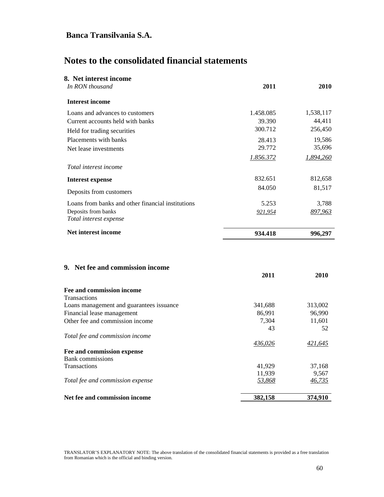# **Notes to the consolidated financial statements**

| 8. Net interest income                            |           |           |
|---------------------------------------------------|-----------|-----------|
| In RON thousand                                   | 2011      | 2010      |
| <b>Interest income</b>                            |           |           |
| Loans and advances to customers                   | 1.458.085 | 1,538,117 |
| Current accounts held with banks                  | 39.390    | 44,411    |
| Held for trading securities                       | 300.712   | 256,450   |
| Placements with banks                             | 28.413    | 19,586    |
| Net lease investments                             | 29.772    | 35,696    |
|                                                   | 1.856.372 | 1,894,260 |
| Total interest income                             |           |           |
| <b>Interest expense</b>                           | 832.651   | 812,658   |
| Deposits from customers                           | 84.050    | 81,517    |
| Loans from banks and other financial institutions | 5.253     | 3,788     |
| Deposits from banks<br>Total interest expense     | 921,954   | 897,963   |
| Net interest income                               | 934.418   | 996,297   |
| 9. Net fee and commission income                  | 2011      | 2010      |
| <b>Fee and commission income</b>                  |           |           |
| Transactions                                      |           |           |
| Loans management and guarantees issuance          | 341,688   | 313,002   |
| Financial lease management                        | 86,991    | 96,990    |
| Other fee and commission income                   | 7,304     | 11,601    |

43 52 *Total fee and commission income 436,026 421,645* **Fee and commission expense** Bank commissions Transactions 41,929 37,168 11,939 9,567<br>53,868 46,735 *Total fee and commission expense* 53,868 Net fee and commission income 382,158 374,910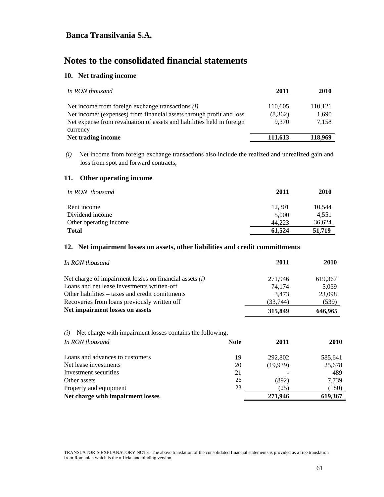# **Notes to the consolidated financial statements**

#### **10. Net trading income**

| 2011                        | 2010                      |
|-----------------------------|---------------------------|
| 110,605<br>(8,362)<br>9.370 | 110,121<br>1,690<br>7,158 |
|                             | 118.969                   |
|                             | 111.613                   |

 *(i)* Net income from foreign exchange transactions also include the realized and unrealized gain and loss from spot and forward contracts,

#### **11. Other operating income**

| In RON thousand        | 2011   | 2010   |
|------------------------|--------|--------|
| Rent income            | 12.301 | 10,544 |
| Dividend income        | 5,000  | 4,551  |
| Other operating income | 44.223 | 36,624 |
| <b>Total</b>           | 61,524 | 51,719 |

#### **12. Net impairment losses on assets, other liabilities and credit committments**

| In RON thousand                                           | 2011      | <b>2010</b> |
|-----------------------------------------------------------|-----------|-------------|
| Net charge of impairment losses on financial assets $(i)$ | 271,946   | 619,367     |
| Loans and net lease investments written-off               | 74.174    | 5,039       |
| Other liabilities – taxes and credit comitments           | 3.473     | 23,098      |
| Recoveries from loans previously written off              | (33, 744) | (539)       |
| Net impairment losses on assets                           | 315,849   | 646,965     |

#### *(i)* Net charge with impairment losses contains the following: *In RON thousand* **Note 2011 2010**

|    | 40 L L   | 40 I.V  |
|----|----------|---------|
| 19 | 292,802  | 585,641 |
| 20 | (19,939) | 25,678  |
| 21 |          | 489     |
| 26 | (892)    | 7.739   |
| 23 | (25)     | (180)   |
|    | 271,946  | 619,367 |
|    | 110LC    |         |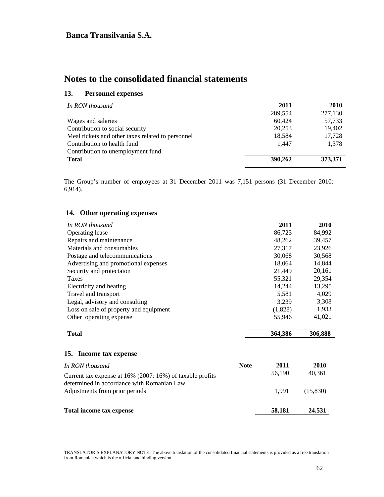# **Notes to the consolidated financial statements**

### **13. Personnel expenses**

| 2011    | 2010    |
|---------|---------|
| 289,554 | 277,130 |
| 60,424  | 57,733  |
| 20,253  | 19,402  |
| 18,584  | 17,728  |
| 1.447   | 1,378   |
|         |         |
| 390,262 | 373,371 |
|         |         |

The Group's number of employees at 31 December 2011 was 7,151 persons (31 December 2010: 6,914).

| In RON thousand                                                                                         |             | 2011    | 2010      |
|---------------------------------------------------------------------------------------------------------|-------------|---------|-----------|
| Operating lease                                                                                         |             | 86,723  | 84,992    |
| Repairs and maintenance                                                                                 |             | 48,262  | 39,457    |
| Materials and consumables                                                                               |             | 27,317  | 23,926    |
| Postage and telecommunications                                                                          |             | 30,068  | 30,568    |
| Advertising and promotional expenses                                                                    |             | 18,064  | 14,844    |
| Security and protectaion                                                                                |             | 21,449  | 20,161    |
| <b>Taxes</b>                                                                                            |             | 55,321  | 29,354    |
| Electricity and heating                                                                                 |             | 14,244  | 13,295    |
| Travel and transport                                                                                    |             | 5,581   | 4,029     |
| Legal, advisory and consulting                                                                          |             | 3,239   | 3,308     |
| Loss on sale of property and equipment                                                                  |             | (1,828) | 1,933     |
| Other operating expense                                                                                 |             | 55,946  | 41,021    |
| <b>Total</b>                                                                                            |             | 364,386 | 306,888   |
| 15. Income tax expense                                                                                  |             |         |           |
| In RON thousand                                                                                         | <b>Note</b> | 2011    | 2010      |
| Current tax expense at 16% (2007: 16%) of taxable profits<br>determined in accordance with Romanian Law |             | 56,190  | 40,361    |
| Adjustments from prior periods                                                                          |             | 1,991   | (15, 830) |
| Total income tax expense                                                                                |             | 58,181  | 24,531    |

## **14. Other operating expenses**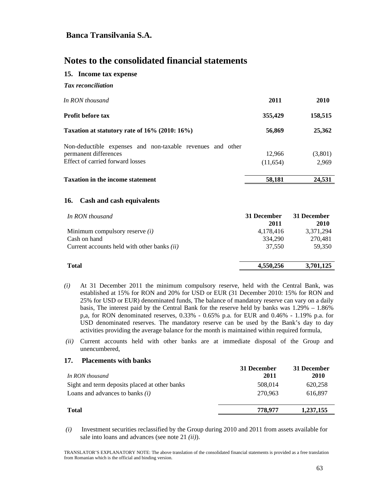# **Notes to the consolidated financial statements**

#### **15. Income tax expense**

| <b>Tax</b> reconciliation                                  |          |             |
|------------------------------------------------------------|----------|-------------|
| In RON thousand                                            | 2011     | <b>2010</b> |
| <b>Profit before tax</b>                                   | 355,429  | 158,515     |
| Taxation at statutory rate of 16% (2010: 16%)              | 56,869   | 25,362      |
| Non-deductible expenses and non-taxable revenues and other |          |             |
| permanent differences                                      | 12.966   | (3,801)     |
| Effect of carried forward losses                           | (11,654) | 2,969       |
| <b>Taxation in the income statement</b>                    | 58,181   | 24,531      |

#### **16. Cash and cash equivalents**

| In RON thousand                                    | 31 December<br>2011 | 31 December<br>2010 |
|----------------------------------------------------|---------------------|---------------------|
| Minimum compulsory reserve $(i)$                   | 4,178,416           | 3,371,294           |
| Cash on hand                                       | 334,290             | 270.481             |
| Current accounts held with other banks <i>(ii)</i> | 37,550              | 59,350              |
| <b>Total</b>                                       | 4,550,256           | 3,701,125           |

- *(i)* At 31 December 2011 the minimum compulsory reserve, held with the Central Bank, was established at 15% for RON and 20% for USD or EUR (31 December 2010: 15% for RON and 25% for USD or EUR) denominated funds, The balance of mandatory reserve can vary on a daily basis, The interest paid by the Central Bank for the reserve held by banks was 1.29% – 1.86% p,a, for RON denominated reserves, 0.33% - 0.65% p.a. for EUR and 0.46% - 1.19% p.a. for USD denominated reserves. The mandatory reserve can be used by the Bank's day to day activities providing the average balance for the month is maintained within required formula,
- *(ii)* Current accounts held with other banks are at immediate disposal of the Group and unencumbered,

#### **17. Placements with banks**

| In RON thousand                               | 31 December<br>2011 | 31 December<br>2010 |
|-----------------------------------------------|---------------------|---------------------|
| Sight and term deposits placed at other banks | 508,014             | 620,258             |
| Loans and advances to banks $(i)$             | 270.963             | 616,897             |
| <b>Total</b>                                  | 778.977             | 1,237,155           |

 *(i)* Investment securities reclassified by the Group during 2010 and 2011 from assets available for sale into loans and advances (see note 21 *(ii)*).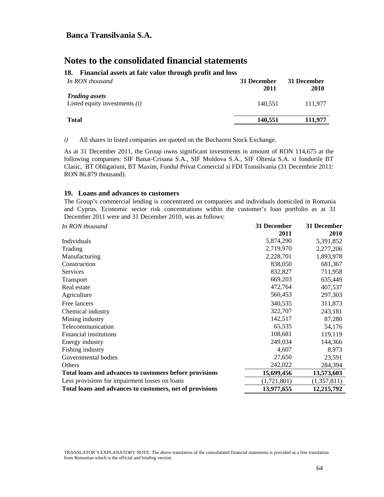#### **18. Financial assets at fair value through profit and loss**

| In RON thousand                                          | 31 December<br>2011 | 31 December<br>2010 |
|----------------------------------------------------------|---------------------|---------------------|
| <b>Trading assets</b><br>Listed equity investments $(i)$ | 140.551             | 111.977             |
| <b>Total</b>                                             | 140,551             | 111.977             |

*i)* All shares in listed companies are quoted on the Bucharest Stock Exchange.

As at 31 December 2011, the Group owns significant investments in amount of RON 114,675 at the following companies: SIF Banat-Crisana S.A., SIF Moldova S.A., SIF Oltenia S.A. si fondurile BT Clasic, BT Obligatiuni, BT Maxim, Fondul Privat Comercial si FDI Transilvania (31 Decembrie 2011: RON 86.879 thousand).

#### **19. Loans and advances to customers**

The Group's commercial lending is concentrated on companies and individuals domiciled in Romania and Cyprus. Economic sector risk concentrations within the customer's loan portfolio as at 31 December 2011 were and 31 December 2010, was as follows:

| In RON thousand                                          | 31 December | 31 December |
|----------------------------------------------------------|-------------|-------------|
|                                                          | 2011        | 2010        |
| Individuals                                              | 5,874,290   | 5,391,852   |
| Trading                                                  | 2,719,970   | 2,277,206   |
| Manufacturing                                            | 2,228,701   | 1,893,978   |
| Construction                                             | 838,050     | 681,367     |
| Services                                                 | 832,827     | 711,958     |
| <b>Transport</b>                                         | 669,203     | 635,449     |
| Real estate                                              | 472,764     | 407,537     |
| Agriculture                                              | 560,453     | 297,303     |
| Free lancers                                             | 340,535     | 311,873     |
| Chemical industry                                        | 322,707     | 243,181     |
| Mining industry                                          | 142,517     | 87,280      |
| Telecommunication                                        | 65,535      | 54,176      |
| Financial institutions                                   | 108,681     | 119,119     |
| Energy industry                                          | 249,034     | 144,366     |
| Fishing industry                                         | 4,607       | 8,973       |
| Governmental bodies                                      | 27,650      | 23,591      |
| <b>Others</b>                                            | 242,022     | 284,394     |
| Total loans and advances to customers before provisions  | 15,699,456  | 13,573,603  |
| Less provisions for impairment losses on loans           | (1,721,801) | (1,357,811) |
| Total loans and advances to customers, net of provisions | 13,977,655  | 12,215,792  |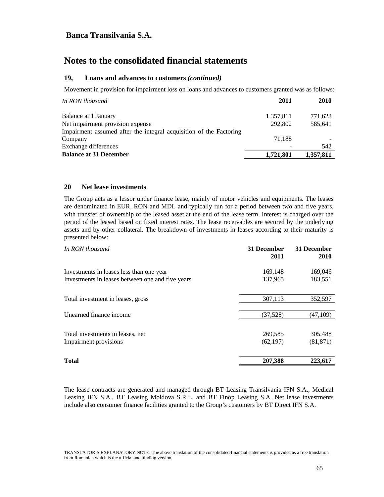## **Notes to the consolidated financial statements**

#### **19, Loans and advances to customers** *(continued)*

Movement in provision for impairment loss on loans and advances to customers granted was as follows:

| 2011                                                               | <b>2010</b> |
|--------------------------------------------------------------------|-------------|
| 1,357,811                                                          | 771,628     |
| 292,802                                                            | 585,641     |
| Impairment assumed after the integral acquisition of the Factoring |             |
| 71.188                                                             |             |
|                                                                    | 542         |
| 1,721,801                                                          | 1,357,811   |
|                                                                    |             |

#### **20 Net lease investments**

The Group acts as a lessor under finance lease, mainly of motor vehicles and equipments. The leases are denominated in EUR, RON and MDL and typically run for a period between two and five years, with transfer of ownership of the leased asset at the end of the lease term. Interest is charged over the period of the leased based on fixed interest rates. The lease receivables are secured by the underlying assets and by other collateral. The breakdown of investments in leases according to their maturity is presented below:

| In RON thousand                                  | 31 December<br>2011 | 31 December<br><b>2010</b> |
|--------------------------------------------------|---------------------|----------------------------|
| Investments in leases less than one year         | 169,148             | 169,046                    |
| Investments in leases between one and five years | 137,965             | 183,551                    |
| Total investment in leases, gross                | 307,113             | 352,597                    |
| Unearned finance income                          | (37, 528)           | (47,109)                   |
| Total investments in leases, net                 | 269,585             | 305,488                    |
| Impairment provisions                            | (62, 197)           | (81, 871)                  |
| <b>Total</b>                                     | 207,388             | 223,617                    |

The lease contracts are generated and managed through BT Leasing Transilvania IFN S.A., Medical Leasing IFN S.A., BT Leasing Moldova S.R.L. and BT Finop Leasing S.A. Net lease investments include also consumer finance facilities granted to the Group's customers by BT Direct IFN S.A.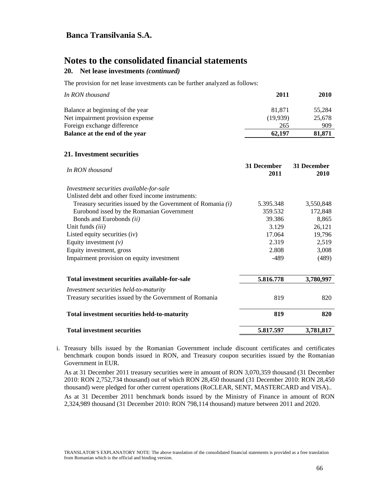## **Notes to the consolidated financial statements**

### **20. Net lease investments** *(continued)*

The provision for net lease investments can be further analyzed as follows:

| In RON thousand                  | 2011     | <b>2010</b> |
|----------------------------------|----------|-------------|
| Balance at beginning of the year | 81.871   | 55.284      |
| Net impairment provision expense | (19.939) | 25,678      |
| Foreign exchange difference      | 265      | 909         |
| Balance at the end of the year   | 62,197   | 81,871      |

#### **21. Investment securities**

| In RON thousand                                               | 31 December<br>2011 | 31 December<br>2010 |
|---------------------------------------------------------------|---------------------|---------------------|
| Investment securities available-for-sale                      |                     |                     |
| Unlisted debt and other fixed income instruments:             |                     |                     |
| Treasury securities issued by the Government of Romania $(i)$ | 5.395.348           | 3,550,848           |
| Eurobond issed by the Romanian Government                     | 359.532             | 172,848             |
| Bonds and Eurobonds (ii)                                      | 39.386              | 8,865               |
| Unit funds <i>(iii)</i>                                       | 3.129               | 26,121              |
| Listed equity securities $(iv)$                               | 17.064              | 19,796              |
| Equity investment $(v)$                                       | 2.319               | 2,519               |
| Equity investment, gross                                      | 2.808               | 3,008               |
| Impairment provision on equity investment                     | -489                | (489)               |
| Total investment securities available-for-sale                | 5.816.778           | 3,780,997           |
| Investment securities held-to-maturity                        |                     |                     |
| Treasury securities issued by the Government of Romania       | 819                 | 820                 |
| Total investment securities held-to-maturity                  | 819                 | 820                 |
| <b>Total investment securities</b>                            | 5.817.597           | 3,781,817           |

i. Treasury bills issued by the Romanian Government include discount certificates and certificates benchmark coupon bonds issued in RON, and Treasury coupon securities issued by the Romanian Government in EUR.

As at 31 December 2011 treasury securities were in amount of RON 3,070,359 thousand (31 December 2010: RON 2,752,734 thousand) out of which RON 28,450 thousand (31 December 2010: RON 28,450 thousand) were pledged for other current operations (RoCLEAR, SENT, MASTERCARD and VISA).. As at 31 December 2011 benchmark bonds issued by the Ministry of Finance in amount of RON 2,324,989 thousand (31 December 2010: RON 798,114 thousand) mature between 2011 and 2020.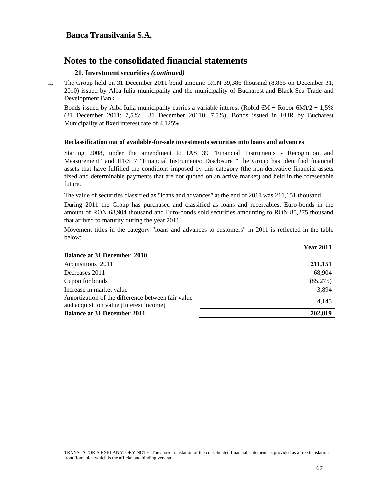#### **21. Investment securities** *(continued)*

ii. The Group held on 31 December 2011 bond amount: RON 39,386 thousand (8,865 on December 31, 2010) issued by Alba Iulia municipality and the municipality of Bucharest and Black Sea Trade and Development Bank.

Bonds issued by Alba Iulia municipality carries a variable interest (Robid  $6M + R$ obor  $6M/2 + 1,5\%$ (31 December 2011: 7,5%; 31 December 20110: 7,5%). Bonds issued in EUR by Bucharest Municipality at fixed interest rate of 4.125%.

#### **Reclassification out of available-for-sale investments securities into loans and advances**

Starting 2008, under the amendment to IAS 39 "Financial Instruments - Recognition and Measurement" and IFRS 7 "Financial Instruments: Disclosure " the Group has identified financial assets that have fulfilled the conditions imposed by this category (the non-derivative financial assets fixed and determinable payments that are not quoted on an active market) and held in the foreseeable future.

The value of securities classified as "loans and advances" at the end of 2011 was 211,151 thousand.

During 2011 the Group has purchased and classified as loans and receivables, Euro-bonds in the amount of RON 68,904 thousand and Euro-bonds sold securities amounting to RON 85,275 thousand that arrived to maturity during the year 2011.

Movement titles in the category "loans and advances to customers" in 2011 is reflected in the table below:

|                                                                                              | <b>Year 2011</b> |
|----------------------------------------------------------------------------------------------|------------------|
| <b>Balance at 31 December 2010</b>                                                           |                  |
| Acquisitions 2011                                                                            | 211,151          |
| Decreases 2011                                                                               | 68.904           |
| Cupon for bonds                                                                              | (85,275)         |
| Increase in market value                                                                     | 3,894            |
| Amortization of the difference between fair value<br>and acquisition value (Interest income) | 4.145            |
| <b>Balance at 31 December 2011</b>                                                           | 202.819          |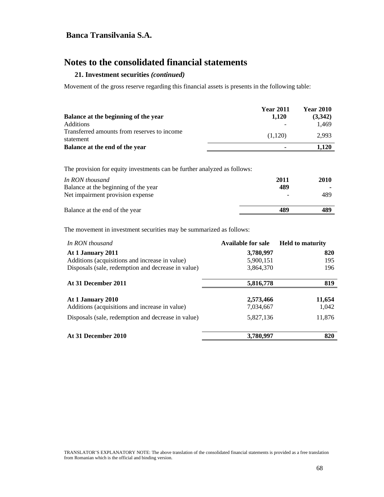# **Notes to the consolidated financial statements**

#### **21. Investment securities** *(continued)*

Movement of the gross reserve regarding this financial assets is presents in the following table:

|                                                          | <b>Year 2011</b> | <b>Year 2010</b> |
|----------------------------------------------------------|------------------|------------------|
| Balance at the beginning of the year                     | 1.120            | (3.342)          |
| <b>Additions</b>                                         |                  | 1.469            |
| Transferred amounts from reserves to income<br>statement | (1.120)          | 2.993            |
| Balance at the end of the year                           |                  | 1.120            |

The provision for equity investments can be further analyzed as follows:

| In RON thousand<br>Balance at the beginning of the year | 2011<br>489 | 2010 |
|---------------------------------------------------------|-------------|------|
| Net impairment provision expense                        |             | 489  |
| Balance at the end of the year                          | 489         | 489  |

The movement in investment securities may be summarized as follows:

| In RON thousand                                                     | Available for sale     | <b>Held to maturity</b> |
|---------------------------------------------------------------------|------------------------|-------------------------|
| At 1 January 2011                                                   | 3,780,997              | 820                     |
| Additions (acquisitions and increase in value)                      | 5,900,151              | 195                     |
| Disposals (sale, redemption and decrease in value)                  | 3,864,370              | 196                     |
| At 31 December 2011                                                 | 5,816,778              | 819                     |
| At 1 January 2010<br>Additions (acquisitions and increase in value) | 2,573,466<br>7,034,667 | 11,654<br>1,042         |
| Disposals (sale, redemption and decrease in value)                  | 5,827,136              | 11,876                  |
| At 31 December 2010                                                 | 3,780,997              | 820                     |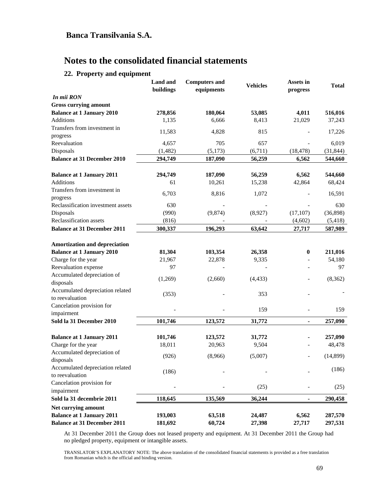## **22. Property and equipment**

|                                                     | <b>Land</b> and<br>buildings | <b>Computers and</b><br>equipments | <b>Vehicles</b> | Assets in<br>progress        | <b>Total</b> |
|-----------------------------------------------------|------------------------------|------------------------------------|-----------------|------------------------------|--------------|
| In mii RON                                          |                              |                                    |                 |                              |              |
| <b>Gross currying amount</b>                        |                              |                                    |                 |                              |              |
| <b>Balance at 1 January 2010</b>                    | 278,856                      | 180,064                            | 53,085          | 4,011                        | 516,016      |
| <b>Additions</b>                                    | 1,135                        | 6,666                              | 8,413           | 21,029                       | 37,243       |
| Transfers from investment in                        | 11,583                       | 4,828                              | 815             |                              | 17,226       |
| progress                                            |                              |                                    |                 |                              |              |
| Reevaluation                                        | 4,657                        | 705                                | 657             |                              | 6,019        |
| Disposals                                           | (1, 482)                     | (5,173)                            | (6,711)         | (18, 478)                    | (31, 844)    |
| <b>Balance at 31 December 2010</b>                  | 294,749                      | 187,090                            | 56,259          | 6,562                        | 544,660      |
| <b>Balance at 1 January 2011</b>                    | 294,749                      | 187,090                            | 56,259          | 6,562                        | 544,660      |
| Additions                                           | 61                           | 10,261                             | 15,238          | 42,864                       | 68,424       |
| Transfers from investment in                        |                              |                                    |                 |                              |              |
| progress                                            | 6,703                        | 8,816                              | 1,072           |                              | 16,591       |
| Reclassification investment assets                  | 630                          |                                    |                 |                              | 630          |
| Disposals                                           | (990)                        | (9,874)                            | (8,927)         | (17, 107)                    | (36,898)     |
| Reclassification assets                             | (816)                        |                                    |                 | (4,602)                      | (5, 418)     |
| <b>Balance at 31 December 2011</b>                  | 300,337                      | 196,293                            | 63,642          | 27,717                       | 587,989      |
| Amortization and depreciation                       |                              |                                    |                 |                              |              |
| <b>Balance at 1 January 2010</b>                    | 81,304                       | 103,354                            | 26,358          | $\boldsymbol{0}$             | 211,016      |
| Charge for the year                                 | 21,967                       | 22,878                             | 9,335           | $\qquad \qquad \blacksquare$ | 54,180       |
| Reevaluation expense                                | 97                           |                                    |                 |                              | 97           |
| Accumulated depreciation of                         |                              |                                    |                 |                              |              |
| disposals                                           | (1,269)                      | (2,660)                            | (4, 433)        |                              | (8, 362)     |
| Accumulated depreciation related                    |                              |                                    | 353             |                              |              |
| to reevaluation                                     | (353)                        |                                    |                 |                              |              |
| Cancelation provision for                           |                              |                                    | 159             |                              | 159          |
| impairment                                          |                              |                                    |                 |                              |              |
| Sold la 31 December 2010                            | 101,746                      | 123,572                            | 31,772          | -                            | 257,090      |
| <b>Balance at 1 January 2011</b>                    | 101,746                      | 123,572                            | 31,772          |                              | 257,090      |
| Charge for the year                                 | 18,011                       | 20,963                             | 9,504           |                              | 48,478       |
| Accumulated depreciation of                         |                              |                                    |                 |                              |              |
| disposals                                           | (926)                        | (8,966)                            | (5,007)         |                              | (14, 899)    |
| Accumulated depreciation related<br>to reevaluation | (186)                        |                                    |                 |                              | (186)        |
| Cancelation provision for                           |                              |                                    |                 |                              |              |
| impairment                                          |                              |                                    | (25)            |                              | (25)         |
| Sold la 31 decembrie 2011                           | 118,645                      | 135,569                            | 36,244          |                              | 290,458      |
| Net currying amount                                 |                              |                                    |                 |                              |              |
| <b>Balance at 1 January 2011</b>                    | 193,003                      | 63,518                             | 24,487          | 6,562                        | 287,570      |
| <b>Balance at 31 December 2011</b>                  | 181,692                      | 60,724                             | 27,398          | 27,717                       | 297,531      |

At 31 December 2011 the Group does not leased property and equipment. At 31 December 2011 the Group had no pledged property, equipment or intangible assets.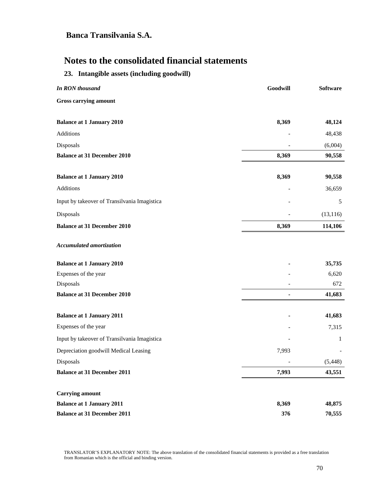# **Notes to the consolidated financial statements**

## **23. Intangible assets (including goodwill)**

| In RON thousand                              | Goodwill | Software  |
|----------------------------------------------|----------|-----------|
| <b>Gross carrying amount</b>                 |          |           |
| <b>Balance at 1 January 2010</b>             | 8,369    | 48,124    |
| <b>Additions</b>                             |          | 48,438    |
| Disposals                                    |          | (6,004)   |
| <b>Balance at 31 December 2010</b>           | 8,369    | 90,558    |
| <b>Balance at 1 January 2010</b>             | 8,369    | 90,558    |
| <b>Additions</b>                             |          | 36,659    |
| Input by takeover of Transilvania Imagistica |          | 5         |
| Disposals                                    |          | (13, 116) |
| <b>Balance at 31 December 2010</b>           | 8,369    | 114,106   |
| <b>Accumulated amortization</b>              |          |           |
| <b>Balance at 1 January 2010</b>             |          | 35,735    |
| Expenses of the year                         |          | 6,620     |
| Disposals                                    |          | 672       |
| <b>Balance at 31 December 2010</b>           | -        | 41,683    |
| <b>Balance at 1 January 2011</b>             |          | 41,683    |
| Expenses of the year                         |          | 7,315     |
| Input by takeover of Transilvania Imagistica |          | 1         |
| Depreciation goodwill Medical Leasing        | 7,993    |           |
| Disposals                                    |          | (5, 448)  |
| <b>Balance at 31 December 2011</b>           | 7,993    | 43,551    |
| <b>Carrying amount</b>                       |          |           |
| <b>Balance at 1 January 2011</b>             | 8,369    | 48,875    |
| <b>Balance at 31 December 2011</b>           | 376      | 70,555    |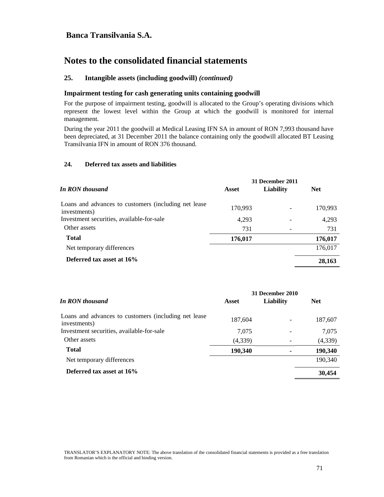# **Notes to the consolidated financial statements**

### **25. Intangible assets (including goodwill)** *(continued)*

### **Impairment testing for cash generating units containing goodwill**

For the purpose of impairment testing, goodwill is allocated to the Group's operating divisions which represent the lowest level within the Group at which the goodwill is monitored for internal management.

During the year 2011 the goodwill at Medical Leasing IFN SA in amount of RON 7,993 thousand have been depreciated, at 31 December 2011 the balance containing only the goodwill allocated BT Leasing Transilvania IFN in amount of RON 376 thousand.

### **24. Deferred tax assets and liabilities**

|                                                                      | 31 December 2011 |                  |            |  |
|----------------------------------------------------------------------|------------------|------------------|------------|--|
| In RON thousand                                                      | Asset            | <b>Liability</b> | <b>Net</b> |  |
| Loans and advances to customers (including net lease<br>investments) | 170,993          |                  | 170,993    |  |
| Investment securities, available-for-sale                            | 4,293            |                  | 4,293      |  |
| Other assets                                                         | 731              |                  | 731        |  |
| <b>Total</b>                                                         | 176,017          |                  | 176,017    |  |
| Net temporary differences                                            |                  |                  | 176,017    |  |
| Deferred tax asset at 16%                                            |                  |                  | 28,163     |  |

|                                                                      | 31 December 2010 |           |            |  |
|----------------------------------------------------------------------|------------------|-----------|------------|--|
| In RON thousand                                                      | Asset            | Liability | <b>Net</b> |  |
| Loans and advances to customers (including net lease<br>investments) | 187,604          |           | 187,607    |  |
| Investment securities, available-for-sale                            | 7.075            |           | 7,075      |  |
| Other assets                                                         | (4,339)          |           | (4,339)    |  |
| <b>Total</b>                                                         | 190,340          |           | 190,340    |  |
| Net temporary differences                                            |                  |           | 190,340    |  |
| Deferred tax asset at 16%                                            |                  |           | 30,454     |  |
|                                                                      |                  |           |            |  |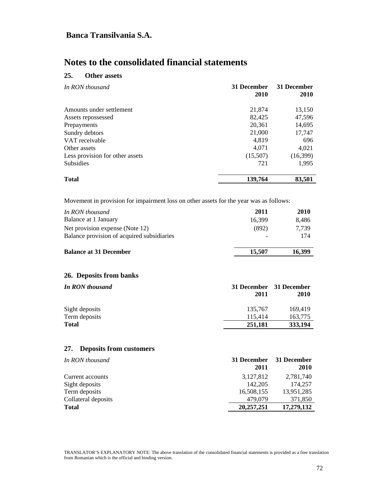# **Notes to the consolidated financial statements**

## **25. Other assets**

| In RON thousand                 | 31 December<br>2010 | 31 December<br><b>2010</b> |
|---------------------------------|---------------------|----------------------------|
| Amounts under settlement        | 21,874              | 13,150                     |
| Assets repossessed              | 82,425              | 47,596                     |
| Prepayments                     | 20,361              | 14,695                     |
| Sundry debtors                  | 21,000              | 17,747                     |
| VAT receivable                  | 4,819               | 696                        |
| Other assets                    | 4,071               | 4,021                      |
| Less provision for other assets | (15,507)            | (16,399)                   |
| <b>Subsidies</b>                | 721                 | 1,995                      |
| Total                           | 139,764             | 83,501                     |

Movement in provision for impairment loss on other assets for the year was as follows:

| In RON thousand                                   | 2011        | 2010        |
|---------------------------------------------------|-------------|-------------|
| Balance at 1 January                              | 16,399      | 8,486       |
| Net provision expense (Note 12)                   | (892)       | 7,739       |
| Balance provision of acquired subsidiaries        |             | 174         |
| <b>Balance at 31 December</b>                     | 15,507      | 16,399      |
| 26. Deposits from banks<br><b>In RON thousand</b> | 31 December | 31 December |
|                                                   | 2011        | 2010        |
| Sight deposits                                    | 135,767     | 169,419     |
| Term deposits                                     |             |             |
|                                                   | 115,414     | 163,775     |

## **27. Deposits from customers**

| In RON thousand     | 31 December  | 31 December |
|---------------------|--------------|-------------|
|                     | 2011         | <b>2010</b> |
| Current accounts    | 3,127,812    | 2,781,740   |
| Sight deposits      | 142,205      | 174,257     |
| Term deposits       | 16,508,155   | 13,951,285  |
| Collateral deposits | 479,079      | 371,850     |
| <b>Total</b>        | 20, 257, 251 | 17,279,132  |
|                     |              |             |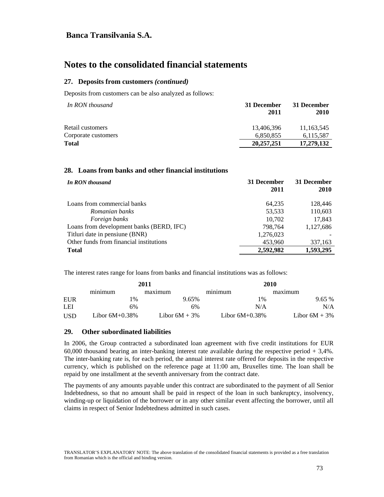# **Notes to the consolidated financial statements**

### **27. Deposits from customers** *(continued)*

Deposits from customers can be also analyzed as follows:

| In RON thousand     | 31 December<br>2011 | 31 December<br>2010 |
|---------------------|---------------------|---------------------|
| Retail customers    | 13.406.396          | 11,163,545          |
| Corporate customers | 6,850,855           | 6,115,587           |
| <b>Total</b>        | 20,257,251          | 17,279,132          |

#### **28. Loans from banks and other financial institutions**

| In RON thousand                          | 31 December<br>2011 | 31 December<br>2010 |
|------------------------------------------|---------------------|---------------------|
| Loans from commercial banks              | 64,235              | 128,446             |
| Romanian banks                           | 53,533              | 110,603             |
| Foreign banks                            | 10,702              | 17,843              |
| Loans from development banks (BERD, IFC) | 798.764             | 1,127,686           |
| Titluri date in pensiune (BNR)           | 1,276,023           |                     |
| Other funds from financial institutions  | 453,960             | 337,163             |
| <b>Total</b>                             | 2,592,982           | 1,593,295           |

The interest rates range for loans from banks and financial institutions was as follows:

| 2011       |                   | 2010             |                   |                  |
|------------|-------------------|------------------|-------------------|------------------|
|            | minimum           | maximum          | minimum           | maximum          |
| EUR        | $\%$              | 9.65%            | $1\%$             | 9.65%            |
| LEI        | 6%                | 6%               | N/A               | N/A              |
| <b>USD</b> | Libor $6M+0.38\%$ | Libor $6M + 3\%$ | Libor $6M+0.38\%$ | Libor $6M + 3\%$ |

#### **29. Other subordinated liabilities**

In 2006, the Group contracted a subordinated loan agreement with five credit institutions for EUR 60,000 thousand bearing an inter-banking interest rate available during the respective period + 3,4%. The inter-banking rate is, for each period, the annual interest rate offered for deposits in the respective currency, which is published on the reference page at 11:00 am, Bruxelles time. The loan shall be repaid by one installment at the seventh anniversary from the contract date.

The payments of any amounts payable under this contract are subordinated to the payment of all Senior Indebtedness, so that no amount shall be paid in respect of the loan in such bankruptcy, insolvency, winding-up or liquidation of the borrower or in any other similar event affecting the borrower, until all claims in respect of Senior Indebtedness admitted in such cases.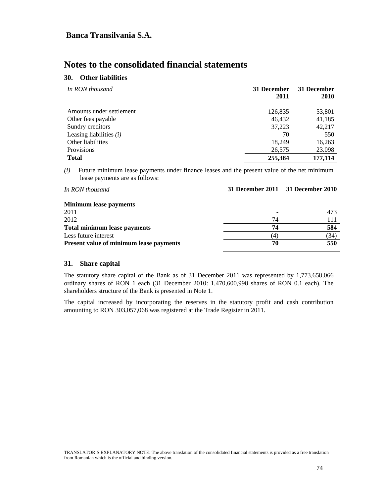# **Notes to the consolidated financial statements**

## **30. Other liabilities**

| In RON thousand           | 31 December<br>2011 | 31 December<br><b>2010</b> |
|---------------------------|---------------------|----------------------------|
| Amounts under settlement  | 126,835             | 53,801                     |
| Other fees payable        | 46.432              | 41,185                     |
| Sundry creditors          | 37,223              | 42,217                     |
| Leasing liabilities $(i)$ | 70                  | 550                        |
| Other liabilities         | 18,249              | 16,263                     |
| Provisions                | 26,575              | 23.098                     |
| <b>Total</b>              | 255,384             | 177,114                    |

*(i)* Future minimum lease payments under finance leases and the present value of the net minimum lease payments are as follows:

| In RON thousand                                | 31 December 2011 31 December 2010 |      |
|------------------------------------------------|-----------------------------------|------|
| <b>Minimum lease payments</b>                  |                                   |      |
| 2011                                           |                                   | 473  |
| 2012                                           | 74                                | 111  |
| <b>Total minimum lease payments</b>            | 74                                | 584  |
| Less future interest                           | (4)                               | (34) |
| <b>Present value of minimum lease payments</b> | 70                                | 550  |

## **31. Share capital**

The statutory share capital of the Bank as of 31 December 2011 was represented by 1,773,658,066 ordinary shares of RON 1 each (31 December 2010: 1,470,600,998 shares of RON 0.1 each). The shareholders structure of the Bank is presented in Note 1.

The capital increased by incorporating the reserves in the statutory profit and cash contribution amounting to RON 303,057,068 was registered at the Trade Register in 2011.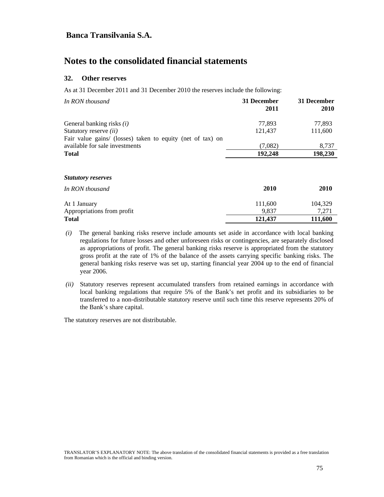# **Notes to the consolidated financial statements**

### **32. Other reserves**

As at 31 December 2011 and 31 December 2010 the reserves include the following:

| In RON thousand                                            | 31 December<br>2011 | 31 December<br>2010 |
|------------------------------------------------------------|---------------------|---------------------|
| General banking risks $(i)$                                | 77,893              | 77,893              |
| Statutory reserve <i>(ii)</i>                              | 121,437             | 111,600             |
| Fair value gains/ (losses) taken to equity (net of tax) on |                     |                     |
| available for sale investments                             | (7,082)             | 8,737               |
| <b>Total</b>                                               | 192,248             | 198,230             |
| <b>Statutory reserves</b>                                  |                     |                     |
| In RON thousand                                            | 2010                | 2010                |
| At 1 January                                               | 111,600             | 104,329             |
| Appropriations from profit                                 | 9,837               | 7,271               |
| <b>Total</b>                                               | 121,437             | 111,600             |

- *(i)* The general banking risks reserve include amounts set aside in accordance with local banking regulations for future losses and other unforeseen risks or contingencies, are separately disclosed as appropriations of profit. The general banking risks reserve is appropriated from the statutory gross profit at the rate of 1% of the balance of the assets carrying specific banking risks. The general banking risks reserve was set up, starting financial year 2004 up to the end of financial year 2006.
- *(ii)* Statutory reserves represent accumulated transfers from retained earnings in accordance with local banking regulations that require 5% of the Bank's net profit and its subsidiaries to be transferred to a non-distributable statutory reserve until such time this reserve represents 20% of the Bank's share capital.

The statutory reserves are not distributable.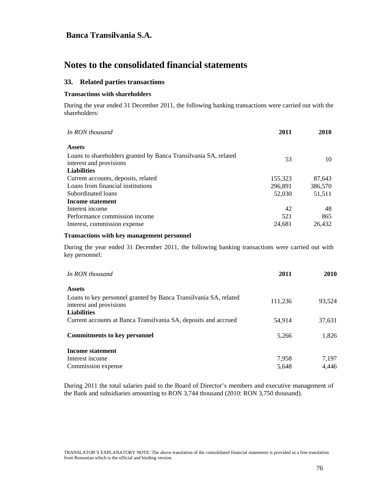# **Notes to the consolidated financial statements**

### **33. Related parties transactions**

#### **Transactions with shareholders**

During the year ended 31 December 2011, the following banking transactions were carried out with the shareholders:

| In RON thousand                                                 | 2011    | <b>2010</b> |
|-----------------------------------------------------------------|---------|-------------|
| <b>Assets</b>                                                   |         |             |
| Loans to shareholders granted by Banca Transilvania SA, related |         |             |
| interest and provisions                                         | 53      | 10          |
| <b>Liabilities</b>                                              |         |             |
| Current accounts, deposits, related                             | 155,323 | 87,643      |
| Loans from financial institutions                               | 296,891 | 386,570     |
| Subordinated loans                                              | 52,030  | 51,511      |
| Income statement                                                |         |             |
| Interest income                                                 | 42      | 48          |
| Performance commission income                                   | 521     | 865         |
| Interest, commission expense                                    | 24.681  | 26,432      |

#### **Transactions with key management personnel**

During the year ended 31 December 2011, the following banking transactions were carried out with key personnel:

| In RON thousand                                                                             | 2011    | <b>2010</b> |
|---------------------------------------------------------------------------------------------|---------|-------------|
| <b>Assets</b>                                                                               |         |             |
| Loans to key personnel granted by Banca Transilvania SA, related<br>interest and provisions | 111,236 | 93,524      |
| <b>Liabilities</b>                                                                          |         |             |
| Current accounts at Banca Transilvania SA, deposits and accrued                             | 54.914  | 37,631      |
| <b>Commitments to key personnel</b>                                                         | 5.266   | 1.826       |
| Income statement                                                                            |         |             |
| Interest income                                                                             | 7,958   | 7,197       |
| Commission expense                                                                          | 5,648   | 4.446       |

During 2011 the total salaries paid to the Board of Director's members and executive management of the Bank and subsidiaries amounting to RON 3,744 thousand (2010: RON 3,750 thousand).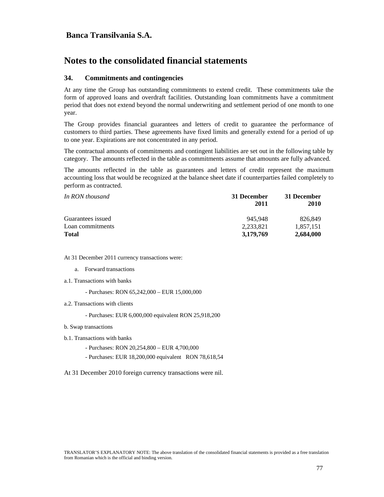# **Notes to the consolidated financial statements**

### **34. Commitments and contingencies**

At any time the Group has outstanding commitments to extend credit. These commitments take the form of approved loans and overdraft facilities. Outstanding loan commitments have a commitment period that does not extend beyond the normal underwriting and settlement period of one month to one year.

The Group provides financial guarantees and letters of credit to guarantee the performance of customers to third parties. These agreements have fixed limits and generally extend for a period of up to one year. Expirations are not concentrated in any period.

The contractual amounts of commitments and contingent liabilities are set out in the following table by category. The amounts reflected in the table as commitments assume that amounts are fully advanced.

The amounts reflected in the table as guarantees and letters of credit represent the maximum accounting loss that would be recognized at the balance sheet date if counterparties failed completely to perform as contracted.

| In RON thousand   | 31 December | 31 December<br>2010 |
|-------------------|-------------|---------------------|
|                   | 2011        |                     |
| Guarantees issued | 945.948     | 826.849             |
| Loan commitments  | 2.233.821   | 1.857.151           |
| <b>Total</b>      | 3.179.769   | 2,684,000           |

At 31 December 2011 currency transactions were:

- a. Forward transactions
- a.1. Transactions with banks
	- Purchases: RON 65,242,000 EUR 15,000,000
- a.2. Transactions with clients
	- Purchases: EUR 6,000,000 equivalent RON 25,918,200
- b. Swap transactions
- b.1. Transactions with banks
	- Purchases: RON 20,254,800 EUR 4,700,000
	- Purchases: EUR 18,200,000 equivalent RON 78,618,54
- At 31 December 2010 foreign currency transactions were nil.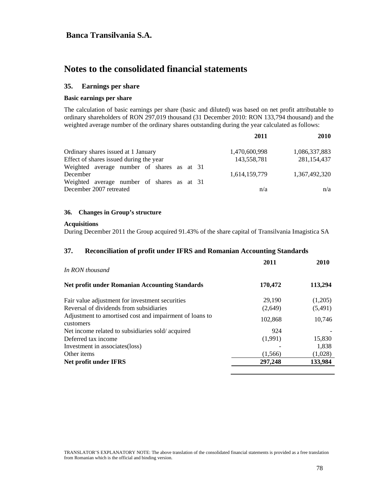# **Notes to the consolidated financial statements**

### **35. Earnings per share**

#### **Basic earnings per share**

The calculation of basic earnings per share (basic and diluted) was based on net profit attributable to ordinary shareholders of RON 297,019 thousand (31 December 2010: RON 133,794 thousand) and the weighted average number of the ordinary shares outstanding during the year calculated as follows:

|                                            | 2011          | 2010          |
|--------------------------------------------|---------------|---------------|
| Ordinary shares issued at 1 January        | 1,470,600,998 | 1,086,337,883 |
| Effect of shares issued during the year    | 143,558,781   | 281,154,437   |
| Weighted average number of shares as at 31 |               |               |
| December                                   | 1,614,159,779 | 1,367,492,320 |
| Weighted average number of shares as at 31 |               |               |
| December 2007 retreated                    | n/a           | n/a           |
|                                            |               |               |

#### **36. Changes in Group's structure**

### **Acquisitions**

During December 2011 the Group acquired 91.43% of the share capital of Transilvania Imagistica SA

#### **37. Reconciliation of profit under IFRS and Romanian Accounting Standards**

| In RON thousand                                                      | 2011    | 2010    |
|----------------------------------------------------------------------|---------|---------|
| <b>Net profit under Romanian Accounting Standards</b>                | 170,472 | 113,294 |
| Fair value adjustment for investment securities                      | 29,190  | (1,205) |
| Reversal of dividends from subsidiaries                              | (2,649) | (5,491) |
| Adjustment to amortised cost and impairment of loans to<br>customers | 102.868 | 10.746  |
| Net income related to subsidiaries sold/acquired                     | 924     |         |
| Deferred tax income                                                  | (1,991) | 15,830  |
| Investment in associates (loss)                                      |         | 1,838   |
| Other items                                                          | (1,566) | (1,028) |
| Net profit under IFRS                                                | 297,248 | 133,984 |
|                                                                      |         |         |